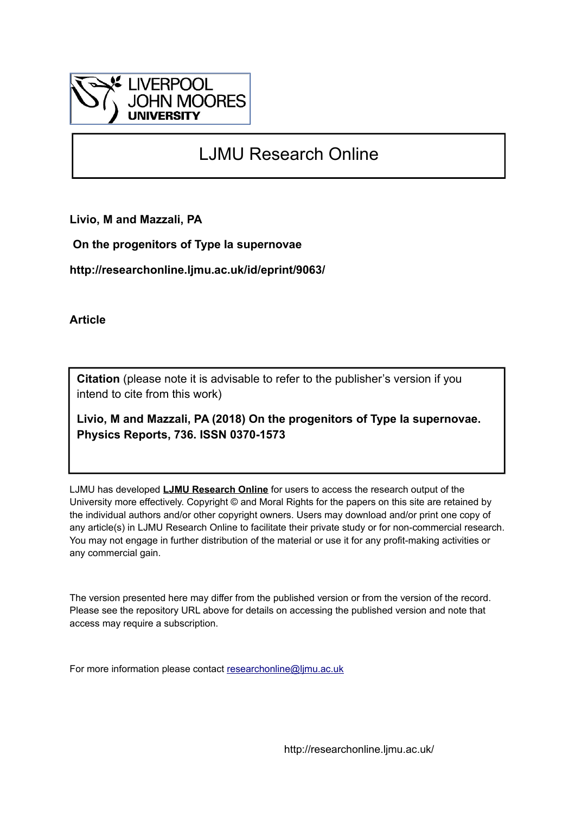

# LJMU Research Online

**Livio, M and Mazzali, PA**

 **On the progenitors of Type Ia supernovae**

**http://researchonline.ljmu.ac.uk/id/eprint/9063/**

**Article**

**Citation** (please note it is advisable to refer to the publisher's version if you intend to cite from this work)

**Livio, M and Mazzali, PA (2018) On the progenitors of Type Ia supernovae. Physics Reports, 736. ISSN 0370-1573** 

LJMU has developed **[LJMU Research Online](http://researchonline.ljmu.ac.uk/)** for users to access the research output of the University more effectively. Copyright © and Moral Rights for the papers on this site are retained by the individual authors and/or other copyright owners. Users may download and/or print one copy of any article(s) in LJMU Research Online to facilitate their private study or for non-commercial research. You may not engage in further distribution of the material or use it for any profit-making activities or any commercial gain.

The version presented here may differ from the published version or from the version of the record. Please see the repository URL above for details on accessing the published version and note that access may require a subscription.

For more information please contact [researchonline@ljmu.ac.uk](mailto:researchonline@ljmu.ac.uk)

http://researchonline.ljmu.ac.uk/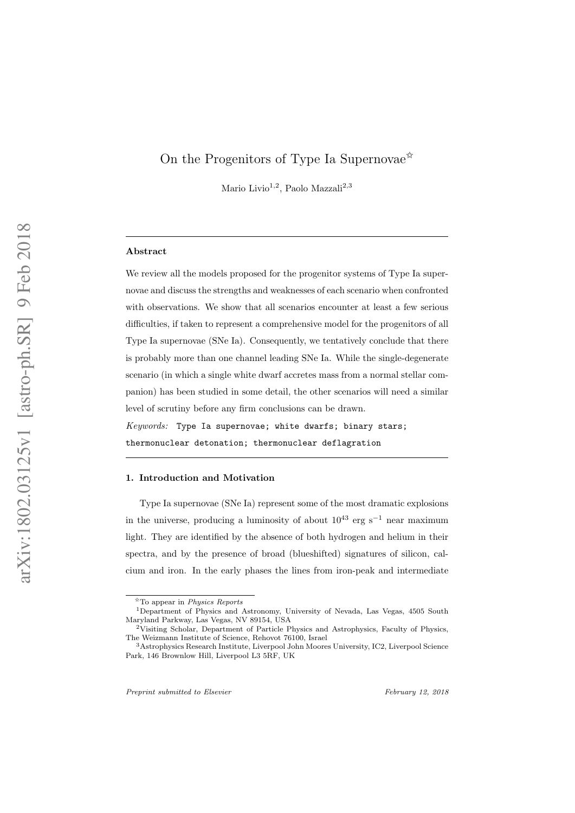# On the Progenitors of Type Ia Supernovae<sup> $\hat{\mathbf{x}}$ </sup>

Mario Livio<sup>1,2</sup>, Paolo Mazzali<sup>2,3</sup>

#### Abstract

We review all the models proposed for the progenitor systems of Type Ia supernovae and discuss the strengths and weaknesses of each scenario when confronted with observations. We show that all scenarios encounter at least a few serious difficulties, if taken to represent a comprehensive model for the progenitors of all Type Ia supernovae (SNe Ia). Consequently, we tentatively conclude that there is probably more than one channel leading SNe Ia. While the single-degenerate scenario (in which a single white dwarf accretes mass from a normal stellar companion) has been studied in some detail, the other scenarios will need a similar level of scrutiny before any firm conclusions can be drawn.

 $Keywords:$  Type Ia supernovae; white dwarfs; binary stars; thermonuclear detonation; thermonuclear deflagration

#### 1. Introduction and Motivation

Type Ia supernovae (SNe Ia) represent some of the most dramatic explosions in the universe, producing a luminosity of about  $10^{43}$  erg s<sup>-1</sup> near maximum light. They are identified by the absence of both hydrogen and helium in their spectra, and by the presence of broad (blueshifted) signatures of silicon, calcium and iron. In the early phases the lines from iron-peak and intermediate

 $$\uparrow$$  To appear in *Physics Reports* and Astronomy, University of Nevada, Las Vegas, 4505 South Maryland Parkway, Las Vegas, NV 89154, USA

 $2$ Visiting Scholar, Department of Particle Physics and Astrophysics, Faculty of Physics, The Weizmann Institute of Science, Rehovot 76100, Israel <sup>3</sup>Astrophysics Research Institute, Liverpool John Moores University, IC2, Liverpool Science

Park, 146 Brownlow Hill, Liverpool L3 5RF, UK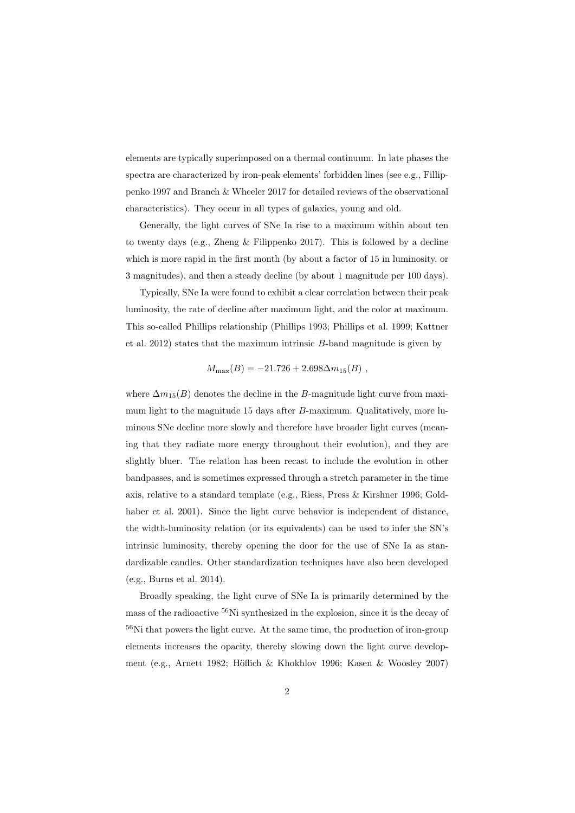elements are typically superimposed on a thermal continuum. In late phases the spectra are characterized by iron-peak elements' forbidden lines (see e.g., Fillippenko 1997 and Branch & Wheeler 2017 for detailed reviews of the observational characteristics). They occur in all types of galaxies, young and old.

Generally, the light curves of SNe Ia rise to a maximum within about ten to twenty days (e.g., Zheng & Filippenko 2017). This is followed by a decline which is more rapid in the first month (by about a factor of 15 in luminosity, or 3 magnitudes), and then a steady decline (by about 1 magnitude per 100 days).

Typically, SNe Ia were found to exhibit a clear correlation between their peak luminosity, the rate of decline after maximum light, and the color at maximum. This so-called Phillips relationship (Phillips 1993; Phillips et al. 1999; Kattner et al. 2012) states that the maximum intrinsic B-band magnitude is given by

$$
M_{\text{max}}(B) = -21.726 + 2.698 \Delta m_{15}(B) ,
$$

where  $\Delta m_{15}(B)$  denotes the decline in the B-magnitude light curve from maximum light to the magnitude 15 days after B-maximum. Qualitatively, more luminous SNe decline more slowly and therefore have broader light curves (meaning that they radiate more energy throughout their evolution), and they are slightly bluer. The relation has been recast to include the evolution in other bandpasses, and is sometimes expressed through a stretch parameter in the time axis, relative to a standard template (e.g., Riess, Press & Kirshner 1996; Goldhaber et al. 2001). Since the light curve behavior is independent of distance, the width-luminosity relation (or its equivalents) can be used to infer the SN's intrinsic luminosity, thereby opening the door for the use of SNe Ia as standardizable candles. Other standardization techniques have also been developed (e.g., Burns et al. 2014).

Broadly speaking, the light curve of SNe Ia is primarily determined by the mass of the radioactive <sup>56</sup>Ni synthesized in the explosion, since it is the decay of  $56$ Ni that powers the light curve. At the same time, the production of iron-group elements increases the opacity, thereby slowing down the light curve development (e.g., Arnett 1982; Höflich & Khokhlov 1996; Kasen & Woosley 2007)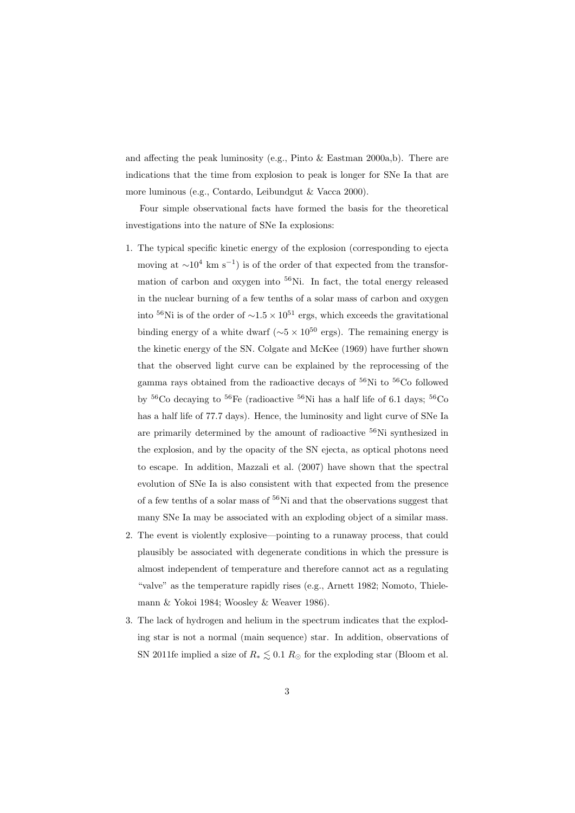and affecting the peak luminosity (e.g., Pinto & Eastman 2000a,b). There are indications that the time from explosion to peak is longer for SNe Ia that are more luminous (e.g., Contardo, Leibundgut & Vacca 2000).

Four simple observational facts have formed the basis for the theoretical investigations into the nature of SNe Ia explosions:

- 1. The typical specific kinetic energy of the explosion (corresponding to ejecta moving at  $\sim 10^4$  km s<sup>-1</sup>) is of the order of that expected from the transformation of carbon and oxygen into  $56$ Ni. In fact, the total energy released in the nuclear burning of a few tenths of a solar mass of carbon and oxygen into  $^{56}\text{Ni}$  is of the order of  $\sim$ 1.5 × 10<sup>51</sup> ergs, which exceeds the gravitational binding energy of a white dwarf ( $\sim$ 5 × 10<sup>50</sup> ergs). The remaining energy is the kinetic energy of the SN. Colgate and McKee (1969) have further shown that the observed light curve can be explained by the reprocessing of the gamma rays obtained from the radioactive decays of  $^{56}$ Ni to  $^{56}$ Co followed by  ${}^{56}Co$  decaying to  ${}^{56}Fe$  (radioactive  ${}^{56}Ni$  has a half life of 6.1 days;  ${}^{56}Co$ has a half life of 77.7 days). Hence, the luminosity and light curve of SNe Ia are primarily determined by the amount of radioactive <sup>56</sup>Ni synthesized in the explosion, and by the opacity of the SN ejecta, as optical photons need to escape. In addition, Mazzali et al. (2007) have shown that the spectral evolution of SNe Ia is also consistent with that expected from the presence of a few tenths of a solar mass of  $56$ Ni and that the observations suggest that many SNe Ia may be associated with an exploding object of a similar mass.
- 2. The event is violently explosive—pointing to a runaway process, that could plausibly be associated with degenerate conditions in which the pressure is almost independent of temperature and therefore cannot act as a regulating "valve" as the temperature rapidly rises (e.g., Arnett 1982; Nomoto, Thielemann & Yokoi 1984; Woosley & Weaver 1986).
- 3. The lack of hydrogen and helium in the spectrum indicates that the exploding star is not a normal (main sequence) star. In addition, observations of SN 2011fe implied a size of  $R_* \lesssim 0.1 R_{\odot}$  for the exploding star (Bloom et al.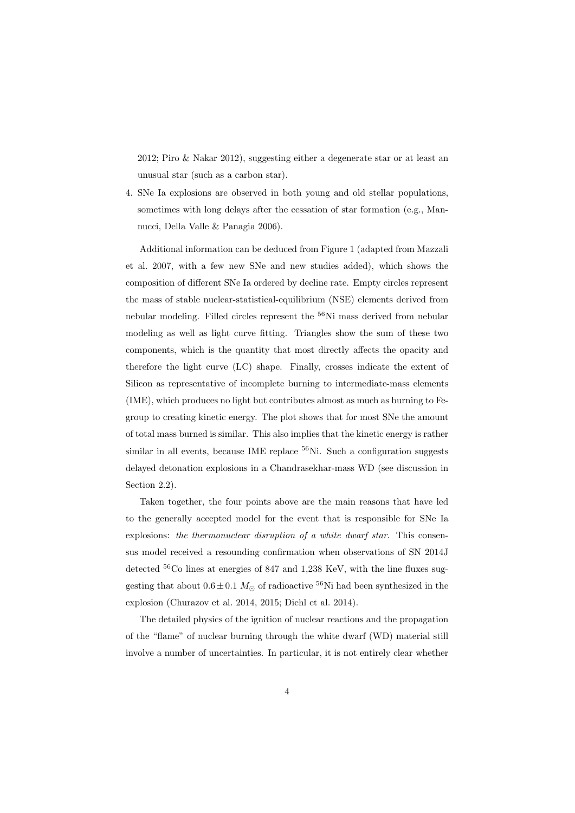2012; Piro & Nakar 2012), suggesting either a degenerate star or at least an unusual star (such as a carbon star).

4. SNe Ia explosions are observed in both young and old stellar populations, sometimes with long delays after the cessation of star formation (e.g., Mannucci, Della Valle & Panagia 2006).

Additional information can be deduced from Figure 1 (adapted from Mazzali et al. 2007, with a few new SNe and new studies added), which shows the composition of different SNe Ia ordered by decline rate. Empty circles represent the mass of stable nuclear-statistical-equilibrium (NSE) elements derived from nebular modeling. Filled circles represent the <sup>56</sup>Ni mass derived from nebular modeling as well as light curve fitting. Triangles show the sum of these two components, which is the quantity that most directly affects the opacity and therefore the light curve (LC) shape. Finally, crosses indicate the extent of Silicon as representative of incomplete burning to intermediate-mass elements (IME), which produces no light but contributes almost as much as burning to Fegroup to creating kinetic energy. The plot shows that for most SNe the amount of total mass burned is similar. This also implies that the kinetic energy is rather similar in all events, because IME replace  ${}^{56}$ Ni. Such a configuration suggests delayed detonation explosions in a Chandrasekhar-mass WD (see discussion in Section 2.2).

Taken together, the four points above are the main reasons that have led to the generally accepted model for the event that is responsible for SNe Ia explosions: the thermonuclear disruption of a white dwarf star. This consensus model received a resounding confirmation when observations of SN 2014J detected <sup>56</sup>Co lines at energies of 847 and 1,238 KeV, with the line fluxes suggesting that about  $0.6 \pm 0.1$  M<sub>\oppo</sub> of radioactive <sup>56</sup>Ni had been synthesized in the explosion (Churazov et al. 2014, 2015; Diehl et al. 2014).

The detailed physics of the ignition of nuclear reactions and the propagation of the "flame" of nuclear burning through the white dwarf (WD) material still involve a number of uncertainties. In particular, it is not entirely clear whether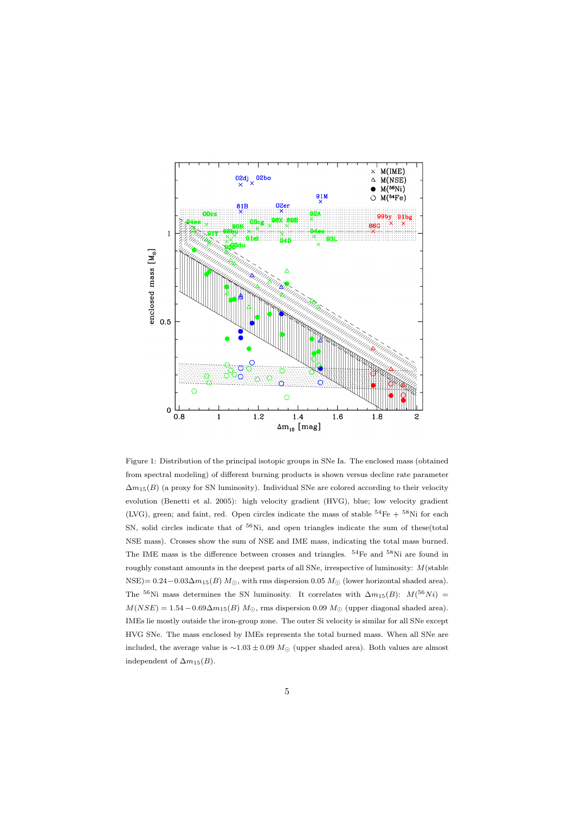

Figure 1: Distribution of the principal isotopic groups in SNe Ia. The enclosed mass (obtained from spectral modeling) of different burning products is shown versus decline rate parameter  $\Delta m_{15}(B)$  (a proxy for SN luminosity). Individual SNe are colored according to their velocity evolution (Benetti et al. 2005): high velocity gradient (HVG), blue; low velocity gradient (LVG), green; and faint, red. Open circles indicate the mass of stable  $^{54}Fe + {^{58}Ni}$  for each SN, solid circles indicate that of <sup>56</sup>Ni, and open triangles indicate the sum of these(total NSE mass). Crosses show the sum of NSE and IME mass, indicating the total mass burned. The IME mass is the difference between crosses and triangles. <sup>54</sup>Fe and <sup>58</sup>Ni are found in roughly constant amounts in the deepest parts of all SNe, irrespective of luminosity:  $M$ (stable NSE)=  $0.24-0.03\Delta m_{15}(B) M_{\odot}$ , with rms dispersion 0.05  $M_{\odot}$  (lower horizontal shaded area). The <sup>56</sup>Ni mass determines the SN luminosity. It correlates with  $\Delta m_{15}(B)$ :  $M(^{56}Ni)$  =  $M(NSE) = 1.54 - 0.69\Delta m_{15}(B) M_{\odot}$ , rms dispersion 0.09  $M_{\odot}$  (upper diagonal shaded area). IMEs lie mostly outside the iron-group zone. The outer Si velocity is similar for all SNe except HVG SNe. The mass enclosed by IMEs represents the total burned mass. When all SNe are included, the average value is  $\sim$ 1.03 ± 0.09 M<sub>☉</sub> (upper shaded area). Both values are almost independent of  $\Delta m_{15}(B)$ .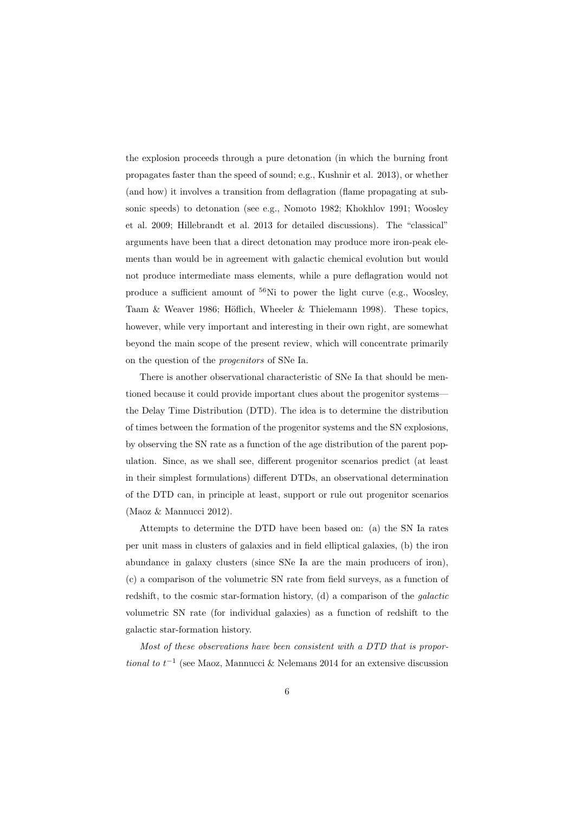the explosion proceeds through a pure detonation (in which the burning front propagates faster than the speed of sound; e.g., Kushnir et al. 2013), or whether (and how) it involves a transition from deflagration (flame propagating at subsonic speeds) to detonation (see e.g., Nomoto 1982; Khokhlov 1991; Woosley et al. 2009; Hillebrandt et al. 2013 for detailed discussions). The "classical" arguments have been that a direct detonation may produce more iron-peak elements than would be in agreement with galactic chemical evolution but would not produce intermediate mass elements, while a pure deflagration would not produce a sufficient amount of  $56\text{Ni}$  to power the light curve (e.g., Woosley, Taam & Weaver 1986; Höflich, Wheeler & Thielemann 1998). These topics, however, while very important and interesting in their own right, are somewhat beyond the main scope of the present review, which will concentrate primarily on the question of the progenitors of SNe Ia.

There is another observational characteristic of SNe Ia that should be mentioned because it could provide important clues about the progenitor systems the Delay Time Distribution (DTD). The idea is to determine the distribution of times between the formation of the progenitor systems and the SN explosions, by observing the SN rate as a function of the age distribution of the parent population. Since, as we shall see, different progenitor scenarios predict (at least in their simplest formulations) different DTDs, an observational determination of the DTD can, in principle at least, support or rule out progenitor scenarios (Maoz & Mannucci 2012).

Attempts to determine the DTD have been based on: (a) the SN Ia rates per unit mass in clusters of galaxies and in field elliptical galaxies, (b) the iron abundance in galaxy clusters (since SNe Ia are the main producers of iron), (c) a comparison of the volumetric SN rate from field surveys, as a function of redshift, to the cosmic star-formation history, (d) a comparison of the galactic volumetric SN rate (for individual galaxies) as a function of redshift to the galactic star-formation history.

Most of these observations have been consistent with a DTD that is proportional to  $t^{-1}$  (see Maoz, Mannucci & Nelemans 2014 for an extensive discussion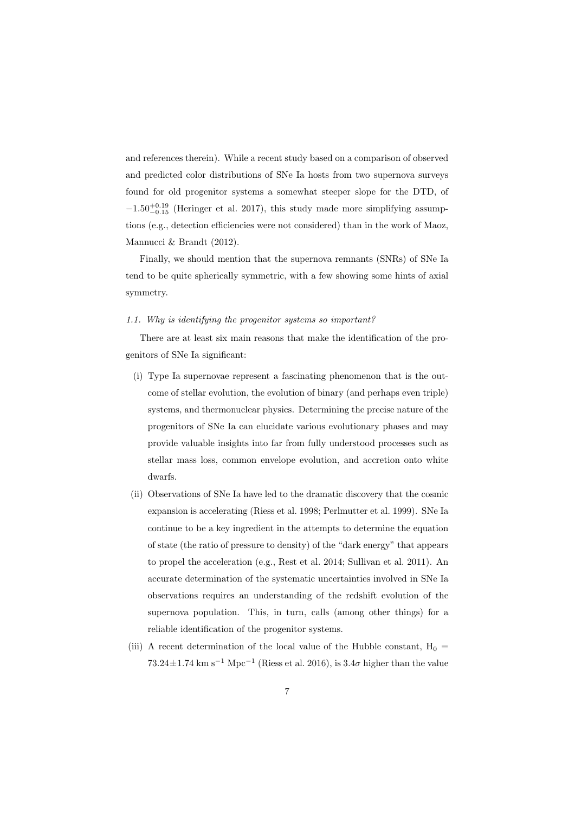and references therein). While a recent study based on a comparison of observed and predicted color distributions of SNe Ia hosts from two supernova surveys found for old progenitor systems a somewhat steeper slope for the DTD, of  $-1.50^{+0.19}_{-0.15}$  (Heringer et al. 2017), this study made more simplifying assumptions (e.g., detection efficiencies were not considered) than in the work of Maoz, Mannucci & Brandt (2012).

Finally, we should mention that the supernova remnants (SNRs) of SNe Ia tend to be quite spherically symmetric, with a few showing some hints of axial symmetry.

#### 1.1. Why is identifying the progenitor systems so important?

There are at least six main reasons that make the identification of the progenitors of SNe Ia significant:

- (i) Type Ia supernovae represent a fascinating phenomenon that is the outcome of stellar evolution, the evolution of binary (and perhaps even triple) systems, and thermonuclear physics. Determining the precise nature of the progenitors of SNe Ia can elucidate various evolutionary phases and may provide valuable insights into far from fully understood processes such as stellar mass loss, common envelope evolution, and accretion onto white dwarfs.
- (ii) Observations of SNe Ia have led to the dramatic discovery that the cosmic expansion is accelerating (Riess et al. 1998; Perlmutter et al. 1999). SNe Ia continue to be a key ingredient in the attempts to determine the equation of state (the ratio of pressure to density) of the "dark energy" that appears to propel the acceleration (e.g., Rest et al. 2014; Sullivan et al. 2011). An accurate determination of the systematic uncertainties involved in SNe Ia observations requires an understanding of the redshift evolution of the supernova population. This, in turn, calls (among other things) for a reliable identification of the progenitor systems.
- (iii) A recent determination of the local value of the Hubble constant,  $H_0 =$  $73.24\pm1.74$  km s<sup>-1</sup> Mpc<sup>-1</sup> (Riess et al. 2016), is 3.4 $\sigma$  higher than the value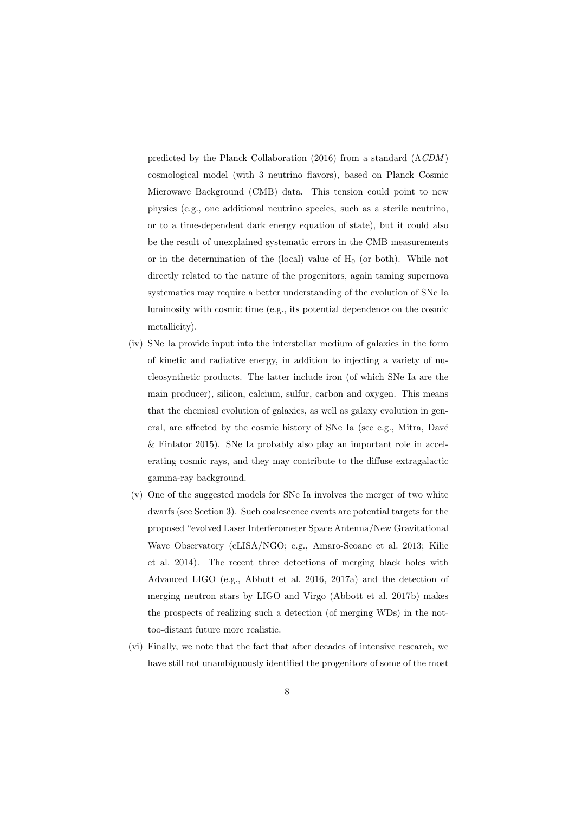predicted by the Planck Collaboration (2016) from a standard  $(\Lambda CDM)$ cosmological model (with 3 neutrino flavors), based on Planck Cosmic Microwave Background (CMB) data. This tension could point to new physics (e.g., one additional neutrino species, such as a sterile neutrino, or to a time-dependent dark energy equation of state), but it could also be the result of unexplained systematic errors in the CMB measurements or in the determination of the (local) value of  $H_0$  (or both). While not directly related to the nature of the progenitors, again taming supernova systematics may require a better understanding of the evolution of SNe Ia luminosity with cosmic time (e.g., its potential dependence on the cosmic metallicity).

- (iv) SNe Ia provide input into the interstellar medium of galaxies in the form of kinetic and radiative energy, in addition to injecting a variety of nucleosynthetic products. The latter include iron (of which SNe Ia are the main producer), silicon, calcium, sulfur, carbon and oxygen. This means that the chemical evolution of galaxies, as well as galaxy evolution in general, are affected by the cosmic history of SNe Ia (see e.g., Mitra, Davé & Finlator 2015). SNe Ia probably also play an important role in accelerating cosmic rays, and they may contribute to the diffuse extragalactic gamma-ray background.
- (v) One of the suggested models for SNe Ia involves the merger of two white dwarfs (see Section 3). Such coalescence events are potential targets for the proposed "evolved Laser Interferometer Space Antenna/New Gravitational Wave Observatory (eLISA/NGO; e.g., Amaro-Seoane et al. 2013; Kilic et al. 2014). The recent three detections of merging black holes with Advanced LIGO (e.g., Abbott et al. 2016, 2017a) and the detection of merging neutron stars by LIGO and Virgo (Abbott et al. 2017b) makes the prospects of realizing such a detection (of merging WDs) in the nottoo-distant future more realistic.
- (vi) Finally, we note that the fact that after decades of intensive research, we have still not unambiguously identified the progenitors of some of the most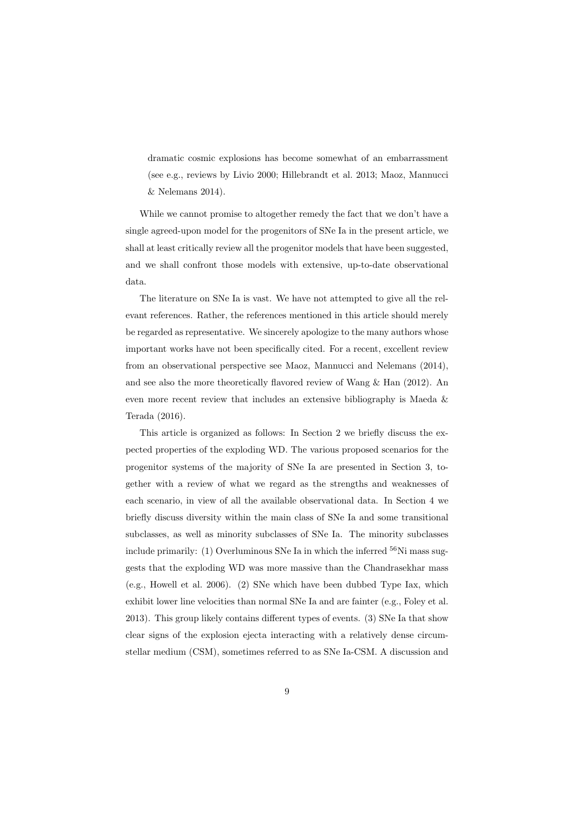dramatic cosmic explosions has become somewhat of an embarrassment (see e.g., reviews by Livio 2000; Hillebrandt et al. 2013; Maoz, Mannucci  $&$  Nelemans 2014).

While we cannot promise to altogether remedy the fact that we don't have a single agreed-upon model for the progenitors of SNe Ia in the present article, we shall at least critically review all the progenitor models that have been suggested, and we shall confront those models with extensive, up-to-date observational data.

The literature on SNe Ia is vast. We have not attempted to give all the relevant references. Rather, the references mentioned in this article should merely be regarded as representative. We sincerely apologize to the many authors whose important works have not been specifically cited. For a recent, excellent review from an observational perspective see Maoz, Mannucci and Nelemans (2014), and see also the more theoretically flavored review of Wang & Han (2012). An even more recent review that includes an extensive bibliography is Maeda & Terada (2016).

This article is organized as follows: In Section 2 we briefly discuss the expected properties of the exploding WD. The various proposed scenarios for the progenitor systems of the majority of SNe Ia are presented in Section 3, together with a review of what we regard as the strengths and weaknesses of each scenario, in view of all the available observational data. In Section 4 we briefly discuss diversity within the main class of SNe Ia and some transitional subclasses, as well as minority subclasses of SNe Ia. The minority subclasses include primarily: (1) Overluminous SNe Ia in which the inferred  $56$ Ni mass suggests that the exploding WD was more massive than the Chandrasekhar mass (e.g., Howell et al. 2006). (2) SNe which have been dubbed Type Iax, which exhibit lower line velocities than normal SNe Ia and are fainter (e.g., Foley et al. 2013). This group likely contains different types of events. (3) SNe Ia that show clear signs of the explosion ejecta interacting with a relatively dense circumstellar medium (CSM), sometimes referred to as SNe Ia-CSM. A discussion and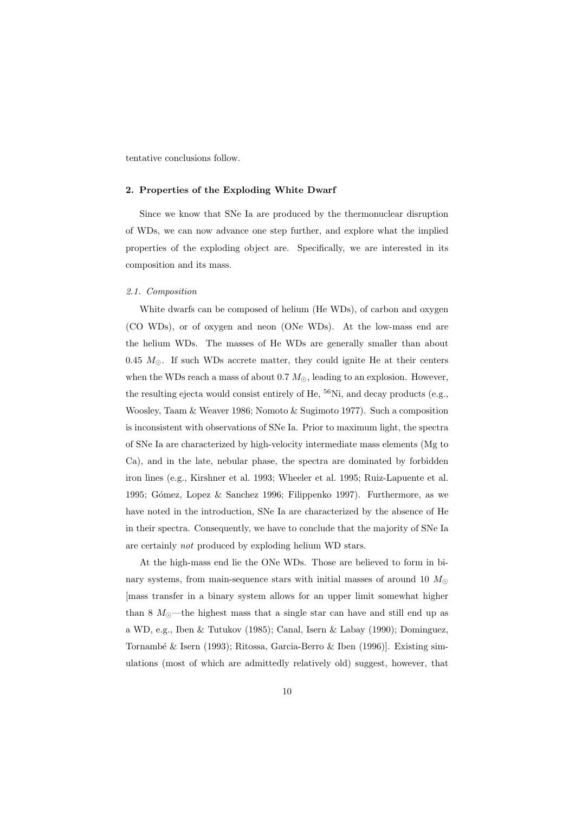tentative conclusions follow.

#### 2. Properties of the Exploding White Dwarf

Since we know that SNe Ia are produced by the thermonuclear disruption of WDs, we can now advance one step further, and explore what the implied properties of the exploding object are. Specifically, we are interested in its composition and its mass.

#### 2.1. Composition

White dwarfs can be composed of helium (He WDs), of carbon and oxygen (CO WDs), or of oxygen and neon (ONe WDs). At the low-mass end are the helium WDs. The masses of He WDs are generally smaller than about 0.45  $M_{\odot}$ . If such WDs accrete matter, they could ignite He at their centers when the WDs reach a mass of about 0.7  $M_{\odot}$ , leading to an explosion. However, the resulting ejecta would consist entirely of He,  ${}^{56}$ Ni, and decay products (e.g., Woosley, Taam & Weaver 1986; Nomoto & Sugimoto 1977). Such a composition is inconsistent with observations of SNe Ia. Prior to maximum light, the spectra of SNe Ia are characterized by high-velocity intermediate mass elements (Mg to Ca), and in the late, nebular phase, the spectra are dominated by forbidden iron lines (e.g., Kirshner et al. 1993; Wheeler et al. 1995; Ruiz-Lapuente et al. 1995; Gómez, Lopez & Sanchez 1996; Filippenko 1997). Furthermore, as we have noted in the introduction, SNe Ia are characterized by the absence of He in their spectra. Consequently, we have to conclude that the majority of SNe Ia are certainly not produced by exploding helium WD stars.

At the high-mass end lie the ONe WDs. Those are believed to form in binary systems, from main-sequence stars with initial masses of around 10  $M_{\odot}$ [mass transfer in a binary system allows for an upper limit somewhat higher than 8  $M_{\odot}$ —the highest mass that a single star can have and still end up as a WD, e.g., Iben & Tutukov (1985); Canal, Isern & Labay (1990); Dominguez, Tornambé & Isern (1993); Ritossa, Garcia-Berro & Iben (1996)]. Existing simulations (most of which are admittedly relatively old) suggest, however, that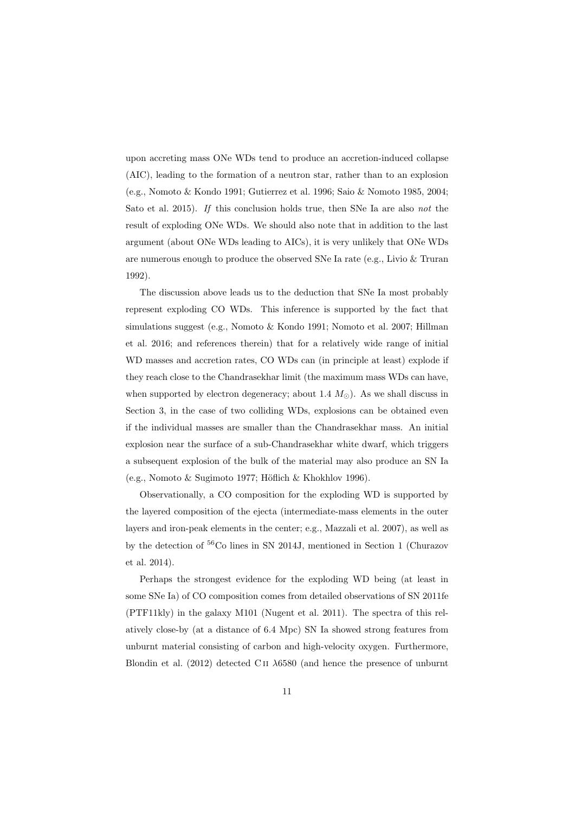upon accreting mass ONe WDs tend to produce an accretion-induced collapse (AIC), leading to the formation of a neutron star, rather than to an explosion (e.g., Nomoto & Kondo 1991; Gutierrez et al. 1996; Saio & Nomoto 1985, 2004; Sato et al. 2015). If this conclusion holds true, then SNe Ia are also not the result of exploding ONe WDs. We should also note that in addition to the last argument (about ONe WDs leading to AICs), it is very unlikely that ONe WDs are numerous enough to produce the observed SNe Ia rate (e.g., Livio & Truran 1992).

The discussion above leads us to the deduction that SNe Ia most probably represent exploding CO WDs. This inference is supported by the fact that simulations suggest (e.g., Nomoto & Kondo 1991; Nomoto et al. 2007; Hillman et al. 2016; and references therein) that for a relatively wide range of initial WD masses and accretion rates, CO WDs can (in principle at least) explode if they reach close to the Chandrasekhar limit (the maximum mass WDs can have, when supported by electron degeneracy; about 1.4  $M_{\odot}$ ). As we shall discuss in Section 3, in the case of two colliding WDs, explosions can be obtained even if the individual masses are smaller than the Chandrasekhar mass. An initial explosion near the surface of a sub-Chandrasekhar white dwarf, which triggers a subsequent explosion of the bulk of the material may also produce an SN Ia (e.g., Nomoto & Sugimoto 1977; Höflich & Khokhlov 1996).

Observationally, a CO composition for the exploding WD is supported by the layered composition of the ejecta (intermediate-mass elements in the outer layers and iron-peak elements in the center; e.g., Mazzali et al. 2007), as well as by the detection of <sup>56</sup>Co lines in SN 2014J, mentioned in Section 1 (Churazov et al. 2014).

Perhaps the strongest evidence for the exploding WD being (at least in some SNe Ia) of CO composition comes from detailed observations of SN 2011fe (PTF11kly) in the galaxy M101 (Nugent et al. 2011). The spectra of this relatively close-by (at a distance of 6.4 Mpc) SN Ia showed strong features from unburnt material consisting of carbon and high-velocity oxygen. Furthermore, Blondin et al. (2012) detected C  $\text{II}$   $\lambda$ 6580 (and hence the presence of unburnt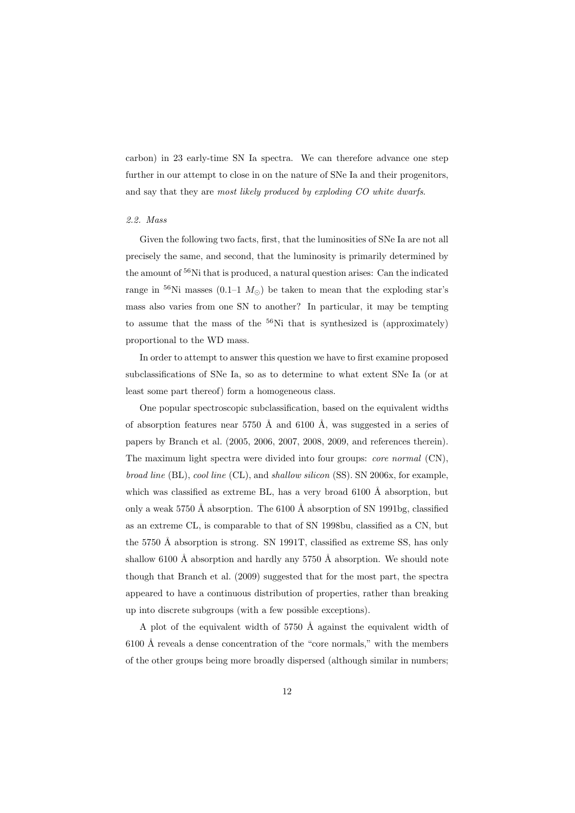carbon) in 23 early-time SN Ia spectra. We can therefore advance one step further in our attempt to close in on the nature of SNe Ia and their progenitors, and say that they are most likely produced by exploding CO white dwarfs.

#### 2.2. Mass

Given the following two facts, first, that the luminosities of SNe Ia are not all precisely the same, and second, that the luminosity is primarily determined by the amount of <sup>56</sup>Ni that is produced, a natural question arises: Can the indicated range in <sup>56</sup>Ni masses (0.1–1  $M_{\odot}$ ) be taken to mean that the exploding star's mass also varies from one SN to another? In particular, it may be tempting to assume that the mass of the  ${}^{56}$ Ni that is synthesized is (approximately) proportional to the WD mass.

In order to attempt to answer this question we have to first examine proposed subclassifications of SNe Ia, so as to determine to what extent SNe Ia (or at least some part thereof) form a homogeneous class.

One popular spectroscopic subclassification, based on the equivalent widths of absorption features near 5750 Å and 6100 Å, was suggested in a series of papers by Branch et al. (2005, 2006, 2007, 2008, 2009, and references therein). The maximum light spectra were divided into four groups: core normal (CN), broad line (BL), cool line (CL), and shallow silicon (SS). SN 2006x, for example, which was classified as extreme BL, has a very broad  $6100 \text{ Å}$  absorption, but only a weak 5750 Å absorption. The 6100 Å absorption of SN 1991bg, classified as an extreme CL, is comparable to that of SN 1998bu, classified as a CN, but the  $5750 \text{ Å}$  absorption is strong. SN 1991T, classified as extreme SS, has only shallow 6100 Å absorption and hardly any 5750 Å absorption. We should note though that Branch et al. (2009) suggested that for the most part, the spectra appeared to have a continuous distribution of properties, rather than breaking up into discrete subgroups (with a few possible exceptions).

A plot of the equivalent width of  $5750 \text{ Å}$  against the equivalent width of  $6100 \text{ Å}$  reveals a dense concentration of the "core normals," with the members of the other groups being more broadly dispersed (although similar in numbers;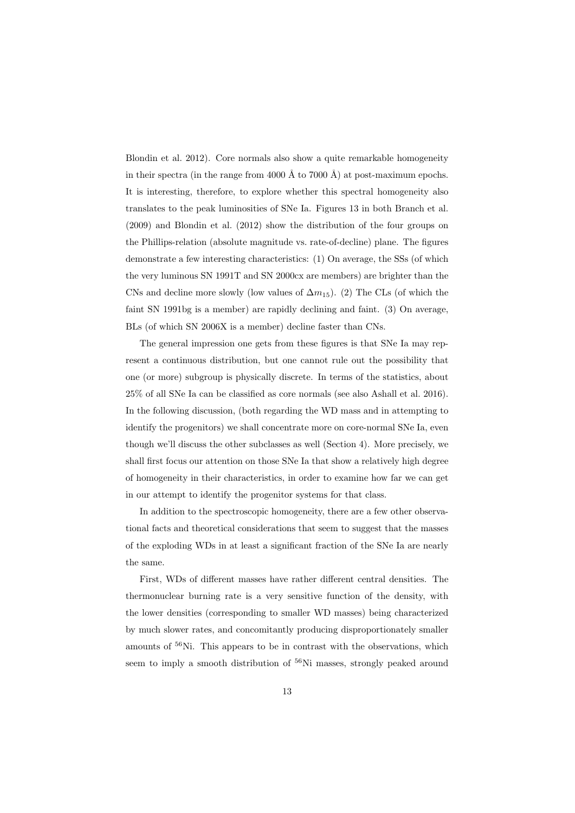Blondin et al. 2012). Core normals also show a quite remarkable homogeneity in their spectra (in the range from 4000  $\AA$  to 7000  $\AA$ ) at post-maximum epochs. It is interesting, therefore, to explore whether this spectral homogeneity also translates to the peak luminosities of SNe Ia. Figures 13 in both Branch et al. (2009) and Blondin et al. (2012) show the distribution of the four groups on the Phillips-relation (absolute magnitude vs. rate-of-decline) plane. The figures demonstrate a few interesting characteristics: (1) On average, the SSs (of which the very luminous SN 1991T and SN 2000cx are members) are brighter than the CNs and decline more slowly (low values of  $\Delta m_{15}$ ). (2) The CLs (of which the faint SN 1991bg is a member) are rapidly declining and faint. (3) On average, BLs (of which SN 2006X is a member) decline faster than CNs.

The general impression one gets from these figures is that SNe Ia may represent a continuous distribution, but one cannot rule out the possibility that one (or more) subgroup is physically discrete. In terms of the statistics, about 25% of all SNe Ia can be classified as core normals (see also Ashall et al. 2016). In the following discussion, (both regarding the WD mass and in attempting to identify the progenitors) we shall concentrate more on core-normal SNe Ia, even though we'll discuss the other subclasses as well (Section 4). More precisely, we shall first focus our attention on those SNe Ia that show a relatively high degree of homogeneity in their characteristics, in order to examine how far we can get in our attempt to identify the progenitor systems for that class.

In addition to the spectroscopic homogeneity, there are a few other observational facts and theoretical considerations that seem to suggest that the masses of the exploding WDs in at least a significant fraction of the SNe Ia are nearly the same.

First, WDs of different masses have rather different central densities. The thermonuclear burning rate is a very sensitive function of the density, with the lower densities (corresponding to smaller WD masses) being characterized by much slower rates, and concomitantly producing disproportionately smaller amounts of <sup>56</sup>Ni. This appears to be in contrast with the observations, which seem to imply a smooth distribution of <sup>56</sup>Ni masses, strongly peaked around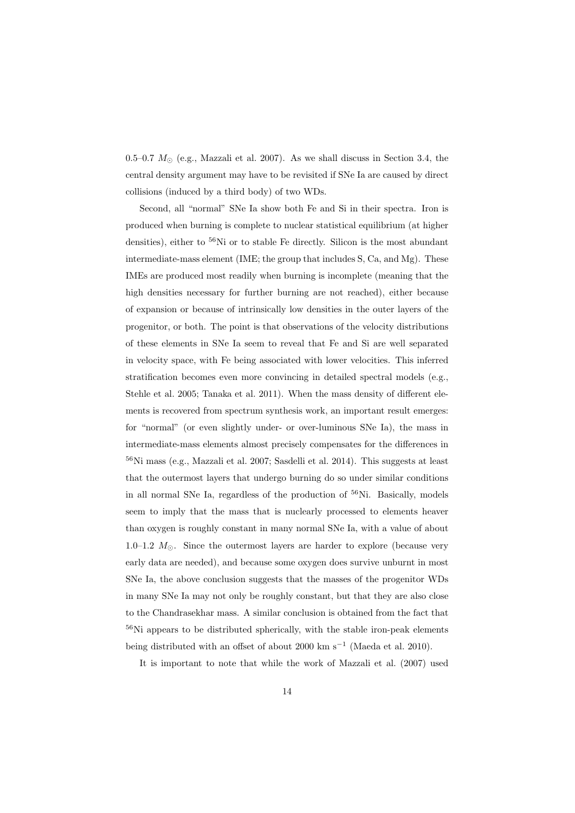0.5–0.7  $M_{\odot}$  (e.g., Mazzali et al. 2007). As we shall discuss in Section 3.4, the central density argument may have to be revisited if SNe Ia are caused by direct collisions (induced by a third body) of two WDs.

Second, all "normal" SNe Ia show both Fe and Si in their spectra. Iron is produced when burning is complete to nuclear statistical equilibrium (at higher densities), either to  ${}^{56}$ Ni or to stable Fe directly. Silicon is the most abundant intermediate-mass element (IME; the group that includes S, Ca, and Mg). These IMEs are produced most readily when burning is incomplete (meaning that the high densities necessary for further burning are not reached), either because of expansion or because of intrinsically low densities in the outer layers of the progenitor, or both. The point is that observations of the velocity distributions of these elements in SNe Ia seem to reveal that Fe and Si are well separated in velocity space, with Fe being associated with lower velocities. This inferred stratification becomes even more convincing in detailed spectral models (e.g., Stehle et al. 2005; Tanaka et al. 2011). When the mass density of different elements is recovered from spectrum synthesis work, an important result emerges: for "normal" (or even slightly under- or over-luminous SNe Ia), the mass in intermediate-mass elements almost precisely compensates for the differences in <sup>56</sup>Ni mass (e.g., Mazzali et al. 2007; Sasdelli et al. 2014). This suggests at least that the outermost layers that undergo burning do so under similar conditions in all normal SNe Ia, regardless of the production of  $56$ Ni. Basically, models seem to imply that the mass that is nuclearly processed to elements heaver than oxygen is roughly constant in many normal SNe Ia, with a value of about 1.0–1.2  $M_{\odot}$ . Since the outermost layers are harder to explore (because very early data are needed), and because some oxygen does survive unburnt in most SNe Ia, the above conclusion suggests that the masses of the progenitor WDs in many SNe Ia may not only be roughly constant, but that they are also close to the Chandrasekhar mass. A similar conclusion is obtained from the fact that <sup>56</sup>Ni appears to be distributed spherically, with the stable iron-peak elements being distributed with an offset of about 2000 km  $s^{-1}$  (Maeda et al. 2010).

It is important to note that while the work of Mazzali et al. (2007) used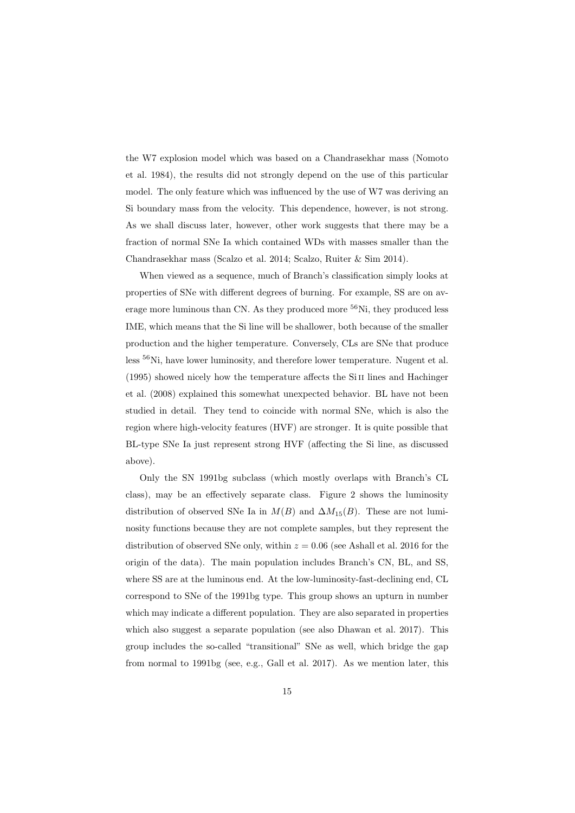the W7 explosion model which was based on a Chandrasekhar mass (Nomoto et al. 1984), the results did not strongly depend on the use of this particular model. The only feature which was influenced by the use of W7 was deriving an Si boundary mass from the velocity. This dependence, however, is not strong. As we shall discuss later, however, other work suggests that there may be a fraction of normal SNe Ia which contained WDs with masses smaller than the Chandrasekhar mass (Scalzo et al. 2014; Scalzo, Ruiter & Sim 2014).

When viewed as a sequence, much of Branch's classification simply looks at properties of SNe with different degrees of burning. For example, SS are on average more luminous than CN. As they produced more  ${}^{56}$ Ni, they produced less IME, which means that the Si line will be shallower, both because of the smaller production and the higher temperature. Conversely, CLs are SNe that produce less <sup>56</sup>Ni, have lower luminosity, and therefore lower temperature. Nugent et al.  $(1995)$  showed nicely how the temperature affects the Si $\scriptstyle{II}$  lines and Hachinger et al. (2008) explained this somewhat unexpected behavior. BL have not been studied in detail. They tend to coincide with normal SNe, which is also the region where high-velocity features (HVF) are stronger. It is quite possible that BL-type SNe Ia just represent strong HVF (affecting the Si line, as discussed above).

Only the SN 1991bg subclass (which mostly overlaps with Branch's CL class), may be an effectively separate class. Figure 2 shows the luminosity distribution of observed SNe Ia in  $M(B)$  and  $\Delta M_{15}(B)$ . These are not luminosity functions because they are not complete samples, but they represent the distribution of observed SNe only, within  $z = 0.06$  (see Ashall et al. 2016 for the origin of the data). The main population includes Branch's CN, BL, and SS, where SS are at the luminous end. At the low-luminosity-fast-declining end, CL correspond to SNe of the 1991bg type. This group shows an upturn in number which may indicate a different population. They are also separated in properties which also suggest a separate population (see also Dhawan et al. 2017). This group includes the so-called "transitional" SNe as well, which bridge the gap from normal to 1991bg (see, e.g., Gall et al. 2017). As we mention later, this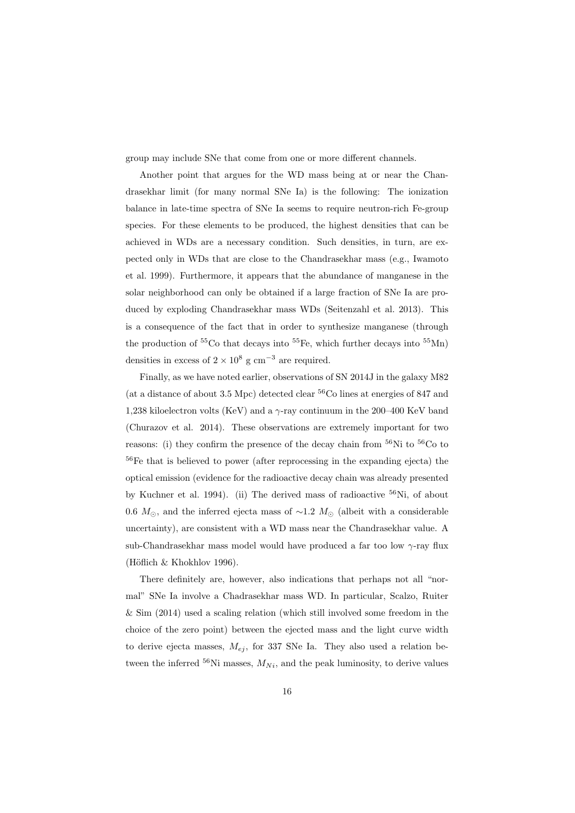group may include SNe that come from one or more different channels.

Another point that argues for the WD mass being at or near the Chandrasekhar limit (for many normal SNe Ia) is the following: The ionization balance in late-time spectra of SNe Ia seems to require neutron-rich Fe-group species. For these elements to be produced, the highest densities that can be achieved in WDs are a necessary condition. Such densities, in turn, are expected only in WDs that are close to the Chandrasekhar mass (e.g., Iwamoto et al. 1999). Furthermore, it appears that the abundance of manganese in the solar neighborhood can only be obtained if a large fraction of SNe Ia are produced by exploding Chandrasekhar mass WDs (Seitenzahl et al. 2013). This is a consequence of the fact that in order to synthesize manganese (through the production of  ${}^{55}Co$  that decays into  ${}^{55}Fe$ , which further decays into  ${}^{55}Mn$ ) densities in excess of  $2 \times 10^8$  g cm<sup>-3</sup> are required.

Finally, as we have noted earlier, observations of SN 2014J in the galaxy M82 (at a distance of about 3.5 Mpc) detected clear  ${}^{56}Co$  lines at energies of 847 and 1,238 kiloelectron volts (KeV) and a  $\gamma$ -ray continuum in the 200–400 KeV band (Churazov et al. 2014). These observations are extremely important for two reasons: (i) they confirm the presence of the decay chain from  $56Ni$  to  $56Co$  to  $56$ Fe that is believed to power (after reprocessing in the expanding ejecta) the optical emission (evidence for the radioactive decay chain was already presented by Kuchner et al. 1994). (ii) The derived mass of radioactive <sup>56</sup>Ni, of about 0.6  $M_{\odot}$ , and the inferred ejecta mass of ~1.2  $M_{\odot}$  (albeit with a considerable uncertainty), are consistent with a WD mass near the Chandrasekhar value. A sub-Chandrasekhar mass model would have produced a far too low  $\gamma$ -ray flux (Höflich  $&$  Khokhlov 1996).

There definitely are, however, also indications that perhaps not all "normal" SNe Ia involve a Chadrasekhar mass WD. In particular, Scalzo, Ruiter & Sim (2014) used a scaling relation (which still involved some freedom in the choice of the zero point) between the ejected mass and the light curve width to derive ejecta masses,  $M_{ej}$ , for 337 SNe Ia. They also used a relation between the inferred <sup>56</sup>Ni masses,  $M_{Ni}$ , and the peak luminosity, to derive values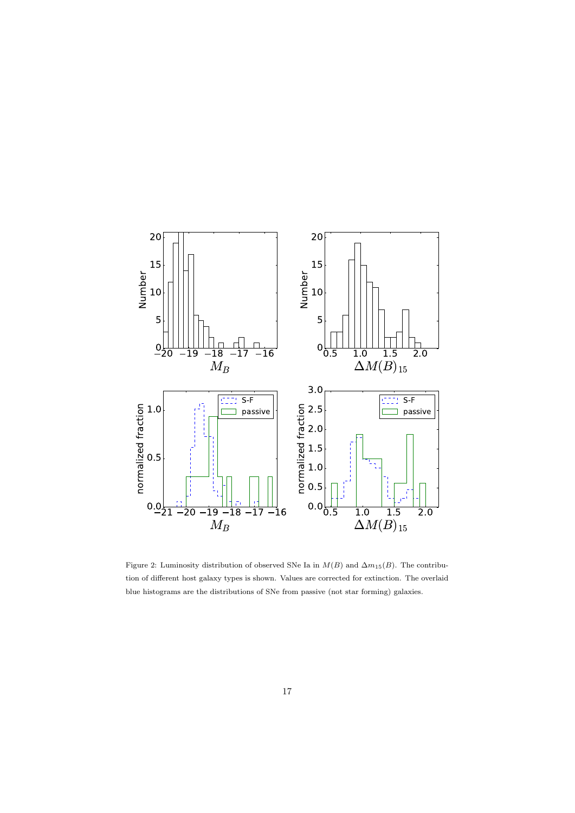

Figure 2: Luminosity distribution of observed SNe Ia in  $M(B)$  and  $\Delta m_{15}(B)$ . The contribution of different host galaxy types is shown. Values are corrected for extinction. The overlaid blue histograms are the distributions of SNe from passive (not star forming) galaxies.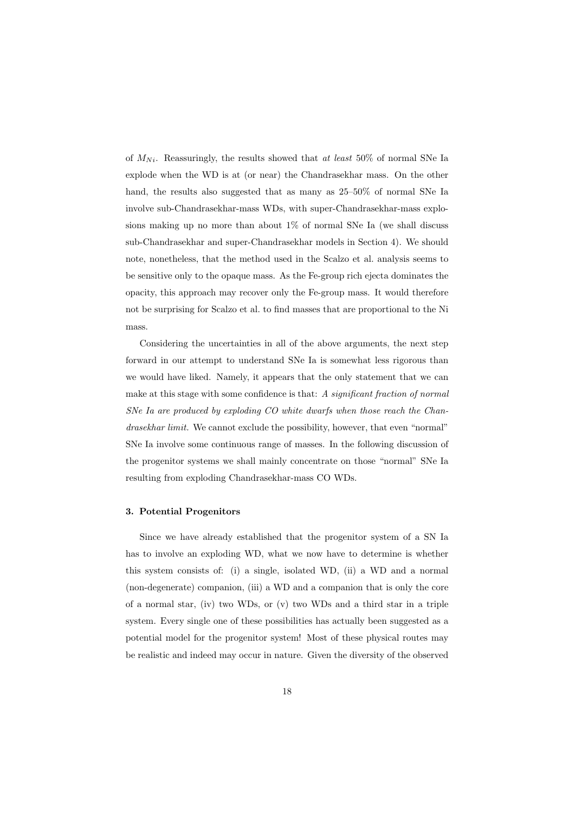of  $M_{Ni}$ . Reassuringly, the results showed that at least 50% of normal SNe Ia explode when the WD is at (or near) the Chandrasekhar mass. On the other hand, the results also suggested that as many as 25–50% of normal SNe Ia involve sub-Chandrasekhar-mass WDs, with super-Chandrasekhar-mass explosions making up no more than about 1% of normal SNe Ia (we shall discuss sub-Chandrasekhar and super-Chandrasekhar models in Section 4). We should note, nonetheless, that the method used in the Scalzo et al. analysis seems to be sensitive only to the opaque mass. As the Fe-group rich ejecta dominates the opacity, this approach may recover only the Fe-group mass. It would therefore not be surprising for Scalzo et al. to find masses that are proportional to the Ni mass.

Considering the uncertainties in all of the above arguments, the next step forward in our attempt to understand SNe Ia is somewhat less rigorous than we would have liked. Namely, it appears that the only statement that we can make at this stage with some confidence is that: A significant fraction of normal SNe Ia are produced by exploding CO white dwarfs when those reach the Chandrasekhar limit. We cannot exclude the possibility, however, that even "normal" SNe Ia involve some continuous range of masses. In the following discussion of the progenitor systems we shall mainly concentrate on those "normal" SNe Ia resulting from exploding Chandrasekhar-mass CO WDs.

#### 3. Potential Progenitors

Since we have already established that the progenitor system of a SN Ia has to involve an exploding WD, what we now have to determine is whether this system consists of: (i) a single, isolated WD, (ii) a WD and a normal (non-degenerate) companion, (iii) a WD and a companion that is only the core of a normal star, (iv) two WDs, or (v) two WDs and a third star in a triple system. Every single one of these possibilities has actually been suggested as a potential model for the progenitor system! Most of these physical routes may be realistic and indeed may occur in nature. Given the diversity of the observed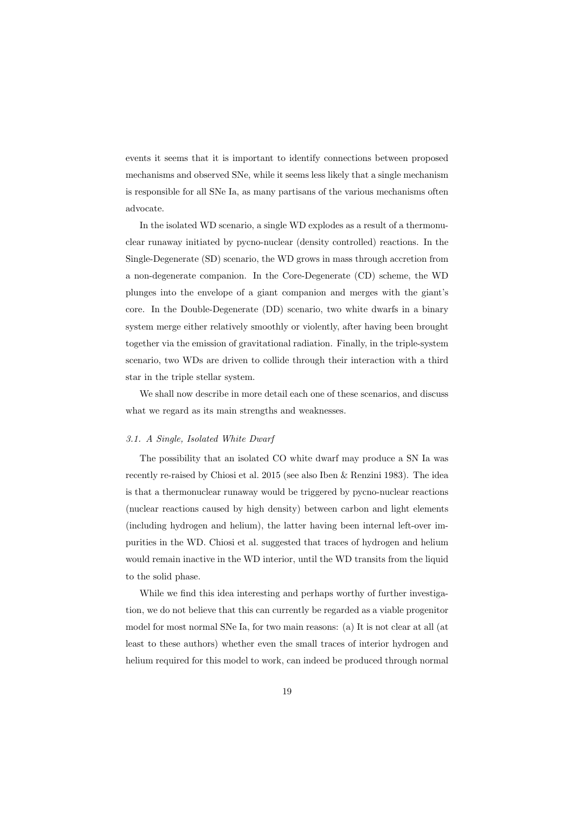events it seems that it is important to identify connections between proposed mechanisms and observed SNe, while it seems less likely that a single mechanism is responsible for all SNe Ia, as many partisans of the various mechanisms often advocate.

In the isolated WD scenario, a single WD explodes as a result of a thermonuclear runaway initiated by pycno-nuclear (density controlled) reactions. In the Single-Degenerate (SD) scenario, the WD grows in mass through accretion from a non-degenerate companion. In the Core-Degenerate (CD) scheme, the WD plunges into the envelope of a giant companion and merges with the giant's core. In the Double-Degenerate (DD) scenario, two white dwarfs in a binary system merge either relatively smoothly or violently, after having been brought together via the emission of gravitational radiation. Finally, in the triple-system scenario, two WDs are driven to collide through their interaction with a third star in the triple stellar system.

We shall now describe in more detail each one of these scenarios, and discuss what we regard as its main strengths and weaknesses.

#### 3.1. A Single, Isolated White Dwarf

The possibility that an isolated CO white dwarf may produce a SN Ia was recently re-raised by Chiosi et al. 2015 (see also Iben & Renzini 1983). The idea is that a thermonuclear runaway would be triggered by pycno-nuclear reactions (nuclear reactions caused by high density) between carbon and light elements (including hydrogen and helium), the latter having been internal left-over impurities in the WD. Chiosi et al. suggested that traces of hydrogen and helium would remain inactive in the WD interior, until the WD transits from the liquid to the solid phase.

While we find this idea interesting and perhaps worthy of further investigation, we do not believe that this can currently be regarded as a viable progenitor model for most normal SNe Ia, for two main reasons: (a) It is not clear at all (at least to these authors) whether even the small traces of interior hydrogen and helium required for this model to work, can indeed be produced through normal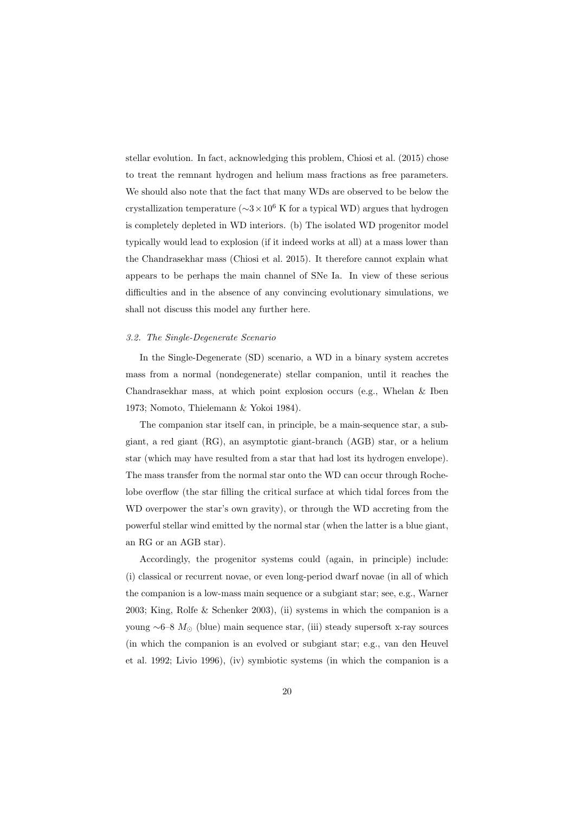stellar evolution. In fact, acknowledging this problem, Chiosi et al. (2015) chose to treat the remnant hydrogen and helium mass fractions as free parameters. We should also note that the fact that many WDs are observed to be below the crystallization temperature ( $\sim$ 3×10<sup>6</sup> K for a typical WD) argues that hydrogen is completely depleted in WD interiors. (b) The isolated WD progenitor model typically would lead to explosion (if it indeed works at all) at a mass lower than the Chandrasekhar mass (Chiosi et al. 2015). It therefore cannot explain what appears to be perhaps the main channel of SNe Ia. In view of these serious difficulties and in the absence of any convincing evolutionary simulations, we shall not discuss this model any further here.

#### 3.2. The Single-Degenerate Scenario

In the Single-Degenerate (SD) scenario, a WD in a binary system accretes mass from a normal (nondegenerate) stellar companion, until it reaches the Chandrasekhar mass, at which point explosion occurs (e.g., Whelan & Iben 1973; Nomoto, Thielemann & Yokoi 1984).

The companion star itself can, in principle, be a main-sequence star, a subgiant, a red giant (RG), an asymptotic giant-branch (AGB) star, or a helium star (which may have resulted from a star that had lost its hydrogen envelope). The mass transfer from the normal star onto the WD can occur through Rochelobe overflow (the star filling the critical surface at which tidal forces from the WD overpower the star's own gravity), or through the WD accreting from the powerful stellar wind emitted by the normal star (when the latter is a blue giant, an RG or an AGB star).

Accordingly, the progenitor systems could (again, in principle) include: (i) classical or recurrent novae, or even long-period dwarf novae (in all of which the companion is a low-mass main sequence or a subgiant star; see, e.g., Warner 2003; King, Rolfe & Schenker 2003), (ii) systems in which the companion is a young ∼6–8 M� (blue) main sequence star, (iii) steady supersoft x-ray sources (in which the companion is an evolved or subgiant star; e.g., van den Heuvel et al. 1992; Livio 1996), (iv) symbiotic systems (in which the companion is a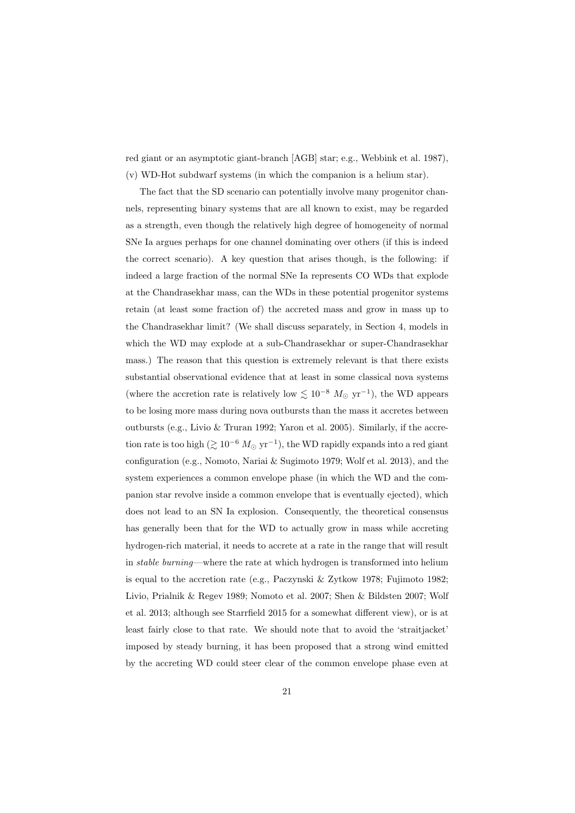red giant or an asymptotic giant-branch [AGB] star; e.g., Webbink et al. 1987), (v) WD-Hot subdwarf systems (in which the companion is a helium star).

The fact that the SD scenario can potentially involve many progenitor channels, representing binary systems that are all known to exist, may be regarded as a strength, even though the relatively high degree of homogeneity of normal SNe Ia argues perhaps for one channel dominating over others (if this is indeed the correct scenario). A key question that arises though, is the following: if indeed a large fraction of the normal SNe Ia represents CO WDs that explode at the Chandrasekhar mass, can the WDs in these potential progenitor systems retain (at least some fraction of) the accreted mass and grow in mass up to the Chandrasekhar limit? (We shall discuss separately, in Section 4, models in which the WD may explode at a sub-Chandrasekhar or super-Chandrasekhar mass.) The reason that this question is extremely relevant is that there exists substantial observational evidence that at least in some classical nova systems (where the accretion rate is relatively low  $\lesssim 10^{-8}$  M<sub>\ood</sub> yr<sup>{-1}</sup>), the WD appears to be losing more mass during nova outbursts than the mass it accretes between outbursts (e.g., Livio & Truran 1992; Yaron et al. 2005). Similarly, if the accretion rate is too high ( $\gtrsim 10^{-6} M_{\odot} \text{ yr}^{-1}$ ), the WD rapidly expands into a red giant configuration (e.g., Nomoto, Nariai & Sugimoto 1979; Wolf et al. 2013), and the system experiences a common envelope phase (in which the WD and the companion star revolve inside a common envelope that is eventually ejected), which does not lead to an SN Ia explosion. Consequently, the theoretical consensus has generally been that for the WD to actually grow in mass while accreting hydrogen-rich material, it needs to accrete at a rate in the range that will result in stable burning—where the rate at which hydrogen is transformed into helium is equal to the accretion rate (e.g., Paczynski & Zytkow 1978; Fujimoto 1982; Livio, Prialnik & Regev 1989; Nomoto et al. 2007; Shen & Bildsten 2007; Wolf et al. 2013; although see Starrfield 2015 for a somewhat different view), or is at least fairly close to that rate. We should note that to avoid the 'straitjacket' imposed by steady burning, it has been proposed that a strong wind emitted by the accreting WD could steer clear of the common envelope phase even at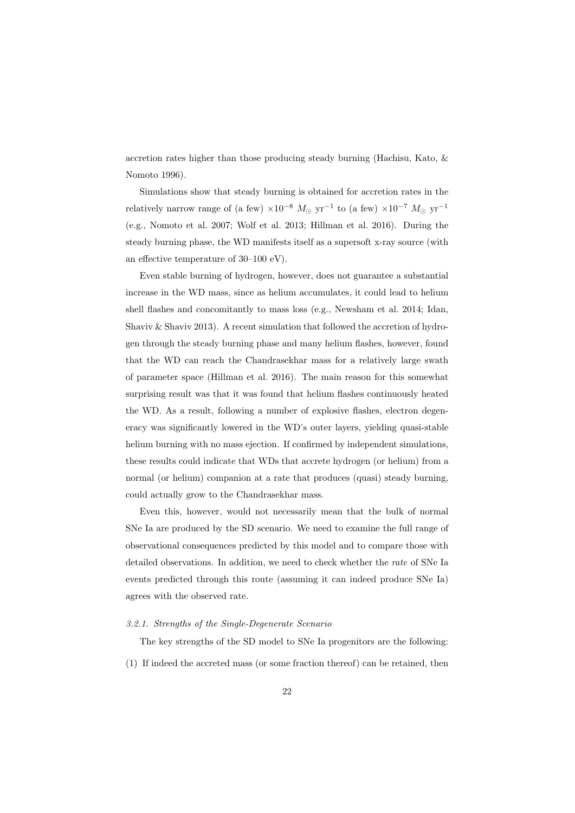accretion rates higher than those producing steady burning (Hachisu, Kato, & Nomoto 1996).

Simulations show that steady burning is obtained for accretion rates in the relatively narrow range of (a few)  $\times 10^{-8}$   $M_{\odot}$  yr<sup>-1</sup> to (a few)  $\times 10^{-7}$   $M_{\odot}$  yr<sup>-1</sup> (e.g., Nomoto et al. 2007; Wolf et al. 2013; Hillman et al. 2016). During the steady burning phase, the WD manifests itself as a supersoft x-ray source (with an effective temperature of 30–100 eV).

Even stable burning of hydrogen, however, does not guarantee a substantial increase in the WD mass, since as helium accumulates, it could lead to helium shell flashes and concomitantly to mass loss (e.g., Newsham et al. 2014; Idan, Shaviv & Shaviv 2013). A recent simulation that followed the accretion of hydrogen through the steady burning phase and many helium flashes, however, found that the WD can reach the Chandrasekhar mass for a relatively large swath of parameter space (Hillman et al. 2016). The main reason for this somewhat surprising result was that it was found that helium flashes continuously heated the WD. As a result, following a number of explosive flashes, electron degeneracy was significantly lowered in the WD's outer layers, yielding quasi-stable helium burning with no mass ejection. If confirmed by independent simulations, these results could indicate that WDs that accrete hydrogen (or helium) from a normal (or helium) companion at a rate that produces (quasi) steady burning, could actually grow to the Chandrasekhar mass.

Even this, however, would not necessarily mean that the bulk of normal SNe Ia are produced by the SD scenario. We need to examine the full range of observational consequences predicted by this model and to compare those with detailed observations. In addition, we need to check whether the rate of SNe Ia events predicted through this route (assuming it can indeed produce SNe Ia) agrees with the observed rate.

#### 3.2.1. Strengths of the Single-Degenerate Scenario

The key strengths of the SD model to SNe Ia progenitors are the following:

(1) If indeed the accreted mass (or some fraction thereof) can be retained, then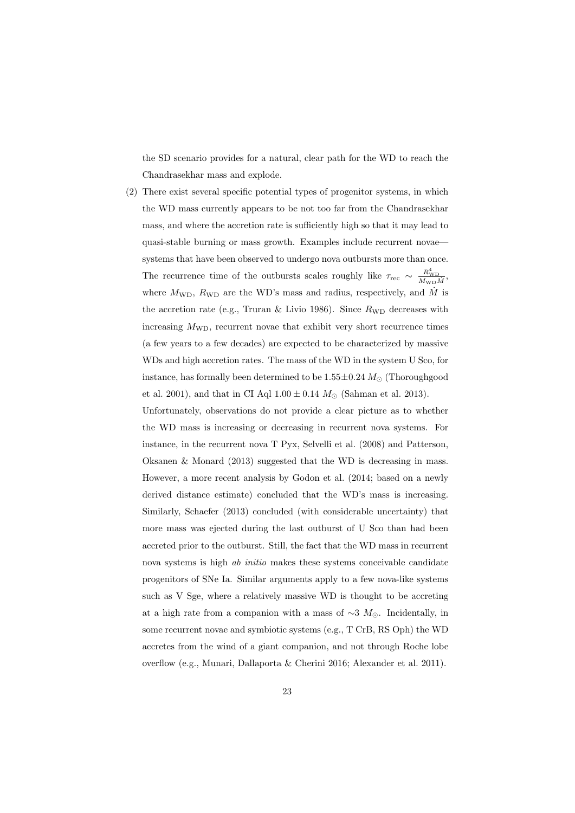the SD scenario provides for a natural, clear path for the WD to reach the Chandrasekhar mass and explode.

(2) There exist several specific potential types of progenitor systems, in which the WD mass currently appears to be not too far from the Chandrasekhar mass, and where the accretion rate is sufficiently high so that it may lead to quasi-stable burning or mass growth. Examples include recurrent novae systems that have been observed to undergo nova outbursts more than once. The recurrence time of the outbursts scales roughly like  $\tau_{\text{rec}} \sim \frac{R_{\text{WD}}^4}{M_{\text{WD}}M}$ , where  $M_{\text{WD}}$ ,  $R_{\text{WD}}$  are the WD's mass and radius, respectively, and M is the accretion rate (e.g., Truran & Livio 1986). Since  $R_{WD}$  decreases with increasing  $M_{\text{WD}}$ , recurrent novae that exhibit very short recurrence times (a few years to a few decades) are expected to be characterized by massive WDs and high accretion rates. The mass of the WD in the system U Sco, for instance, has formally been determined to be  $1.55\pm0.24$   $M_{\odot}$  (Thoroughgood et al. 2001), and that in CI Aql  $1.00 \pm 0.14$   $M_{\odot}$  (Sahman et al. 2013).

Unfortunately, observations do not provide a clear picture as to whether the WD mass is increasing or decreasing in recurrent nova systems. For instance, in the recurrent nova T Pyx, Selvelli et al. (2008) and Patterson, Oksanen & Monard (2013) suggested that the WD is decreasing in mass. However, a more recent analysis by Godon et al. (2014; based on a newly derived distance estimate) concluded that the WD's mass is increasing. Similarly, Schaefer (2013) concluded (with considerable uncertainty) that more mass was ejected during the last outburst of U Sco than had been accreted prior to the outburst. Still, the fact that the WD mass in recurrent nova systems is high *ab initio* makes these systems conceivable candidate progenitors of SNe Ia. Similar arguments apply to a few nova-like systems such as V Sge, where a relatively massive WD is thought to be accreting at a high rate from a companion with a mass of  $\sim$ 3 M<sub>☉</sub>. Incidentally, in some recurrent novae and symbiotic systems (e.g., T CrB, RS Oph) the WD accretes from the wind of a giant companion, and not through Roche lobe overflow (e.g., Munari, Dallaporta & Cherini 2016; Alexander et al. 2011).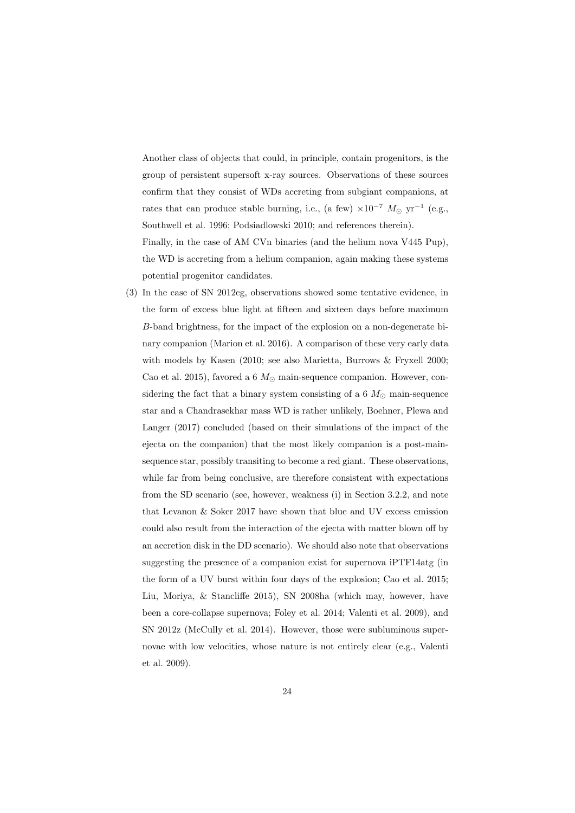Another class of objects that could, in principle, contain progenitors, is the group of persistent supersoft x-ray sources. Observations of these sources confirm that they consist of WDs accreting from subgiant companions, at rates that can produce stable burning, i.e., (a few)  $\times 10^{-7}$   $M_{\odot}$  yr<sup>-1</sup> (e.g., Southwell et al. 1996; Podsiadlowski 2010; and references therein). Finally, in the case of AM CVn binaries (and the helium nova V445 Pup),

the WD is accreting from a helium companion, again making these systems potential progenitor candidates.

(3) In the case of SN 2012cg, observations showed some tentative evidence, in the form of excess blue light at fifteen and sixteen days before maximum B-band brightness, for the impact of the explosion on a non-degenerate binary companion (Marion et al. 2016). A comparison of these very early data with models by Kasen (2010; see also Marietta, Burrows & Fryxell 2000; Cao et al. 2015), favored a 6  $M_{\odot}$  main-sequence companion. However, considering the fact that a binary system consisting of a 6  $M_{\odot}$  main-sequence star and a Chandrasekhar mass WD is rather unlikely, Boehner, Plewa and Langer (2017) concluded (based on their simulations of the impact of the ejecta on the companion) that the most likely companion is a post-mainsequence star, possibly transiting to become a red giant. These observations, while far from being conclusive, are therefore consistent with expectations from the SD scenario (see, however, weakness (i) in Section 3.2.2, and note that Levanon & Soker 2017 have shown that blue and UV excess emission could also result from the interaction of the ejecta with matter blown off by an accretion disk in the DD scenario). We should also note that observations suggesting the presence of a companion exist for supernova iPTF14atg (in the form of a UV burst within four days of the explosion; Cao et al. 2015; Liu, Moriya, & Stancliffe 2015), SN 2008ha (which may, however, have been a core-collapse supernova; Foley et al. 2014; Valenti et al. 2009), and SN 2012z (McCully et al. 2014). However, those were subluminous supernovae with low velocities, whose nature is not entirely clear (e.g., Valenti et al. 2009).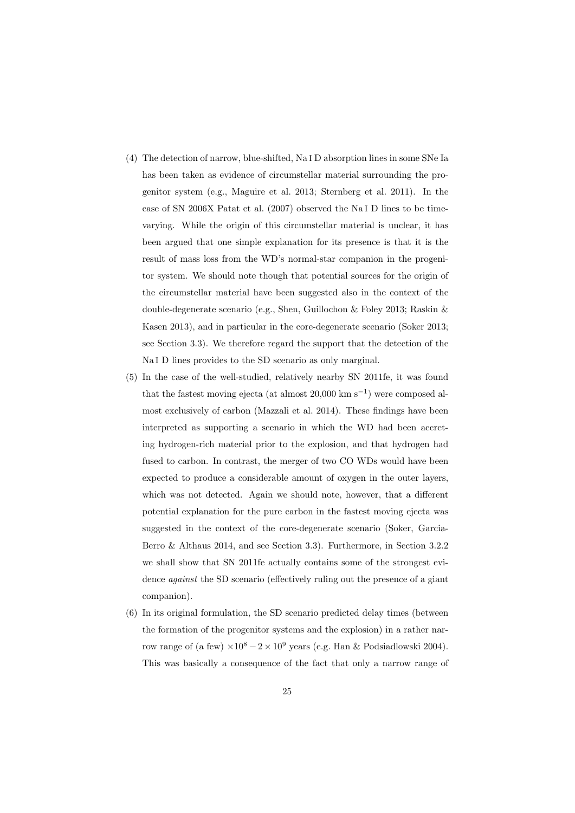- (4) The detection of narrow, blue-shifted, Na � D absorption lines in some SNe Ia has been taken as evidence of circumstellar material surrounding the progenitor system (e.g., Maguire et al. 2013; Sternberg et al. 2011). In the case of SN 2006X Patat et al.  $(2007)$  observed the NaI D lines to be timevarying. While the origin of this circumstellar material is unclear, it has been argued that one simple explanation for its presence is that it is the result of mass loss from the WD's normal-star companion in the progenitor system. We should note though that potential sources for the origin of the circumstellar material have been suggested also in the context of the double-degenerate scenario (e.g., Shen, Guillochon & Foley 2013; Raskin & Kasen 2013), and in particular in the core-degenerate scenario (Soker 2013; see Section 3.3). We therefore regard the support that the detection of the Na I D lines provides to the SD scenario as only marginal.
- (5) In the case of the well-studied, relatively nearby SN 2011fe, it was found that the fastest moving ejecta (at almost  $20,000 \text{ km s}^{-1}$ ) were composed almost exclusively of carbon (Mazzali et al. 2014). These findings have been interpreted as supporting a scenario in which the WD had been accreting hydrogen-rich material prior to the explosion, and that hydrogen had fused to carbon. In contrast, the merger of two CO WDs would have been expected to produce a considerable amount of oxygen in the outer layers, which was not detected. Again we should note, however, that a different potential explanation for the pure carbon in the fastest moving ejecta was suggested in the context of the core-degenerate scenario (Soker, Garcia-Berro & Althaus 2014, and see Section 3.3). Furthermore, in Section 3.2.2 we shall show that SN 2011fe actually contains some of the strongest evidence *against* the SD scenario (effectively ruling out the presence of a giant companion).
- (6) In its original formulation, the SD scenario predicted delay times (between the formation of the progenitor systems and the explosion) in a rather narrow range of (a few)  $\times 10^8 - 2 \times 10^9$  years (e.g. Han & Podsiadlowski 2004). This was basically a consequence of the fact that only a narrow range of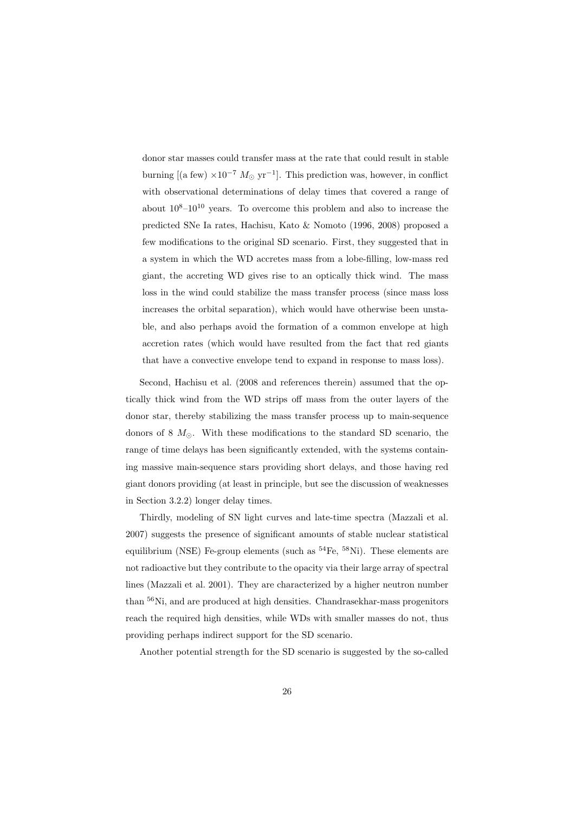donor star masses could transfer mass at the rate that could result in stable burning  $[(a \text{ few}) \times 10^{-7} M_{\odot} \text{ yr}^{-1}]$ . This prediction was, however, in conflict with observational determinations of delay times that covered a range of about  $10^{8}-10^{10}$  years. To overcome this problem and also to increase the predicted SNe Ia rates, Hachisu, Kato & Nomoto (1996, 2008) proposed a few modifications to the original SD scenario. First, they suggested that in a system in which the WD accretes mass from a lobe-filling, low-mass red giant, the accreting WD gives rise to an optically thick wind. The mass loss in the wind could stabilize the mass transfer process (since mass loss increases the orbital separation), which would have otherwise been unstable, and also perhaps avoid the formation of a common envelope at high accretion rates (which would have resulted from the fact that red giants that have a convective envelope tend to expand in response to mass loss).

Second, Hachisu et al. (2008 and references therein) assumed that the optically thick wind from the WD strips off mass from the outer layers of the donor star, thereby stabilizing the mass transfer process up to main-sequence donors of 8  $M_{\odot}$ . With these modifications to the standard SD scenario, the range of time delays has been significantly extended, with the systems containing massive main-sequence stars providing short delays, and those having red giant donors providing (at least in principle, but see the discussion of weaknesses in Section 3.2.2) longer delay times.

Thirdly, modeling of SN light curves and late-time spectra (Mazzali et al. 2007) suggests the presence of significant amounts of stable nuclear statistical equilibrium (NSE) Fe-group elements (such as  $^{54}Fe$ ,  $^{58}Ni$ ). These elements are not radioactive but they contribute to the opacity via their large array of spectral lines (Mazzali et al. 2001). They are characterized by a higher neutron number than <sup>56</sup>Ni, and are produced at high densities. Chandrasekhar-mass progenitors reach the required high densities, while WDs with smaller masses do not, thus providing perhaps indirect support for the SD scenario.

Another potential strength for the SD scenario is suggested by the so-called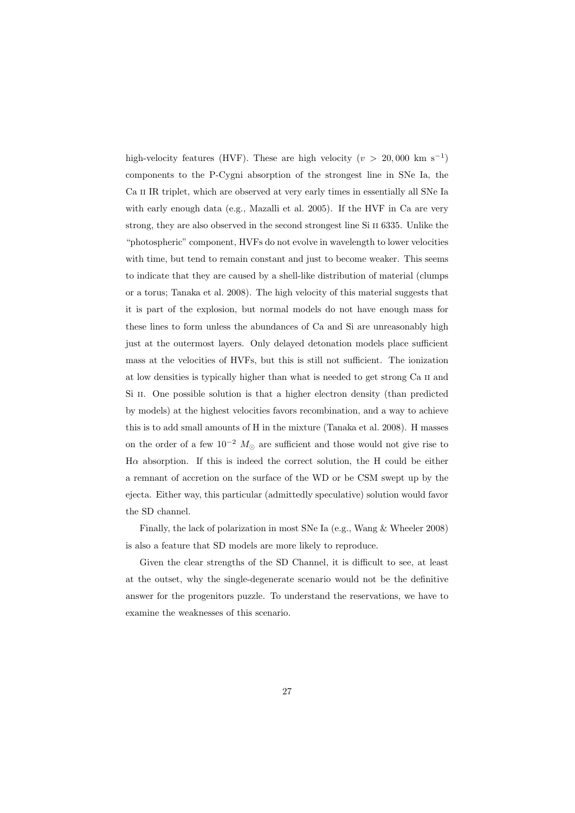high-velocity features (HVF). These are high velocity ( $v > 20,000 \text{ km s}^{-1}$ ) components to the P-Cygni absorption of the strongest line in SNe Ia, the Ca  $\text{II}$  IR triplet, which are observed at very early times in essentially all SNe Ia with early enough data (e.g., Mazalli et al. 2005). If the HVF in Ca are very strong, they are also observed in the second strongest line Si  $\text{II } 6335$ . Unlike the "photospheric" component, HVFs do not evolve in wavelength to lower velocities with time, but tend to remain constant and just to become weaker. This seems to indicate that they are caused by a shell-like distribution of material (clumps or a torus; Tanaka et al. 2008). The high velocity of this material suggests that it is part of the explosion, but normal models do not have enough mass for these lines to form unless the abundances of Ca and Si are unreasonably high just at the outermost layers. Only delayed detonation models place sufficient mass at the velocities of HVFs, but this is still not sufficient. The ionization at low densities is typically higher than what is needed to get strong Ca  $\text{II}$  and Si II. One possible solution is that a higher electron density (than predicted by models) at the highest velocities favors recombination, and a way to achieve this is to add small amounts of H in the mixture (Tanaka et al. 2008). H masses on the order of a few  $10^{-2}$   $M_{\odot}$  are sufficient and those would not give rise to H $\alpha$  absorption. If this is indeed the correct solution, the H could be either a remnant of accretion on the surface of the WD or be CSM swept up by the ejecta. Either way, this particular (admittedly speculative) solution would favor the SD channel.

Finally, the lack of polarization in most SNe Ia (e.g., Wang & Wheeler 2008) is also a feature that SD models are more likely to reproduce.

Given the clear strengths of the SD Channel, it is difficult to see, at least at the outset, why the single-degenerate scenario would not be the definitive answer for the progenitors puzzle. To understand the reservations, we have to examine the weaknesses of this scenario.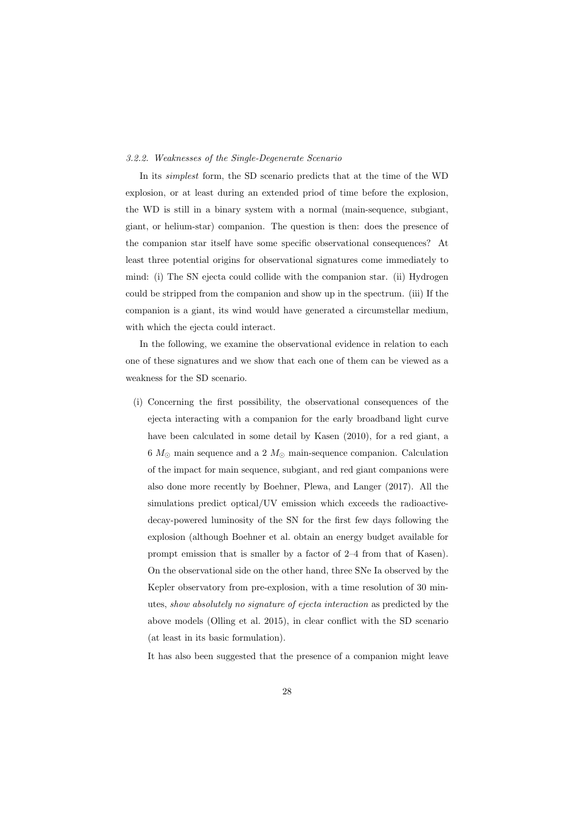#### 3.2.2. Weaknesses of the Single-Degenerate Scenario

In its *simplest* form, the SD scenario predicts that at the time of the WD explosion, or at least during an extended priod of time before the explosion, the WD is still in a binary system with a normal (main-sequence, subgiant, giant, or helium-star) companion. The question is then: does the presence of the companion star itself have some specific observational consequences? At least three potential origins for observational signatures come immediately to mind: (i) The SN ejecta could collide with the companion star. (ii) Hydrogen could be stripped from the companion and show up in the spectrum. (iii) If the companion is a giant, its wind would have generated a circumstellar medium, with which the ejecta could interact.

In the following, we examine the observational evidence in relation to each one of these signatures and we show that each one of them can be viewed as a weakness for the SD scenario.

(i) Concerning the first possibility, the observational consequences of the ejecta interacting with a companion for the early broadband light curve have been calculated in some detail by Kasen (2010), for a red giant, a 6  $M_{\odot}$  main sequence and a 2  $M_{\odot}$  main-sequence companion. Calculation of the impact for main sequence, subgiant, and red giant companions were also done more recently by Boehner, Plewa, and Langer (2017). All the simulations predict optical/UV emission which exceeds the radioactivedecay-powered luminosity of the SN for the first few days following the explosion (although Boehner et al. obtain an energy budget available for prompt emission that is smaller by a factor of 2–4 from that of Kasen). On the observational side on the other hand, three SNe Ia observed by the Kepler observatory from pre-explosion, with a time resolution of 30 minutes, show absolutely no signature of ejecta interaction as predicted by the above models (Olling et al. 2015), in clear conflict with the SD scenario (at least in its basic formulation).

It has also been suggested that the presence of a companion might leave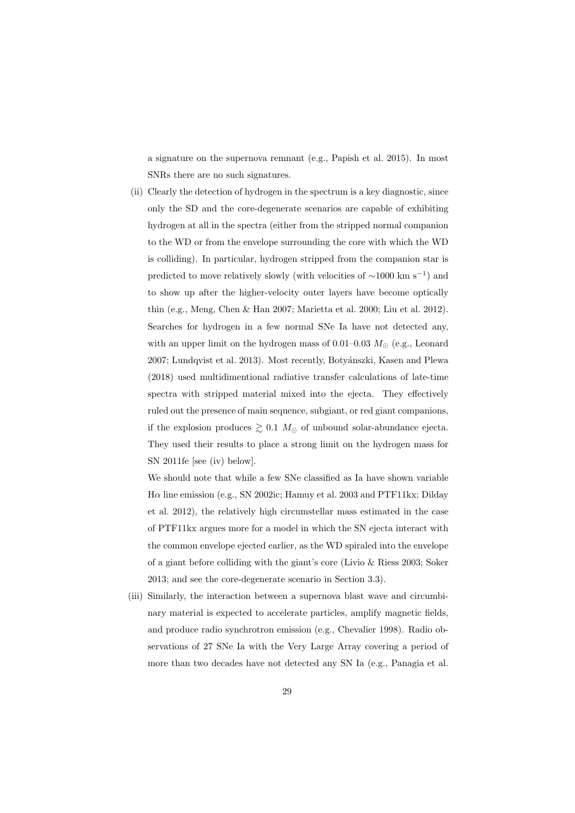a signature on the supernova remnant (e.g., Papish et al. 2015). In most SNRs there are no such signatures.

(ii) Clearly the detection of hydrogen in the spectrum is a key diagnostic, since only the SD and the core-degenerate scenarios are capable of exhibiting hydrogen at all in the spectra (either from the stripped normal companion to the WD or from the envelope surrounding the core with which the WD is colliding). In particular, hydrogen stripped from the companion star is predicted to move relatively slowly (with velocities of  $\sim$ 1000 km s<sup>-1</sup>) and to show up after the higher-velocity outer layers have become optically thin (e.g., Meng, Chen & Han 2007; Marietta et al. 2000; Liu et al. 2012). Searches for hydrogen in a few normal SNe Ia have not detected any, with an upper limit on the hydrogen mass of 0.01–0.03  $M_{\odot}$  (e.g., Leonard 2007; Lundqvist et al. 2013). Most recently, Botyánszki, Kasen and Plewa (2018) used multidimentional radiative transfer calculations of late-time spectra with stripped material mixed into the ejecta. They effectively ruled out the presence of main sequence, subgiant, or red giant companions, if the explosion produces  $\geq 0.1$   $M_{\odot}$  of unbound solar-abundance ejecta. They used their results to place a strong limit on the hydrogen mass for SN 2011fe [see (iv) below].

We should note that while a few SNe classified as Ia have shown variable Hα line emission (e.g., SN 2002ic; Hamuy et al. 2003 and PTF11kx; Dilday et al. 2012), the relatively high circumstellar mass estimated in the case of PTF11kx argues more for a model in which the SN ejecta interact with the common envelope ejected earlier, as the WD spiraled into the envelope of a giant before colliding with the giant's core (Livio & Riess 2003; Soker 2013; and see the core-degenerate scenario in Section 3.3).

(iii) Similarly, the interaction between a supernova blast wave and circumbinary material is expected to accelerate particles, amplify magnetic fields, and produce radio synchrotron emission (e.g., Chevalier 1998). Radio observations of 27 SNe Ia with the Very Large Array covering a period of more than two decades have not detected any SN Ia (e.g., Panagia et al.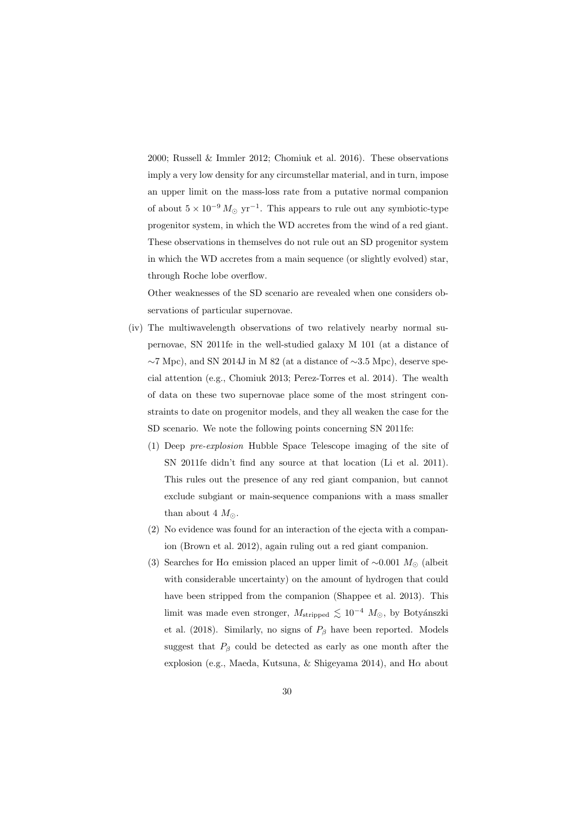2000; Russell & Immler 2012; Chomiuk et al. 2016). These observations imply a very low density for any circumstellar material, and in turn, impose an upper limit on the mass-loss rate from a putative normal companion of about  $5 \times 10^{-9} M_{\odot}$  yr<sup>-1</sup>. This appears to rule out any symbiotic-type progenitor system, in which the WD accretes from the wind of a red giant. These observations in themselves do not rule out an SD progenitor system in which the WD accretes from a main sequence (or slightly evolved) star, through Roche lobe overflow.

Other weaknesses of the SD scenario are revealed when one considers observations of particular supernovae.

- (iv) The multiwavelength observations of two relatively nearby normal supernovae, SN 2011fe in the well-studied galaxy M 101 (at a distance of  $\sim$ 7 Mpc), and SN 2014J in M 82 (at a distance of  $\sim$ 3.5 Mpc), deserve special attention (e.g., Chomiuk 2013; Perez-Torres et al. 2014). The wealth of data on these two supernovae place some of the most stringent constraints to date on progenitor models, and they all weaken the case for the SD scenario. We note the following points concerning SN 2011fe:
	- (1) Deep pre-explosion Hubble Space Telescope imaging of the site of SN 2011fe didn't find any source at that location (Li et al. 2011). This rules out the presence of any red giant companion, but cannot exclude subgiant or main-sequence companions with a mass smaller than about 4  $M_{\odot}$ .
	- (2) No evidence was found for an interaction of the ejecta with a companion (Brown et al. 2012), again ruling out a red giant companion.
	- (3) Searches for H $\alpha$  emission placed an upper limit of ~0.001  $M_{\odot}$  (albeit with considerable uncertainty) on the amount of hydrogen that could have been stripped from the companion (Shappee et al. 2013). This limit was made even stronger,  $M_{\rm stripped}$   $\lesssim$   $10^{-4}$   $M_{\odot}$ , by Botyánszki et al. (2018). Similarly, no signs of  $P_\beta$  have been reported. Models suggest that  $P_\beta$  could be detected as early as one month after the explosion (e.g., Maeda, Kutsuna, & Shigeyama 2014), and H $\alpha$  about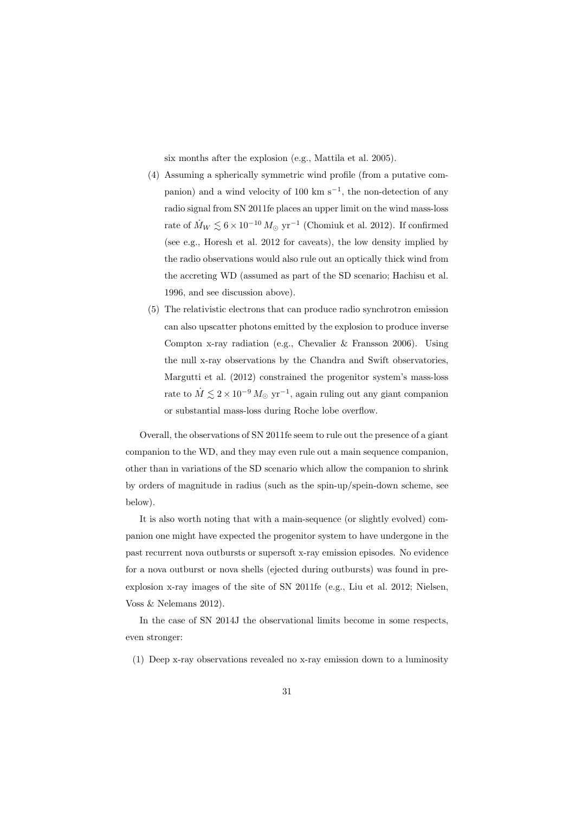six months after the explosion (e.g., Mattila et al. 2005).

- (4) Assuming a spherically symmetric wind profile (from a putative companion) and a wind velocity of 100 km  $s^{-1}$ , the non-detection of any radio signal from SN 2011fe places an upper limit on the wind mass-loss rate of  $\dot{M}_W \lesssim 6 \times 10^{-10} M_\odot \text{ yr}^{-1}$  (Chomiuk et al. 2012). If confirmed (see e.g., Horesh et al. 2012 for caveats), the low density implied by the radio observations would also rule out an optically thick wind from the accreting WD (assumed as part of the SD scenario; Hachisu et al. 1996, and see discussion above).
- (5) The relativistic electrons that can produce radio synchrotron emission can also upscatter photons emitted by the explosion to produce inverse Compton x-ray radiation (e.g., Chevalier & Fransson 2006). Using the null x-ray observations by the Chandra and Swift observatories, Margutti et al. (2012) constrained the progenitor system's mass-loss rate to  $\dot{M} \lesssim 2 \times 10^{-9} M_{\odot} \text{ yr}^{-1}$ , again ruling out any giant companion or substantial mass-loss during Roche lobe overflow.

Overall, the observations of SN 2011fe seem to rule out the presence of a giant companion to the WD, and they may even rule out a main sequence companion, other than in variations of the SD scenario which allow the companion to shrink by orders of magnitude in radius (such as the spin-up/spein-down scheme, see below).

It is also worth noting that with a main-sequence (or slightly evolved) companion one might have expected the progenitor system to have undergone in the past recurrent nova outbursts or supersoft x-ray emission episodes. No evidence for a nova outburst or nova shells (ejected during outbursts) was found in preexplosion x-ray images of the site of SN 2011fe (e.g., Liu et al. 2012; Nielsen, Voss & Nelemans 2012).

In the case of SN 2014J the observational limits become in some respects, even stronger:

(1) Deep x-ray observations revealed no x-ray emission down to a luminosity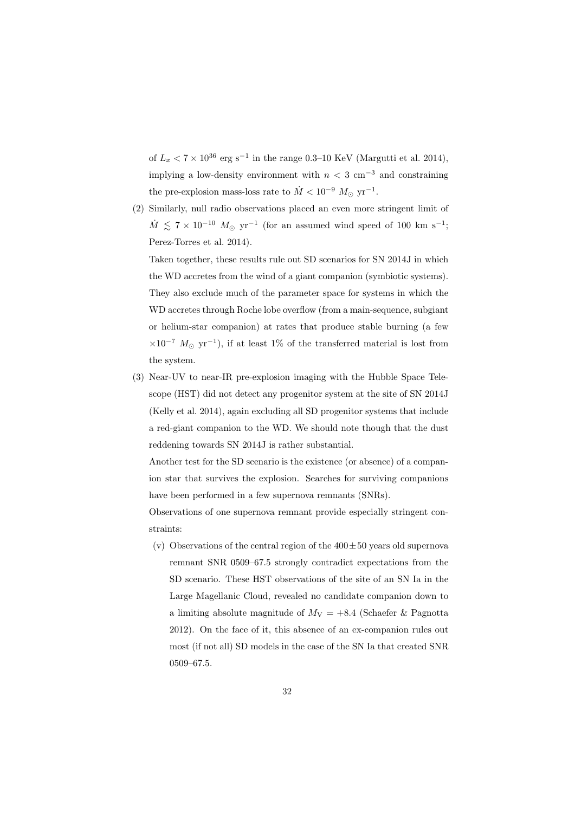of  $L_x < 7 \times 10^{36}$  erg s<sup>-1</sup> in the range 0.3-10 KeV (Margutti et al. 2014), implying a low-density environment with  $n < 3$  cm<sup>-3</sup> and constraining the pre-explosion mass-loss rate to  $\dot{M} < 10^{-9} M_{\odot} \text{ yr}^{-1}$ .

(2) Similarly, null radio observations placed an even more stringent limit of  $\dot{M} \lesssim 7 \times 10^{-10}$   $M_{\odot}$  yr<sup>-1</sup> (for an assumed wind speed of 100 km s<sup>-1</sup>; Perez-Torres et al. 2014).

Taken together, these results rule out SD scenarios for SN 2014J in which the WD accretes from the wind of a giant companion (symbiotic systems). They also exclude much of the parameter space for systems in which the WD accretes through Roche lobe overflow (from a main-sequence, subgiant or helium-star companion) at rates that produce stable burning (a few  $\times 10^{-7}$  M<sub>o</sub> yr<sup>-1</sup>), if at least 1% of the transferred material is lost from the system.

(3) Near-UV to near-IR pre-explosion imaging with the Hubble Space Telescope (HST) did not detect any progenitor system at the site of SN 2014J (Kelly et al. 2014), again excluding all SD progenitor systems that include a red-giant companion to the WD. We should note though that the dust reddening towards SN 2014J is rather substantial.

Another test for the SD scenario is the existence (or absence) of a companion star that survives the explosion. Searches for surviving companions have been performed in a few supernova remnants (SNRs).

Observations of one supernova remnant provide especially stringent constraints:

(v) Observations of the central region of the  $400\pm50$  years old supernova remnant SNR 0509–67.5 strongly contradict expectations from the SD scenario. These HST observations of the site of an SN Ia in the Large Magellanic Cloud, revealed no candidate companion down to a limiting absolute magnitude of  $M_V = +8.4$  (Schaefer & Pagnotta 2012). On the face of it, this absence of an ex-companion rules out most (if not all) SD models in the case of the SN Ia that created SNR 0509–67.5.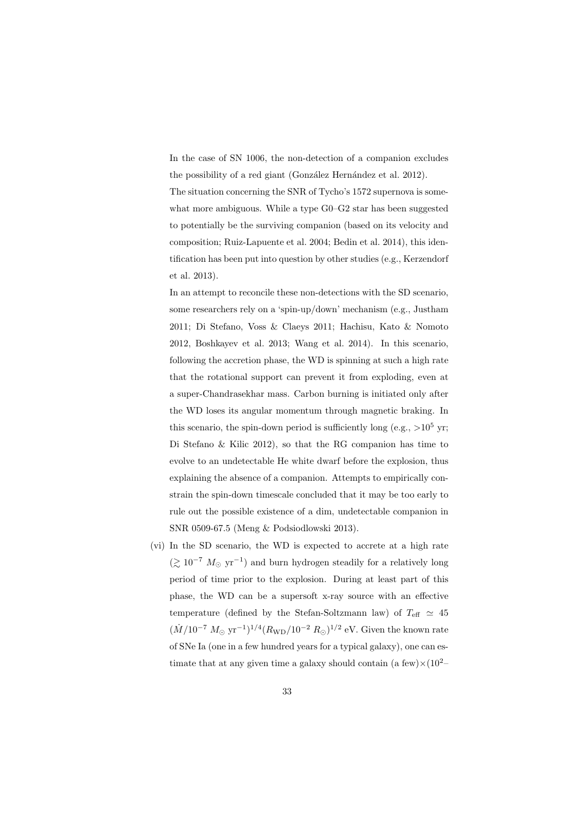In the case of SN 1006, the non-detection of a companion excludes the possibility of a red giant (González Hernández et al. 2012).

The situation concerning the SNR of Tycho's 1572 supernova is somewhat more ambiguous. While a type  $G_0-G_2$  star has been suggested to potentially be the surviving companion (based on its velocity and composition; Ruiz-Lapuente et al. 2004; Bedin et al. 2014), this identification has been put into question by other studies (e.g., Kerzendorf et al. 2013).

In an attempt to reconcile these non-detections with the SD scenario, some researchers rely on a 'spin-up/down' mechanism (e.g., Justham 2011; Di Stefano, Voss & Claeys 2011; Hachisu, Kato & Nomoto 2012, Boshkayev et al. 2013; Wang et al. 2014). In this scenario, following the accretion phase, the WD is spinning at such a high rate that the rotational support can prevent it from exploding, even at a super-Chandrasekhar mass. Carbon burning is initiated only after the WD loses its angular momentum through magnetic braking. In this scenario, the spin-down period is sufficiently long (e.g.,  $>10^5$  yr; Di Stefano & Kilic 2012), so that the RG companion has time to evolve to an undetectable He white dwarf before the explosion, thus explaining the absence of a companion. Attempts to empirically constrain the spin-down timescale concluded that it may be too early to rule out the possible existence of a dim, undetectable companion in SNR 0509-67.5 (Meng & Podsiodlowski 2013).

(vi) In the SD scenario, the WD is expected to accrete at a high rate  $(\gtrsim 10^{-7}~M_\odot~{\rm yr}^{-1})$  and burn hydrogen steadily for a relatively long period of time prior to the explosion. During at least part of this phase, the WD can be a supersoft x-ray source with an effective temperature (defined by the Stefan-Soltzmann law) of  $T_{\text{eff}} \simeq 45$  $(\dot{M}/10^{-7} M_{\odot} \text{ yr}^{-1})^{1/4} (R_{\text{WD}}/10^{-2} R_{\odot})^{1/2} \text{ eV}$ . Given the known rate of SNe Ia (one in a few hundred years for a typical galaxy), one can estimate that at any given time a galaxy should contain (a few) $\times$ (10<sup>2</sup>–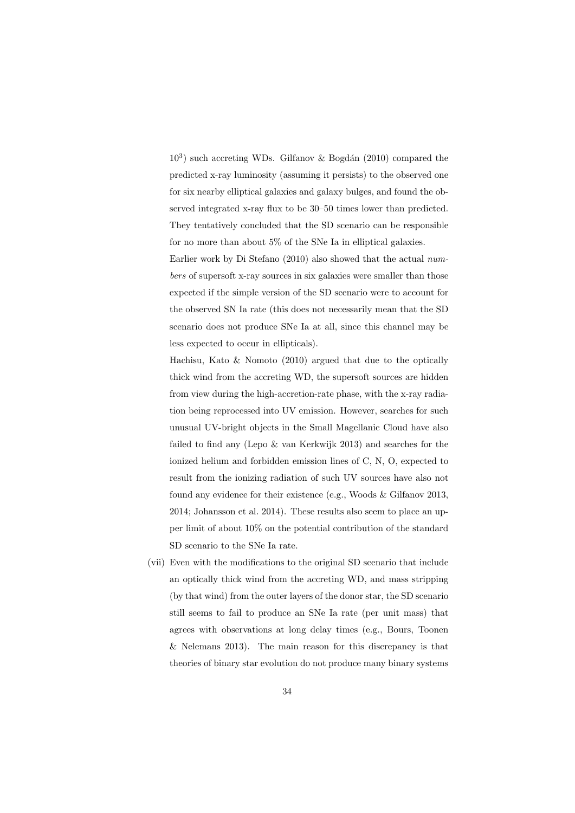$10<sup>3</sup>$ ) such accreting WDs. Gilfanov & Bogdán (2010) compared the predicted x-ray luminosity (assuming it persists) to the observed one for six nearby elliptical galaxies and galaxy bulges, and found the observed integrated x-ray flux to be 30–50 times lower than predicted. They tentatively concluded that the SD scenario can be responsible for no more than about 5% of the SNe Ia in elliptical galaxies.

Earlier work by Di Stefano (2010) also showed that the actual numbers of supersoft x-ray sources in six galaxies were smaller than those expected if the simple version of the SD scenario were to account for the observed SN Ia rate (this does not necessarily mean that the SD scenario does not produce SNe Ia at all, since this channel may be less expected to occur in ellipticals).

Hachisu, Kato & Nomoto (2010) argued that due to the optically thick wind from the accreting WD, the supersoft sources are hidden from view during the high-accretion-rate phase, with the x-ray radiation being reprocessed into UV emission. However, searches for such unusual UV-bright objects in the Small Magellanic Cloud have also failed to find any (Lepo & van Kerkwijk 2013) and searches for the ionized helium and forbidden emission lines of C, N, O, expected to result from the ionizing radiation of such UV sources have also not found any evidence for their existence (e.g., Woods & Gilfanov 2013, 2014; Johansson et al. 2014). These results also seem to place an upper limit of about 10% on the potential contribution of the standard SD scenario to the SNe Ia rate.

(vii) Even with the modifications to the original SD scenario that include an optically thick wind from the accreting WD, and mass stripping (by that wind) from the outer layers of the donor star, the SD scenario still seems to fail to produce an SNe Ia rate (per unit mass) that agrees with observations at long delay times (e.g., Bours, Toonen & Nelemans 2013). The main reason for this discrepancy is that theories of binary star evolution do not produce many binary systems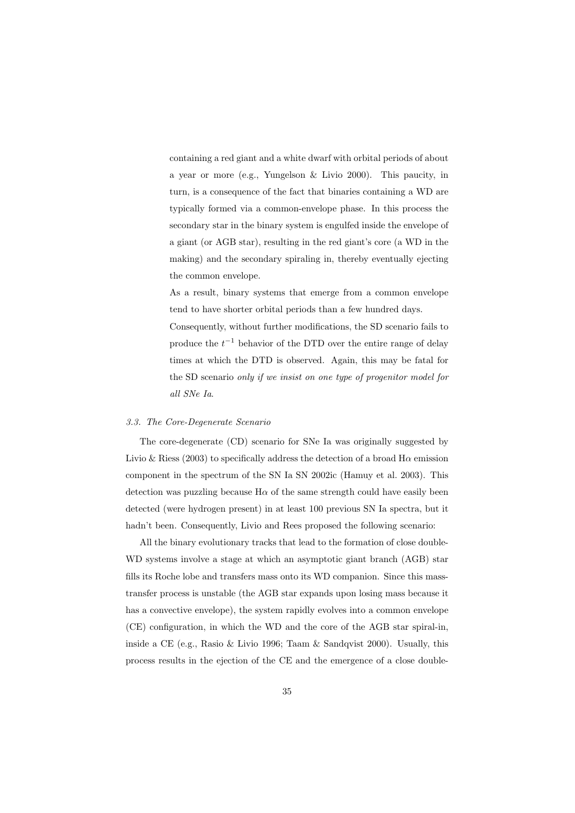containing a red giant and a white dwarf with orbital periods of about a year or more (e.g., Yungelson & Livio 2000). This paucity, in turn, is a consequence of the fact that binaries containing a WD are typically formed via a common-envelope phase. In this process the secondary star in the binary system is engulfed inside the envelope of a giant (or AGB star), resulting in the red giant's core (a WD in the making) and the secondary spiraling in, thereby eventually ejecting the common envelope.

As a result, binary systems that emerge from a common envelope tend to have shorter orbital periods than a few hundred days.

Consequently, without further modifications, the SD scenario fails to produce the  $t^{-1}$  behavior of the DTD over the entire range of delay times at which the DTD is observed. Again, this may be fatal for the SD scenario only if we insist on one type of progenitor model for all SNe Ia.

#### 3.3. The Core-Degenerate Scenario

The core-degenerate (CD) scenario for SNe Ia was originally suggested by Livio & Riess (2003) to specifically address the detection of a broad  $H\alpha$  emission component in the spectrum of the SN Ia SN 2002ic (Hamuy et al. 2003). This detection was puzzling because  $H\alpha$  of the same strength could have easily been detected (were hydrogen present) in at least 100 previous SN Ia spectra, but it hadn't been. Consequently, Livio and Rees proposed the following scenario:

All the binary evolutionary tracks that lead to the formation of close double-WD systems involve a stage at which an asymptotic giant branch (AGB) star fills its Roche lobe and transfers mass onto its WD companion. Since this masstransfer process is unstable (the AGB star expands upon losing mass because it has a convective envelope), the system rapidly evolves into a common envelope (CE) configuration, in which the WD and the core of the AGB star spiral-in, inside a CE (e.g., Rasio & Livio 1996; Taam & Sandqvist 2000). Usually, this process results in the ejection of the CE and the emergence of a close double-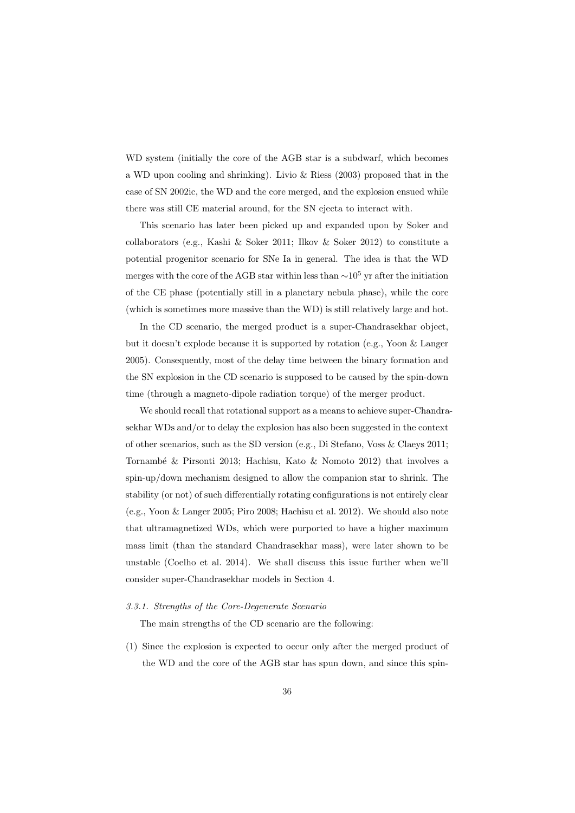WD system (initially the core of the AGB star is a subdwarf, which becomes a WD upon cooling and shrinking). Livio & Riess (2003) proposed that in the case of SN 2002ic, the WD and the core merged, and the explosion ensued while there was still CE material around, for the SN ejecta to interact with.

This scenario has later been picked up and expanded upon by Soker and collaborators (e.g., Kashi & Soker 2011; Ilkov & Soker 2012) to constitute a potential progenitor scenario for SNe Ia in general. The idea is that the WD merges with the core of the AGB star within less than  $\sim 10^5$  yr after the initiation of the CE phase (potentially still in a planetary nebula phase), while the core (which is sometimes more massive than the WD) is still relatively large and hot.

In the CD scenario, the merged product is a super-Chandrasekhar object, but it doesn't explode because it is supported by rotation (e.g., Yoon & Langer 2005). Consequently, most of the delay time between the binary formation and the SN explosion in the CD scenario is supposed to be caused by the spin-down time (through a magneto-dipole radiation torque) of the merger product.

We should recall that rotational support as a means to achieve super-Chandrasekhar WDs and/or to delay the explosion has also been suggested in the context of other scenarios, such as the SD version (e.g., Di Stefano, Voss & Claeys 2011; Tornambé & Pirsonti 2013; Hachisu, Kato & Nomoto 2012) that involves a spin-up/down mechanism designed to allow the companion star to shrink. The stability (or not) of such differentially rotating configurations is not entirely clear (e.g., Yoon & Langer 2005; Piro 2008; Hachisu et al. 2012). We should also note that ultramagnetized WDs, which were purported to have a higher maximum mass limit (than the standard Chandrasekhar mass), were later shown to be unstable (Coelho et al. 2014). We shall discuss this issue further when we'll consider super-Chandrasekhar models in Section 4.

#### 3.3.1. Strengths of the Core-Degenerate Scenario

The main strengths of the CD scenario are the following:

(1) Since the explosion is expected to occur only after the merged product of the WD and the core of the AGB star has spun down, and since this spin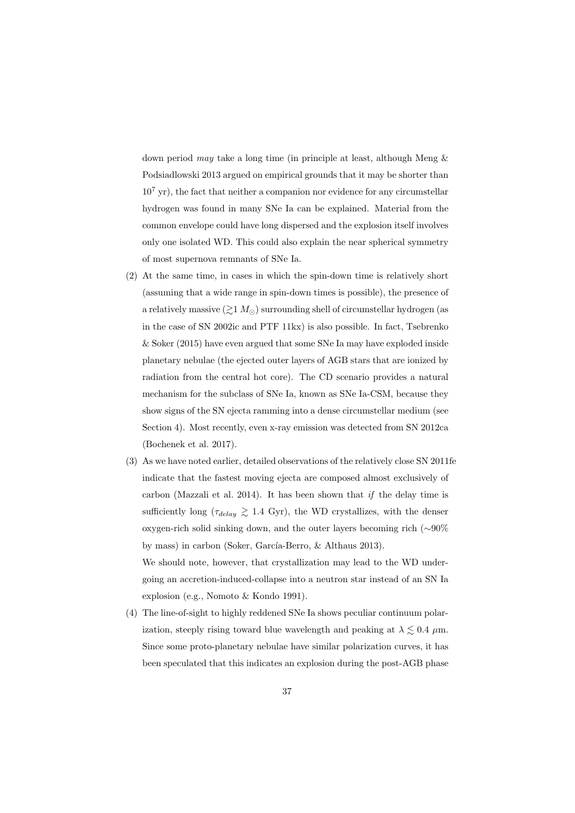down period may take a long time (in principle at least, although Meng & Podsiadlowski 2013 argued on empirical grounds that it may be shorter than  $10<sup>7</sup>$  yr), the fact that neither a companion nor evidence for any circumstellar hydrogen was found in many SNe Ia can be explained. Material from the common envelope could have long dispersed and the explosion itself involves only one isolated WD. This could also explain the near spherical symmetry of most supernova remnants of SNe Ia.

- (2) At the same time, in cases in which the spin-down time is relatively short (assuming that a wide range in spin-down times is possible), the presence of a relatively massive  $(\gtrsim 1 M_\odot)$  surrounding shell of circumstellar hydrogen (as in the case of SN 2002ic and PTF 11kx) is also possible. In fact, Tsebrenko & Soker (2015) have even argued that some SNe Ia may have exploded inside planetary nebulae (the ejected outer layers of AGB stars that are ionized by radiation from the central hot core). The CD scenario provides a natural mechanism for the subclass of SNe Ia, known as SNe Ia-CSM, because they show signs of the SN ejecta ramming into a dense circumstellar medium (see Section 4). Most recently, even x-ray emission was detected from SN 2012ca (Bochenek et al. 2017).
- (3) As we have noted earlier, detailed observations of the relatively close SN 2011fe indicate that the fastest moving ejecta are composed almost exclusively of carbon (Mazzali et al. 2014). It has been shown that if the delay time is sufficiently long ( $\tau_{delay} \gtrsim 1.4$  Gyr), the WD crystallizes, with the denser oxygen-rich solid sinking down, and the outer layers becoming rich (∼90% by mass) in carbon (Soker, García-Berro, & Althaus 2013). We should note, however, that crystallization may lead to the WD undergoing an accretion-induced-collapse into a neutron star instead of an SN Ia explosion (e.g., Nomoto & Kondo 1991).
- (4) The line-of-sight to highly reddened SNe Ia shows peculiar continuum polarization, steeply rising toward blue wavelength and peaking at  $\lambda \lesssim 0.4 \mu m$ . Since some proto-planetary nebulae have similar polarization curves, it has been speculated that this indicates an explosion during the post-AGB phase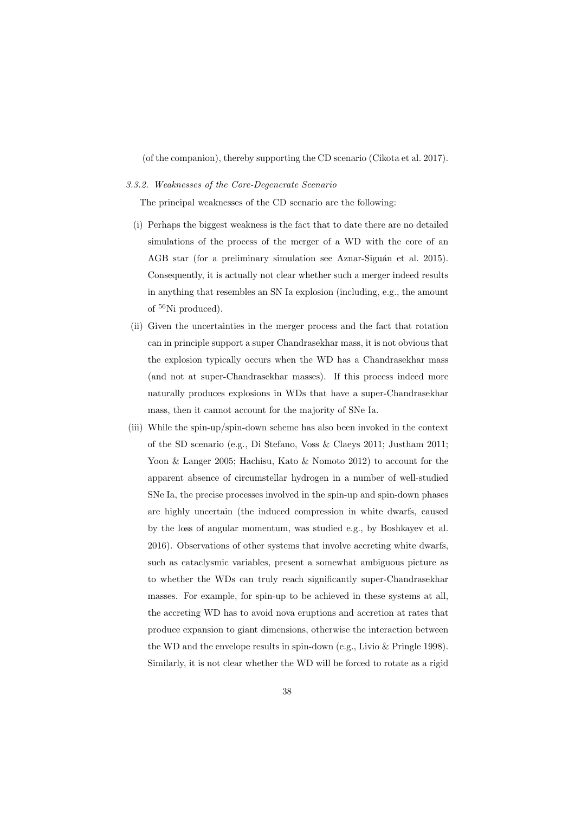(of the companion), thereby supporting the CD scenario (Cikota et al. 2017).

## 3.3.2. Weaknesses of the Core-Degenerate Scenario

The principal weaknesses of the CD scenario are the following:

- (i) Perhaps the biggest weakness is the fact that to date there are no detailed simulations of the process of the merger of a WD with the core of an AGB star (for a preliminary simulation see Aznar-Siguán et al. 2015). Consequently, it is actually not clear whether such a merger indeed results in anything that resembles an SN Ia explosion (including, e.g., the amount of <sup>56</sup>Ni produced).
- (ii) Given the uncertainties in the merger process and the fact that rotation can in principle support a super Chandrasekhar mass, it is not obvious that the explosion typically occurs when the WD has a Chandrasekhar mass (and not at super-Chandrasekhar masses). If this process indeed more naturally produces explosions in WDs that have a super-Chandrasekhar mass, then it cannot account for the majority of SNe Ia.
- (iii) While the spin-up/spin-down scheme has also been invoked in the context of the SD scenario (e.g., Di Stefano, Voss & Claeys 2011; Justham 2011; Yoon & Langer 2005; Hachisu, Kato & Nomoto 2012) to account for the apparent absence of circumstellar hydrogen in a number of well-studied SNe Ia, the precise processes involved in the spin-up and spin-down phases are highly uncertain (the induced compression in white dwarfs, caused by the loss of angular momentum, was studied e.g., by Boshkayev et al. 2016). Observations of other systems that involve accreting white dwarfs, such as cataclysmic variables, present a somewhat ambiguous picture as to whether the WDs can truly reach significantly super-Chandrasekhar masses. For example, for spin-up to be achieved in these systems at all, the accreting WD has to avoid nova eruptions and accretion at rates that produce expansion to giant dimensions, otherwise the interaction between the WD and the envelope results in spin-down (e.g., Livio & Pringle 1998). Similarly, it is not clear whether the WD will be forced to rotate as a rigid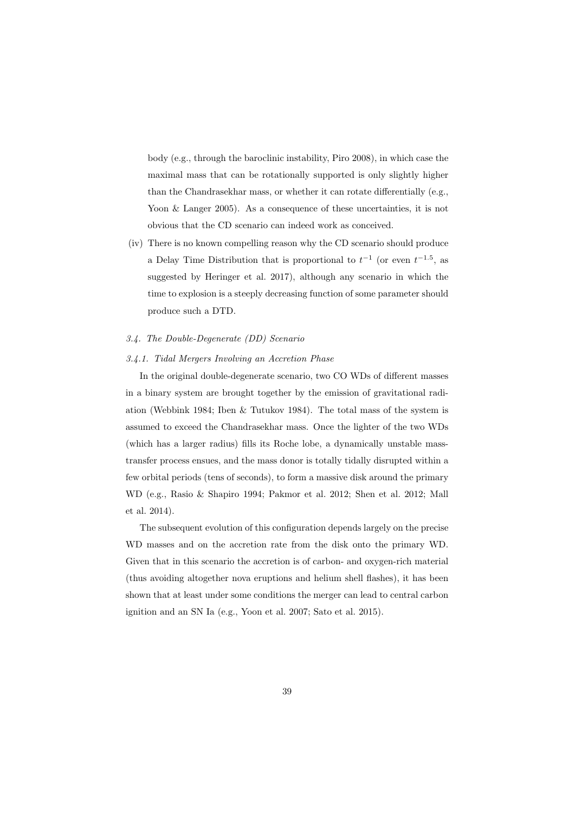body (e.g., through the baroclinic instability, Piro 2008), in which case the maximal mass that can be rotationally supported is only slightly higher than the Chandrasekhar mass, or whether it can rotate differentially (e.g., Yoon & Langer 2005). As a consequence of these uncertainties, it is not obvious that the CD scenario can indeed work as conceived.

(iv) There is no known compelling reason why the CD scenario should produce a Delay Time Distribution that is proportional to  $t^{-1}$  (or even  $t^{-1.5}$ , as suggested by Heringer et al. 2017), although any scenario in which the time to explosion is a steeply decreasing function of some parameter should produce such a DTD.

#### 3.4. The Double-Degenerate  $(DD)$  Scenario

#### 3.4.1. Tidal Mergers Involving an Accretion Phase

In the original double-degenerate scenario, two CO WDs of different masses in a binary system are brought together by the emission of gravitational radiation (Webbink 1984; Iben & Tutukov 1984). The total mass of the system is assumed to exceed the Chandrasekhar mass. Once the lighter of the two WDs (which has a larger radius) fills its Roche lobe, a dynamically unstable masstransfer process ensues, and the mass donor is totally tidally disrupted within a few orbital periods (tens of seconds), to form a massive disk around the primary WD (e.g., Rasio & Shapiro 1994; Pakmor et al. 2012; Shen et al. 2012; Mall et al. 2014).

The subsequent evolution of this configuration depends largely on the precise WD masses and on the accretion rate from the disk onto the primary WD. Given that in this scenario the accretion is of carbon- and oxygen-rich material (thus avoiding altogether nova eruptions and helium shell flashes), it has been shown that at least under some conditions the merger can lead to central carbon ignition and an SN Ia (e.g., Yoon et al. 2007; Sato et al. 2015).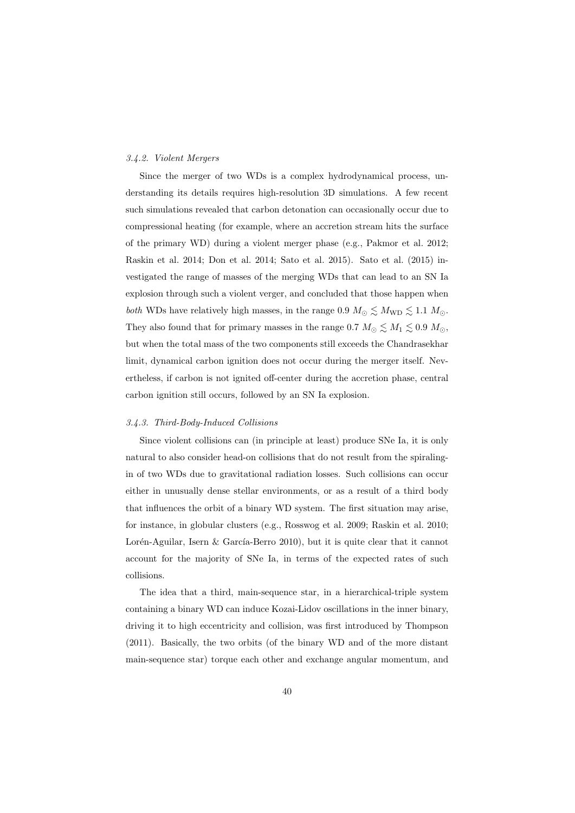#### 3.4.2. Violent Mergers

Since the merger of two WDs is a complex hydrodynamical process, understanding its details requires high-resolution 3D simulations. A few recent such simulations revealed that carbon detonation can occasionally occur due to compressional heating (for example, where an accretion stream hits the surface of the primary WD) during a violent merger phase (e.g., Pakmor et al. 2012; Raskin et al. 2014; Don et al. 2014; Sato et al. 2015). Sato et al. (2015) investigated the range of masses of the merging WDs that can lead to an SN Ia explosion through such a violent verger, and concluded that those happen when both WDs have relatively high masses, in the range 0.9  $M_{\odot} \lesssim M_{\rm WD} \lesssim 1.1$   $M_{\odot}$ . They also found that for primary masses in the range 0.7  $M_{\odot} \lesssim M_1 \lesssim 0.9$   $M_{\odot}$ , but when the total mass of the two components still exceeds the Chandrasekhar limit, dynamical carbon ignition does not occur during the merger itself. Nevertheless, if carbon is not ignited off-center during the accretion phase, central carbon ignition still occurs, followed by an SN Ia explosion.

#### 3.4.3. Third-Body-Induced Collisions

Since violent collisions can (in principle at least) produce SNe Ia, it is only natural to also consider head-on collisions that do not result from the spiralingin of two WDs due to gravitational radiation losses. Such collisions can occur either in unusually dense stellar environments, or as a result of a third body that influences the orbit of a binary WD system. The first situation may arise, for instance, in globular clusters (e.g., Rosswog et al. 2009; Raskin et al. 2010; Lorén-Aguilar, Isern & García-Berro 2010), but it is quite clear that it cannot account for the majority of SNe Ia, in terms of the expected rates of such collisions.

The idea that a third, main-sequence star, in a hierarchical-triple system containing a binary WD can induce Kozai-Lidov oscillations in the inner binary, driving it to high eccentricity and collision, was first introduced by Thompson (2011). Basically, the two orbits (of the binary WD and of the more distant main-sequence star) torque each other and exchange angular momentum, and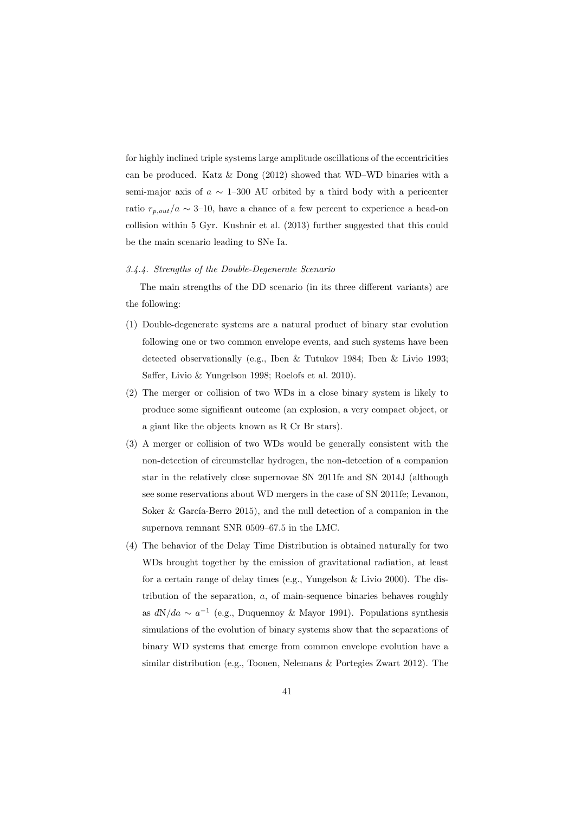for highly inclined triple systems large amplitude oscillations of the eccentricities can be produced. Katz  $\&$  Dong (2012) showed that WD–WD binaries with a semi-major axis of  $a \sim 1$ –300 AU orbited by a third body with a pericenter ratio  $r_{p,out}/a \sim 3$ –10, have a chance of a few percent to experience a head-on collision within 5 Gyr. Kushnir et al. (2013) further suggested that this could be the main scenario leading to SNe Ia.

### 3.4.4. Strengths of the Double-Degenerate Scenario

The main strengths of the DD scenario (in its three different variants) are the following:

- (1) Double-degenerate systems are a natural product of binary star evolution following one or two common envelope events, and such systems have been detected observationally (e.g., Iben & Tutukov 1984; Iben & Livio 1993; Saffer, Livio & Yungelson 1998; Roelofs et al. 2010).
- (2) The merger or collision of two WDs in a close binary system is likely to produce some significant outcome (an explosion, a very compact object, or a giant like the objects known as R Cr Br stars).
- (3) A merger or collision of two WDs would be generally consistent with the non-detection of circumstellar hydrogen, the non-detection of a companion star in the relatively close supernovae SN 2011fe and SN 2014J (although see some reservations about WD mergers in the case of SN 2011fe; Levanon, Soker  $& García-Berro 2015$ , and the null detection of a companion in the supernova remnant SNR 0509–67.5 in the LMC.
- (4) The behavior of the Delay Time Distribution is obtained naturally for two WDs brought together by the emission of gravitational radiation, at least for a certain range of delay times (e.g., Yungelson & Livio 2000). The distribution of the separation, a, of main-sequence binaries behaves roughly as  $dN/da \sim a^{-1}$  (e.g., Duquennoy & Mayor 1991). Populations synthesis simulations of the evolution of binary systems show that the separations of binary WD systems that emerge from common envelope evolution have a similar distribution (e.g., Toonen, Nelemans & Portegies Zwart 2012). The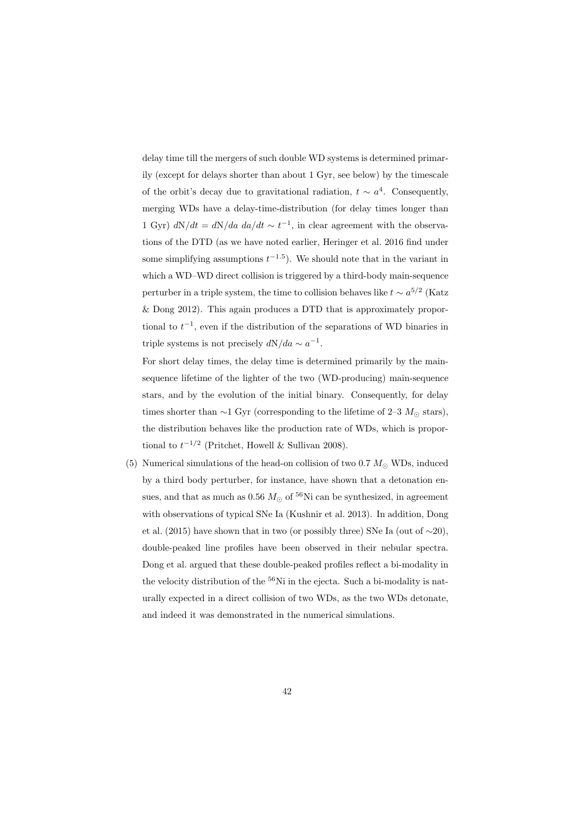delay time till the mergers of such double WD systems is determined primarily (except for delays shorter than about 1 Gyr, see below) by the timescale of the orbit's decay due to gravitational radiation,  $t \sim a^4$ . Consequently, merging WDs have a delay-time-distribution (for delay times longer than 1 Gyr)  $dN/dt = dN/da \ d a/dt \sim t^{-1}$ , in clear agreement with the observations of the DTD (as we have noted earlier, Heringer et al. 2016 find under some simplifying assumptions  $t^{-1.5}$ ). We should note that in the variant in which a WD–WD direct collision is triggered by a third-body main-sequence perturber in a triple system, the time to collision behaves like  $t \sim a^{5/2}$  (Katz & Dong 2012). This again produces a DTD that is approximately proportional to  $t^{-1}$ , even if the distribution of the separations of WD binaries in triple systems is not precisely  $dN/da \sim a^{-1}$ .

For short delay times, the delay time is determined primarily by the mainsequence lifetime of the lighter of the two (WD-producing) main-sequence stars, and by the evolution of the initial binary. Consequently, for delay times shorter than ∼1 Gyr (corresponding to the lifetime of 2–3  $M_{\odot}$  stars), the distribution behaves like the production rate of WDs, which is proportional to  $t^{-1/2}$  (Pritchet, Howell & Sullivan 2008).

(5) Numerical simulations of the head-on collision of two 0.7  $M_{\odot}$  WDs, induced by a third body perturber, for instance, have shown that a detonation ensues, and that as much as 0.56  $M_{\odot}$  of <sup>56</sup>Ni can be synthesized, in agreement with observations of typical SNe Ia (Kushnir et al. 2013). In addition, Dong et al. (2015) have shown that in two (or possibly three) SNe Ia (out of  $\sim$ 20), double-peaked line profiles have been observed in their nebular spectra. Dong et al. argued that these double-peaked profiles reflect a bi-modality in the velocity distribution of the  ${}^{56}$ Ni in the ejecta. Such a bi-modality is naturally expected in a direct collision of two WDs, as the two WDs detonate, and indeed it was demonstrated in the numerical simulations.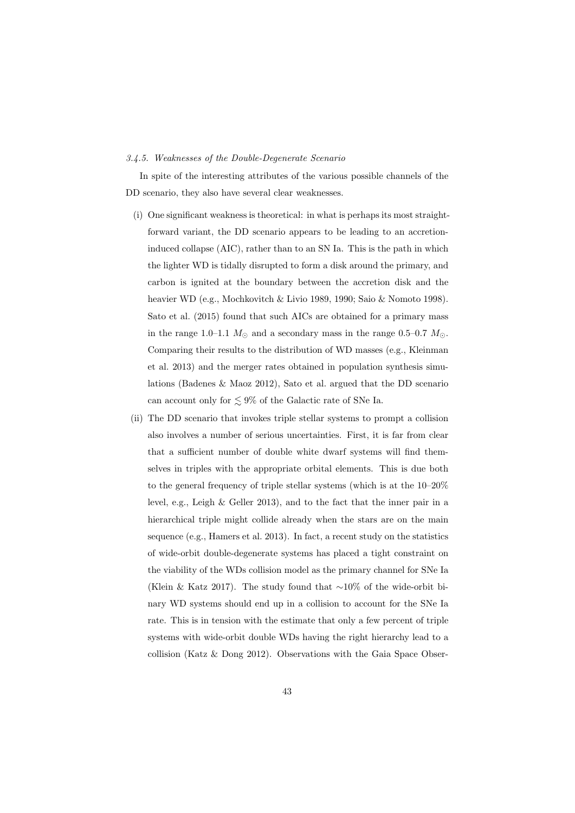#### 3.4.5. Weaknesses of the Double-Degenerate Scenario

In spite of the interesting attributes of the various possible channels of the DD scenario, they also have several clear weaknesses.

- (i) One significant weakness is theoretical: in what is perhaps its most straightforward variant, the DD scenario appears to be leading to an accretioninduced collapse (AIC), rather than to an SN Ia. This is the path in which the lighter WD is tidally disrupted to form a disk around the primary, and carbon is ignited at the boundary between the accretion disk and the heavier WD (e.g., Mochkovitch & Livio 1989, 1990; Saio & Nomoto 1998). Sato et al. (2015) found that such AICs are obtained for a primary mass in the range 1.0–1.1  $M_{\odot}$  and a secondary mass in the range 0.5–0.7  $M_{\odot}$ . Comparing their results to the distribution of WD masses (e.g., Kleinman et al. 2013) and the merger rates obtained in population synthesis simulations (Badenes & Maoz 2012), Sato et al. argued that the DD scenario can account only for  $\leq 9\%$  of the Galactic rate of SNe Ia.
- (ii) The DD scenario that invokes triple stellar systems to prompt a collision also involves a number of serious uncertainties. First, it is far from clear that a sufficient number of double white dwarf systems will find themselves in triples with the appropriate orbital elements. This is due both to the general frequency of triple stellar systems (which is at the 10–20% level, e.g., Leigh & Geller 2013), and to the fact that the inner pair in a hierarchical triple might collide already when the stars are on the main sequence (e.g., Hamers et al. 2013). In fact, a recent study on the statistics of wide-orbit double-degenerate systems has placed a tight constraint on the viability of the WDs collision model as the primary channel for SNe Ia (Klein & Katz 2017). The study found that ∼10% of the wide-orbit binary WD systems should end up in a collision to account for the SNe Ia rate. This is in tension with the estimate that only a few percent of triple systems with wide-orbit double WDs having the right hierarchy lead to a collision (Katz & Dong 2012). Observations with the Gaia Space Obser-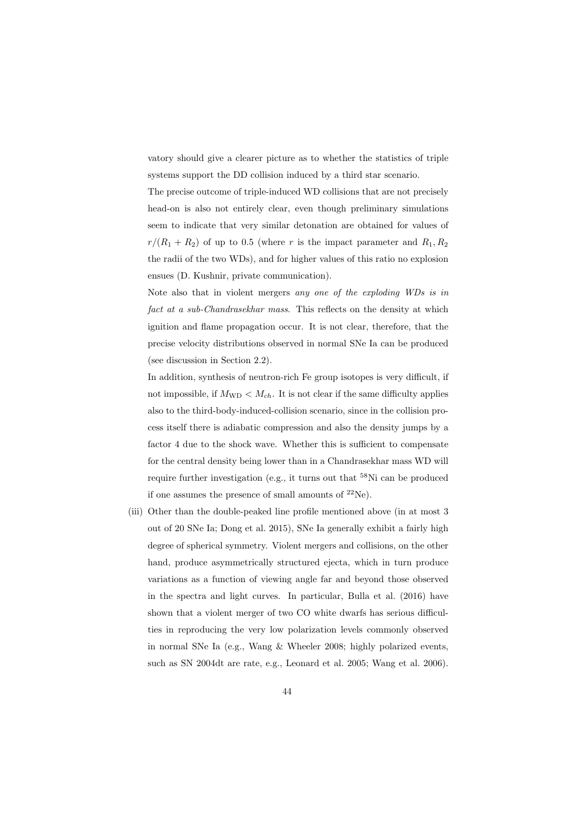vatory should give a clearer picture as to whether the statistics of triple systems support the DD collision induced by a third star scenario.

The precise outcome of triple-induced WD collisions that are not precisely head-on is also not entirely clear, even though preliminary simulations seem to indicate that very similar detonation are obtained for values of  $r/(R_1 + R_2)$  of up to 0.5 (where r is the impact parameter and  $R_1, R_2$ the radii of the two WDs), and for higher values of this ratio no explosion ensues (D. Kushnir, private communication).

Note also that in violent mergers any one of the exploding WDs is in fact at a sub-Chandrasekhar mass. This reflects on the density at which ignition and flame propagation occur. It is not clear, therefore, that the precise velocity distributions observed in normal SNe Ia can be produced (see discussion in Section 2.2).

In addition, synthesis of neutron-rich Fe group isotopes is very difficult, if not impossible, if  $M_{\text{WD}} < M_{ch}$ . It is not clear if the same difficulty applies also to the third-body-induced-collision scenario, since in the collision process itself there is adiabatic compression and also the density jumps by a factor 4 due to the shock wave. Whether this is sufficient to compensate for the central density being lower than in a Chandrasekhar mass WD will require further investigation (e.g., it turns out that  $58$ Ni can be produced if one assumes the presence of small amounts of  $22Ne$ .

(iii) Other than the double-peaked line profile mentioned above (in at most 3 out of 20 SNe Ia; Dong et al. 2015), SNe Ia generally exhibit a fairly high degree of spherical symmetry. Violent mergers and collisions, on the other hand, produce asymmetrically structured ejecta, which in turn produce variations as a function of viewing angle far and beyond those observed in the spectra and light curves. In particular, Bulla et al. (2016) have shown that a violent merger of two CO white dwarfs has serious difficulties in reproducing the very low polarization levels commonly observed in normal SNe Ia (e.g., Wang & Wheeler 2008; highly polarized events, such as SN 2004dt are rate, e.g., Leonard et al. 2005; Wang et al. 2006).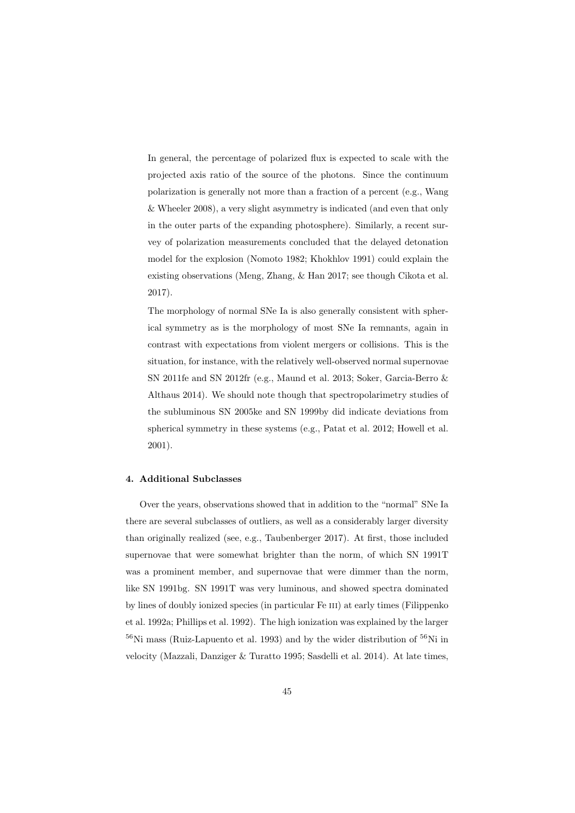In general, the percentage of polarized flux is expected to scale with the projected axis ratio of the source of the photons. Since the continuum polarization is generally not more than a fraction of a percent (e.g., Wang & Wheeler 2008), a very slight asymmetry is indicated (and even that only in the outer parts of the expanding photosphere). Similarly, a recent survey of polarization measurements concluded that the delayed detonation model for the explosion (Nomoto 1982; Khokhlov 1991) could explain the existing observations (Meng, Zhang, & Han 2017; see though Cikota et al. 2017).

The morphology of normal SNe Ia is also generally consistent with spherical symmetry as is the morphology of most SNe Ia remnants, again in contrast with expectations from violent mergers or collisions. This is the situation, for instance, with the relatively well-observed normal supernovae SN 2011fe and SN 2012fr (e.g., Maund et al. 2013; Soker, Garcia-Berro & Althaus 2014). We should note though that spectropolarimetry studies of the subluminous SN 2005ke and SN 1999by did indicate deviations from spherical symmetry in these systems (e.g., Patat et al. 2012; Howell et al. 2001).

#### 4. Additional Subclasses

Over the years, observations showed that in addition to the "normal" SNe Ia there are several subclasses of outliers, as well as a considerably larger diversity than originally realized (see, e.g., Taubenberger 2017). At first, those included supernovae that were somewhat brighter than the norm, of which SN 1991T was a prominent member, and supernovae that were dimmer than the norm, like SN 1991bg. SN 1991T was very luminous, and showed spectra dominated by lines of doubly ionized species (in particular Fe  $\text{III}$ ) at early times (Filippenko et al. 1992a; Phillips et al. 1992). The high ionization was explained by the larger  $56$ Ni mass (Ruiz-Lapuento et al. 1993) and by the wider distribution of  $56$ Ni in velocity (Mazzali, Danziger & Turatto 1995; Sasdelli et al. 2014). At late times,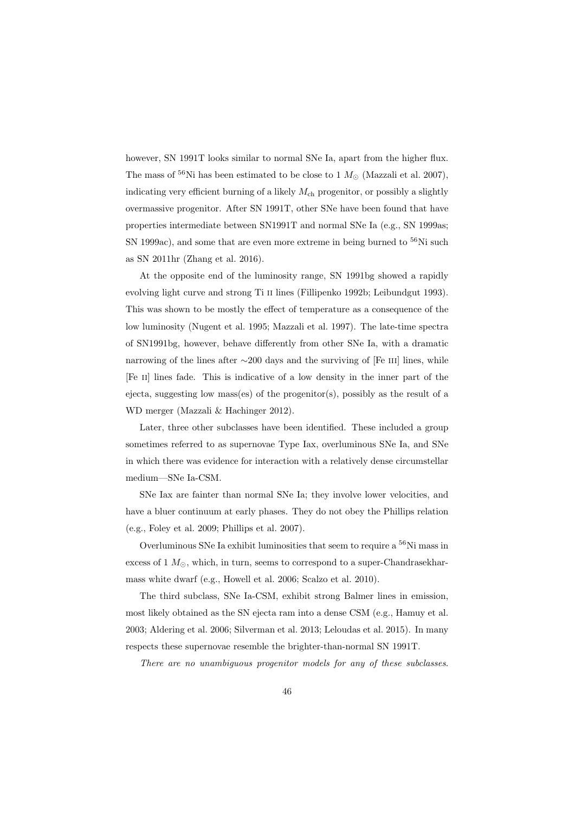however, SN 1991T looks similar to normal SNe Ia, apart from the higher flux. The mass of <sup>56</sup>Ni has been estimated to be close to 1  $M_{\odot}$  (Mazzali et al. 2007), indicating very efficient burning of a likely  $M_{ch}$  progenitor, or possibly a slightly overmassive progenitor. After SN 1991T, other SNe have been found that have properties intermediate between SN1991T and normal SNe Ia (e.g., SN 1999as; SN 1999ac), and some that are even more extreme in being burned to <sup>56</sup>Ni such as SN 2011hr (Zhang et al. 2016).

At the opposite end of the luminosity range, SN 1991bg showed a rapidly evolving light curve and strong Ti  $\text{II}$  lines (Fillipenko 1992b; Leibundgut 1993). This was shown to be mostly the effect of temperature as a consequence of the low luminosity (Nugent et al. 1995; Mazzali et al. 1997). The late-time spectra of SN1991bg, however, behave differently from other SNe Ia, with a dramatic narrowing of the lines after  $\sim$ 200 days and the surviving of [Fe  $\text{III}$ ] lines, while [Fe ��] lines fade. This is indicative of a low density in the inner part of the ejecta, suggesting low mass(es) of the progenitor(s), possibly as the result of a WD merger (Mazzali & Hachinger 2012).

Later, three other subclasses have been identified. These included a group sometimes referred to as supernovae Type Iax, overluminous SNe Ia, and SNe in which there was evidence for interaction with a relatively dense circumstellar medium—SNe Ia-CSM.

SNe Iax are fainter than normal SNe Ia; they involve lower velocities, and have a bluer continuum at early phases. They do not obey the Phillips relation (e.g., Foley et al. 2009; Phillips et al. 2007).

Overluminous SNe Ia exhibit luminosities that seem to require a  $^{56}\rm Ni$  mass in excess of 1  $M_{\odot}$ , which, in turn, seems to correspond to a super-Chandrasekharmass white dwarf (e.g., Howell et al. 2006; Scalzo et al. 2010).

The third subclass, SNe Ia-CSM, exhibit strong Balmer lines in emission, most likely obtained as the SN ejecta ram into a dense CSM (e.g., Hamuy et al. 2003; Aldering et al. 2006; Silverman et al. 2013; Leloudas et al. 2015). In many respects these supernovae resemble the brighter-than-normal SN 1991T.

There are no unambiguous progenitor models for any of these subclasses.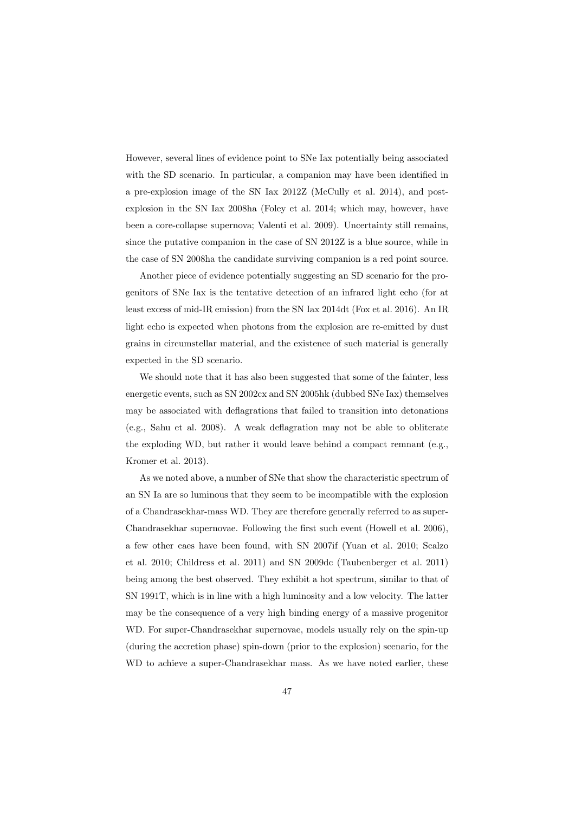However, several lines of evidence point to SNe Iax potentially being associated with the SD scenario. In particular, a companion may have been identified in a pre-explosion image of the SN Iax 2012Z (McCully et al. 2014), and postexplosion in the SN Iax 2008ha (Foley et al. 2014; which may, however, have been a core-collapse supernova; Valenti et al. 2009). Uncertainty still remains, since the putative companion in the case of SN 2012Z is a blue source, while in the case of SN 2008ha the candidate surviving companion is a red point source.

Another piece of evidence potentially suggesting an SD scenario for the progenitors of SNe Iax is the tentative detection of an infrared light echo (for at least excess of mid-IR emission) from the SN Iax 2014dt (Fox et al. 2016). An IR light echo is expected when photons from the explosion are re-emitted by dust grains in circumstellar material, and the existence of such material is generally expected in the SD scenario.

We should note that it has also been suggested that some of the fainter, less energetic events, such as SN 2002cx and SN 2005hk (dubbed SNe Iax) themselves may be associated with deflagrations that failed to transition into detonations (e.g., Sahu et al. 2008). A weak deflagration may not be able to obliterate the exploding WD, but rather it would leave behind a compact remnant (e.g., Kromer et al. 2013).

As we noted above, a number of SNe that show the characteristic spectrum of an SN Ia are so luminous that they seem to be incompatible with the explosion of a Chandrasekhar-mass WD. They are therefore generally referred to as super-Chandrasekhar supernovae. Following the first such event (Howell et al. 2006), a few other caes have been found, with SN 2007if (Yuan et al. 2010; Scalzo et al. 2010; Childress et al. 2011) and SN 2009dc (Taubenberger et al. 2011) being among the best observed. They exhibit a hot spectrum, similar to that of SN 1991T, which is in line with a high luminosity and a low velocity. The latter may be the consequence of a very high binding energy of a massive progenitor WD. For super-Chandrasekhar supernovae, models usually rely on the spin-up (during the accretion phase) spin-down (prior to the explosion) scenario, for the WD to achieve a super-Chandrasekhar mass. As we have noted earlier, these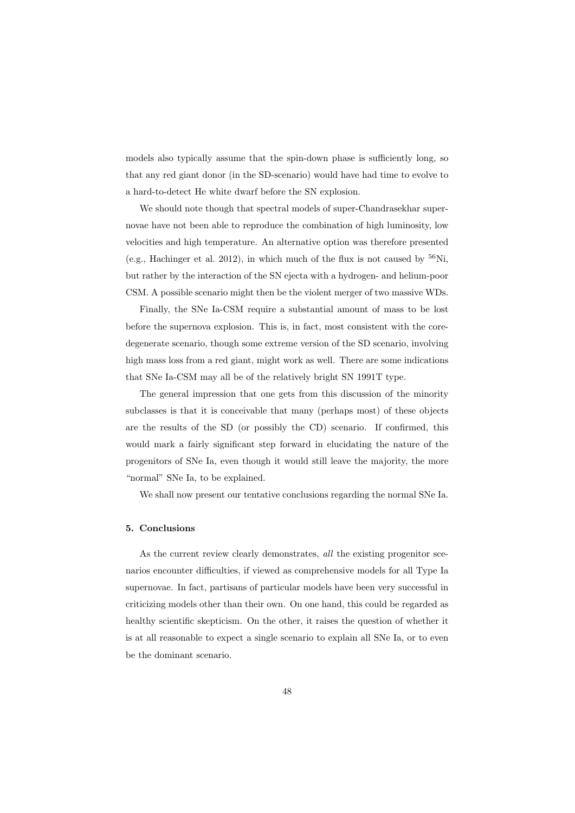models also typically assume that the spin-down phase is sufficiently long, so that any red giant donor (in the SD-scenario) would have had time to evolve to a hard-to-detect He white dwarf before the SN explosion.

We should note though that spectral models of super-Chandrasekhar supernovae have not been able to reproduce the combination of high luminosity, low velocities and high temperature. An alternative option was therefore presented (e.g., Hachinger et al. 2012), in which much of the flux is not caused by  $56Ni$ , but rather by the interaction of the SN ejecta with a hydrogen- and helium-poor CSM. A possible scenario might then be the violent merger of two massive WDs.

Finally, the SNe Ia-CSM require a substantial amount of mass to be lost before the supernova explosion. This is, in fact, most consistent with the coredegenerate scenario, though some extreme version of the SD scenario, involving high mass loss from a red giant, might work as well. There are some indications that SNe Ia-CSM may all be of the relatively bright SN 1991T type.

The general impression that one gets from this discussion of the minority subclasses is that it is conceivable that many (perhaps most) of these objects are the results of the SD (or possibly the CD) scenario. If confirmed, this would mark a fairly significant step forward in elucidating the nature of the progenitors of SNe Ia, even though it would still leave the majority, the more "normal" SNe Ia, to be explained.

We shall now present our tentative conclusions regarding the normal SNe Ia.

#### 5. Conclusions

As the current review clearly demonstrates, all the existing progenitor scenarios encounter difficulties, if viewed as comprehensive models for all Type Ia supernovae. In fact, partisans of particular models have been very successful in criticizing models other than their own. On one hand, this could be regarded as healthy scientific skepticism. On the other, it raises the question of whether it is at all reasonable to expect a single scenario to explain all SNe Ia, or to even be the dominant scenario.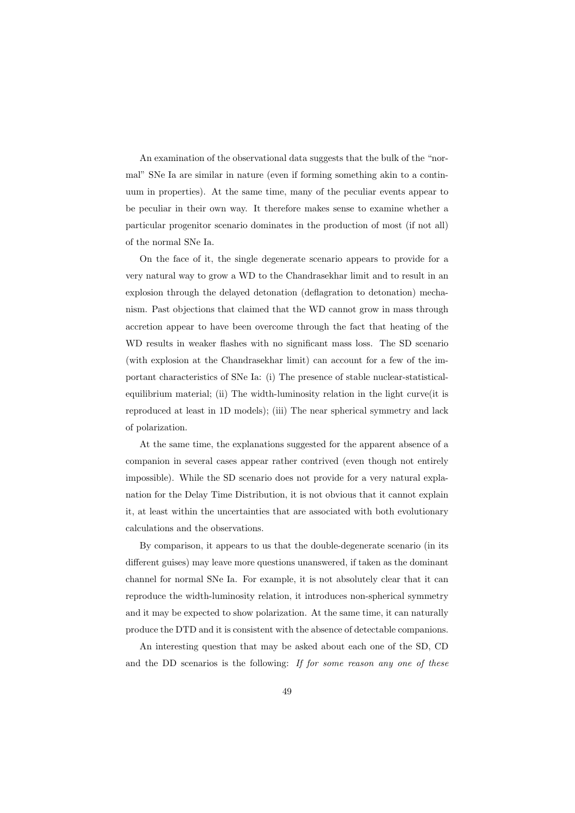An examination of the observational data suggests that the bulk of the "normal" SNe Ia are similar in nature (even if forming something akin to a continuum in properties). At the same time, many of the peculiar events appear to be peculiar in their own way. It therefore makes sense to examine whether a particular progenitor scenario dominates in the production of most (if not all) of the normal SNe Ia.

On the face of it, the single degenerate scenario appears to provide for a very natural way to grow a WD to the Chandrasekhar limit and to result in an explosion through the delayed detonation (deflagration to detonation) mechanism. Past objections that claimed that the WD cannot grow in mass through accretion appear to have been overcome through the fact that heating of the WD results in weaker flashes with no significant mass loss. The SD scenario (with explosion at the Chandrasekhar limit) can account for a few of the important characteristics of SNe Ia: (i) The presence of stable nuclear-statisticalequilibrium material; (ii) The width-luminosity relation in the light curve(it is reproduced at least in 1D models); (iii) The near spherical symmetry and lack of polarization.

At the same time, the explanations suggested for the apparent absence of a companion in several cases appear rather contrived (even though not entirely impossible). While the SD scenario does not provide for a very natural explanation for the Delay Time Distribution, it is not obvious that it cannot explain it, at least within the uncertainties that are associated with both evolutionary calculations and the observations.

By comparison, it appears to us that the double-degenerate scenario (in its different guises) may leave more questions unanswered, if taken as the dominant channel for normal SNe Ia. For example, it is not absolutely clear that it can reproduce the width-luminosity relation, it introduces non-spherical symmetry and it may be expected to show polarization. At the same time, it can naturally produce the DTD and it is consistent with the absence of detectable companions.

An interesting question that may be asked about each one of the SD, CD and the DD scenarios is the following: If for some reason any one of these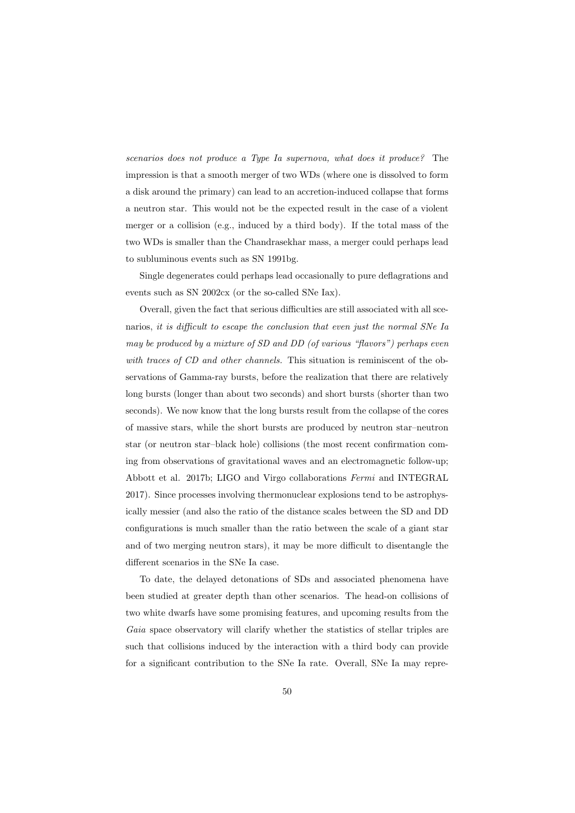scenarios does not produce a Type Ia supernova, what does it produce? The impression is that a smooth merger of two WDs (where one is dissolved to form a disk around the primary) can lead to an accretion-induced collapse that forms a neutron star. This would not be the expected result in the case of a violent merger or a collision (e.g., induced by a third body). If the total mass of the two WDs is smaller than the Chandrasekhar mass, a merger could perhaps lead to subluminous events such as SN 1991bg.

Single degenerates could perhaps lead occasionally to pure deflagrations and events such as SN 2002cx (or the so-called SNe Iax).

Overall, given the fact that serious difficulties are still associated with all scenarios, it is difficult to escape the conclusion that even just the normal SNe Ia may be produced by a mixture of  $SD$  and  $DD$  (of various "flavors") perhaps even with traces of CD and other channels. This situation is reminiscent of the observations of Gamma-ray bursts, before the realization that there are relatively long bursts (longer than about two seconds) and short bursts (shorter than two seconds). We now know that the long bursts result from the collapse of the cores of massive stars, while the short bursts are produced by neutron star–neutron star (or neutron star–black hole) collisions (the most recent confirmation coming from observations of gravitational waves and an electromagnetic follow-up; Abbott et al. 2017b; LIGO and Virgo collaborations Fermi and INTEGRAL 2017). Since processes involving thermonuclear explosions tend to be astrophysically messier (and also the ratio of the distance scales between the SD and DD configurations is much smaller than the ratio between the scale of a giant star and of two merging neutron stars), it may be more difficult to disentangle the different scenarios in the SNe Ia case.

To date, the delayed detonations of SDs and associated phenomena have been studied at greater depth than other scenarios. The head-on collisions of two white dwarfs have some promising features, and upcoming results from the Gaia space observatory will clarify whether the statistics of stellar triples are such that collisions induced by the interaction with a third body can provide for a significant contribution to the SNe Ia rate. Overall, SNe Ia may repre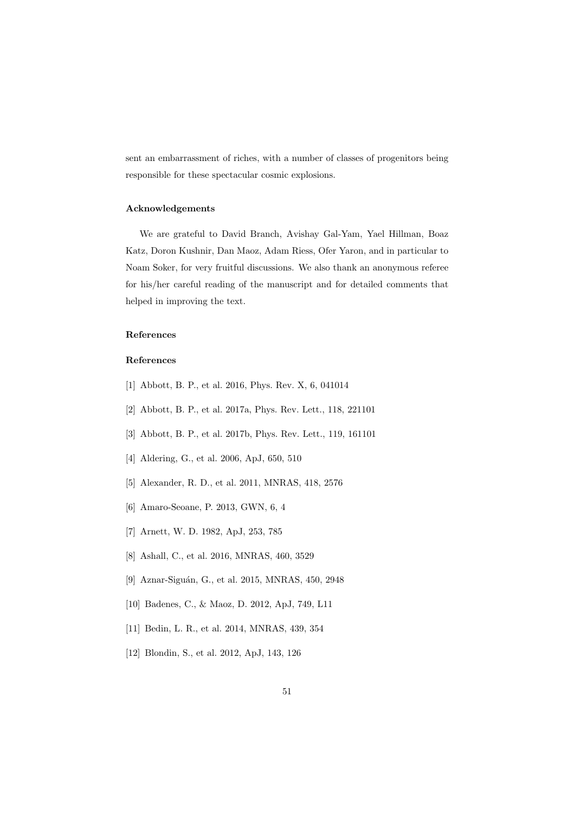sent an embarrassment of riches, with a number of classes of progenitors being responsible for these spectacular cosmic explosions.

# Acknowledgements

We are grateful to David Branch, Avishay Gal-Yam, Yael Hillman, Boaz Katz, Doron Kushnir, Dan Maoz, Adam Riess, Ofer Yaron, and in particular to Noam Soker, for very fruitful discussions. We also thank an anonymous referee for his/her careful reading of the manuscript and for detailed comments that helped in improving the text.

# References

## References

- [1] Abbott, B. P., et al. 2016, Phys. Rev. X, 6, 041014
- [2] Abbott, B. P., et al. 2017a, Phys. Rev. Lett., 118, 221101
- [3] Abbott, B. P., et al. 2017b, Phys. Rev. Lett., 119, 161101
- [4] Aldering, G., et al. 2006, ApJ, 650, 510
- [5] Alexander, R. D., et al. 2011, MNRAS, 418, 2576
- [6] Amaro-Seoane, P. 2013, GWN, 6, 4
- [7] Arnett, W. D. 1982, ApJ, 253, 785
- [8] Ashall, C., et al. 2016, MNRAS, 460, 3529
- [9] Aznar-Siguán, G., et al. 2015, MNRAS, 450, 2948
- [10] Badenes, C., & Maoz, D. 2012, ApJ, 749, L11
- [11] Bedin, L. R., et al. 2014, MNRAS, 439, 354
- [12] Blondin, S., et al. 2012, ApJ, 143, 126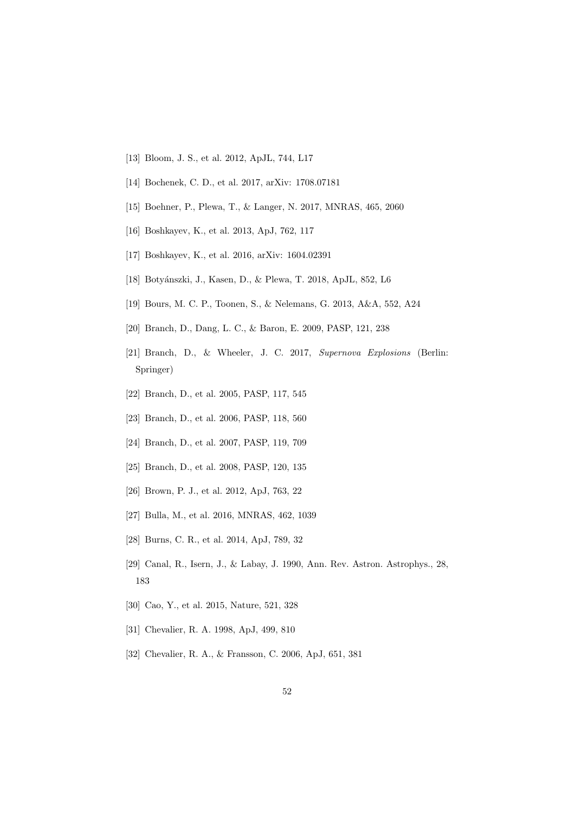- [13] Bloom, J. S., et al. 2012, ApJL, 744, L17
- [14] Bochenek, C. D., et al. 2017, arXiv: 1708.07181
- [15] Boehner, P., Plewa, T., & Langer, N. 2017, MNRAS, 465, 2060
- [16] Boshkayev, K., et al. 2013, ApJ, 762, 117
- [17] Boshkayev, K., et al. 2016, arXiv: 1604.02391
- [18] Botyánszki, J., Kasen, D., & Plewa, T. 2018, ApJL, 852, L6
- [19] Bours, M. C. P., Toonen, S., & Nelemans, G. 2013, A&A, 552, A24
- [20] Branch, D., Dang, L. C., & Baron, E. 2009, PASP, 121, 238
- [21] Branch, D., & Wheeler, J. C. 2017, Supernova Explosions (Berlin: Springer)
- [22] Branch, D., et al. 2005, PASP, 117, 545
- [23] Branch, D., et al. 2006, PASP, 118, 560
- [24] Branch, D., et al. 2007, PASP, 119, 709
- [25] Branch, D., et al. 2008, PASP, 120, 135
- [26] Brown, P. J., et al. 2012, ApJ, 763, 22
- [27] Bulla, M., et al. 2016, MNRAS, 462, 1039
- [28] Burns, C. R., et al. 2014, ApJ, 789, 32
- [29] Canal, R., Isern, J., & Labay, J. 1990, Ann. Rev. Astron. Astrophys., 28, 183
- [30] Cao, Y., et al. 2015, Nature, 521, 328
- [31] Chevalier, R. A. 1998, ApJ, 499, 810
- [32] Chevalier, R. A., & Fransson, C. 2006, ApJ, 651, 381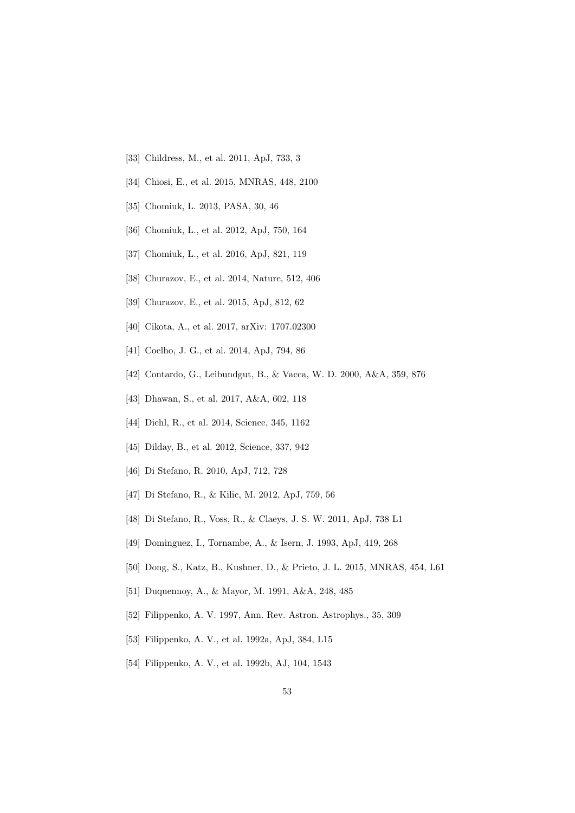- [33] Childress, M., et al. 2011, ApJ, 733, 3
- [34] Chiosi, E., et al. 2015, MNRAS, 448, 2100
- [35] Chomiuk, L. 2013, PASA, 30, 46
- [36] Chomiuk, L., et al. 2012, ApJ, 750, 164
- [37] Chomiuk, L., et al. 2016, ApJ, 821, 119
- [38] Churazov, E., et al. 2014, Nature, 512, 406
- [39] Churazov, E., et al. 2015, ApJ, 812, 62
- [40] Cikota, A., et al. 2017, arXiv: 1707.02300
- [41] Coelho, J. G., et al. 2014, ApJ, 794, 86
- [42] Contardo, G., Leibundgut, B., & Vacca, W. D. 2000, A&A, 359, 876
- [43] Dhawan, S., et al. 2017, A&A, 602, 118
- [44] Diehl, R., et al. 2014, Science, 345, 1162
- [45] Dilday, B., et al. 2012, Science, 337, 942
- [46] Di Stefano, R. 2010, ApJ, 712, 728
- [47] Di Stefano, R., & Kilic, M. 2012, ApJ, 759, 56
- [48] Di Stefano, R., Voss, R., & Claeys, J. S. W. 2011, ApJ, 738 L1
- [49] Dominguez, I., Tornambe, A., & Isern, J. 1993, ApJ, 419, 268
- [50] Dong, S., Katz, B., Kushner, D., & Prieto, J. L. 2015, MNRAS, 454, L61
- [51] Duquennoy, A., & Mayor, M. 1991, A&A, 248, 485
- [52] Filippenko, A. V. 1997, Ann. Rev. Astron. Astrophys., 35, 309
- [53] Filippenko, A. V., et al. 1992a, ApJ, 384, L15
- [54] Filippenko, A. V., et al. 1992b, AJ, 104, 1543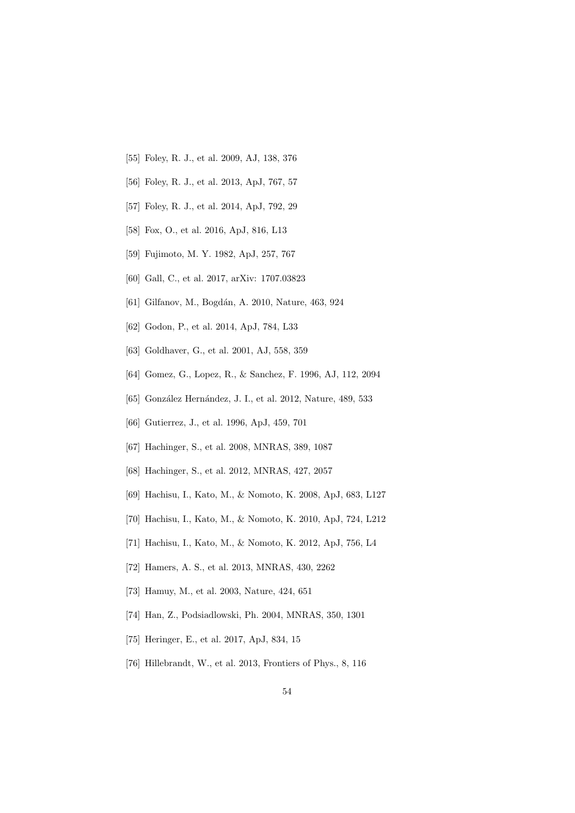- [55] Foley, R. J., et al. 2009, AJ, 138, 376
- [56] Foley, R. J., et al. 2013, ApJ, 767, 57
- [57] Foley, R. J., et al. 2014, ApJ, 792, 29
- [58] Fox, O., et al. 2016, ApJ, 816, L13
- [59] Fujimoto, M. Y. 1982, ApJ, 257, 767
- [60] Gall, C., et al. 2017, arXiv: 1707.03823
- [61] Gilfanov, M., Bogdán, A. 2010, Nature, 463, 924
- [62] Godon, P., et al. 2014, ApJ, 784, L33
- [63] Goldhaver, G., et al. 2001, AJ, 558, 359
- [64] Gomez, G., Lopez, R., & Sanchez, F. 1996, AJ, 112, 2094
- [65] González Hernández, J. I., et al. 2012, Nature, 489, 533
- [66] Gutierrez, J., et al. 1996, ApJ, 459, 701
- [67] Hachinger, S., et al. 2008, MNRAS, 389, 1087
- [68] Hachinger, S., et al. 2012, MNRAS, 427, 2057
- [69] Hachisu, I., Kato, M., & Nomoto, K. 2008, ApJ, 683, L127
- [70] Hachisu, I., Kato, M., & Nomoto, K. 2010, ApJ, 724, L212
- [71] Hachisu, I., Kato, M., & Nomoto, K. 2012, ApJ, 756, L4
- [72] Hamers, A. S., et al. 2013, MNRAS, 430, 2262
- [73] Hamuy, M., et al. 2003, Nature, 424, 651
- [74] Han, Z., Podsiadlowski, Ph. 2004, MNRAS, 350, 1301
- [75] Heringer, E., et al. 2017, ApJ, 834, 15
- [76] Hillebrandt, W., et al. 2013, Frontiers of Phys., 8, 116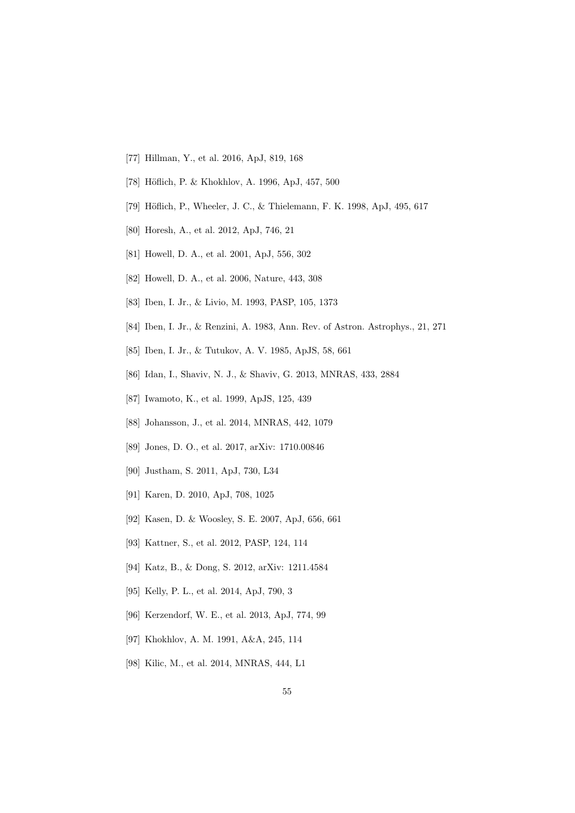- [77] Hillman, Y., et al. 2016, ApJ, 819, 168
- [78] Höflich, P. & Khokhlov, A. 1996, ApJ, 457, 500
- [79] Höflich, P., Wheeler, J. C., & Thielemann, F. K. 1998, ApJ, 495, 617
- [80] Horesh, A., et al. 2012, ApJ, 746, 21
- [81] Howell, D. A., et al. 2001, ApJ, 556, 302
- [82] Howell, D. A., et al. 2006, Nature, 443, 308
- [83] Iben, I. Jr., & Livio, M. 1993, PASP, 105, 1373
- [84] Iben, I. Jr., & Renzini, A. 1983, Ann. Rev. of Astron. Astrophys., 21, 271
- [85] Iben, I. Jr., & Tutukov, A. V. 1985, ApJS, 58, 661
- [86] Idan, I., Shaviv, N. J., & Shaviv, G. 2013, MNRAS, 433, 2884
- [87] Iwamoto, K., et al. 1999, ApJS, 125, 439
- [88] Johansson, J., et al. 2014, MNRAS, 442, 1079
- [89] Jones, D. O., et al. 2017, arXiv: 1710.00846
- [90] Justham, S. 2011, ApJ, 730, L34
- [91] Karen, D. 2010, ApJ, 708, 1025
- [92] Kasen, D. & Woosley, S. E. 2007, ApJ, 656, 661
- [93] Kattner, S., et al. 2012, PASP, 124, 114
- [94] Katz, B., & Dong, S. 2012, arXiv: 1211.4584
- [95] Kelly, P. L., et al. 2014, ApJ, 790, 3
- [96] Kerzendorf, W. E., et al. 2013, ApJ, 774, 99
- [97] Khokhlov, A. M. 1991, A&A, 245, 114
- [98] Kilic, M., et al. 2014, MNRAS, 444, L1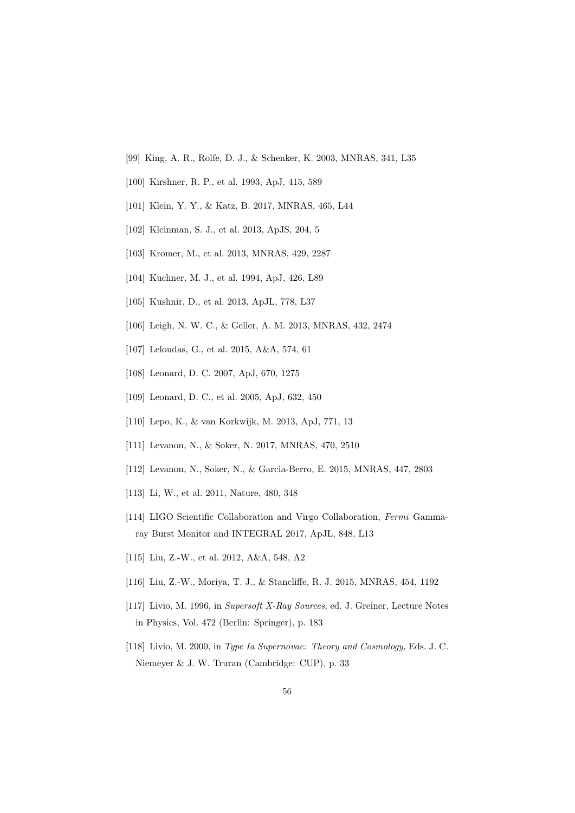- [99] King, A. R., Rolfe, D. J., & Schenker, K. 2003, MNRAS, 341, L35
- [100] Kirshner, R. P., et al. 1993, ApJ, 415, 589
- [101] Klein, Y. Y., & Katz, B. 2017, MNRAS, 465, L44
- [102] Kleinman, S. J., et al. 2013, ApJS, 204, 5
- [103] Kromer, M., et al. 2013, MNRAS, 429, 2287
- [104] Kuchner, M. J., et al. 1994, ApJ, 426, L89
- [105] Kushnir, D., et al. 2013, ApJL, 778, L37
- [106] Leigh, N. W. C., & Geller, A. M. 2013, MNRAS, 432, 2474
- [107] Leloudas, G., et al. 2015, A&A, 574, 61
- [108] Leonard, D. C. 2007, ApJ, 670, 1275
- [109] Leonard, D. C., et al. 2005, ApJ, 632, 450
- [110] Lepo, K., & van Korkwijk, M. 2013, ApJ, 771, 13
- [111] Levanon, N., & Soker, N. 2017, MNRAS, 470, 2510
- [112] Levanon, N., Soker, N., & Garcia-Berro, E. 2015, MNRAS, 447, 2803
- [113] Li, W., et al. 2011, Nature, 480, 348
- [114] LIGO Scientific Collaboration and Virgo Collaboration, Fermi Gammaray Burst Monitor and INTEGRAL 2017, ApJL, 848, L13
- [115] Liu, Z.-W., et al. 2012, A&A, 548, A2
- [116] Liu, Z.-W., Moriya, T. J., & Stancliffe, R. J. 2015, MNRAS, 454, 1192
- [117] Livio, M. 1996, in Supersoft X-Ray Sources, ed. J. Greiner, Lecture Notes in Physics, Vol. 472 (Berlin: Springer), p. 183
- [118] Livio, M. 2000, in Type Ia Supernovae: Theory and Cosmology, Eds. J. C. Niemeyer & J. W. Truran (Cambridge: CUP), p. 33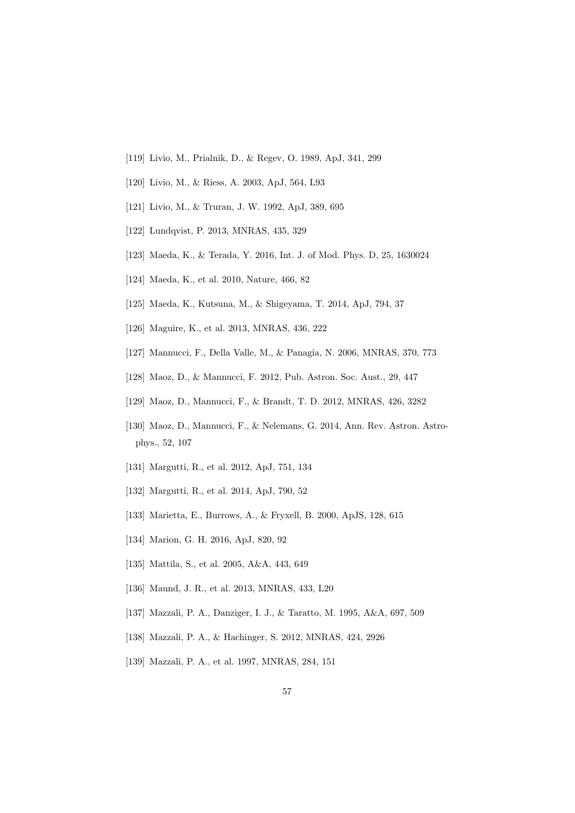- [119] Livio, M., Prialnik, D., & Regev, O. 1989, ApJ, 341, 299
- [120] Livio, M., & Riess, A. 2003, ApJ, 564, L93
- [121] Livio, M., & Truran, J. W. 1992, ApJ, 389, 695
- [122] Lundqvist, P. 2013, MNRAS, 435, 329
- [123] Maeda, K., & Terada, Y. 2016, Int. J. of Mod. Phys. D, 25, 1630024
- [124] Maeda, K., et al. 2010, Nature, 466, 82
- [125] Maeda, K., Kutsuna, M., & Shigeyama, T. 2014, ApJ, 794, 37
- [126] Maguire, K., et al. 2013, MNRAS, 436, 222
- [127] Mannucci, F., Della Valle, M., & Panagia, N. 2006, MNRAS, 370, 773
- [128] Maoz, D., & Mannucci, F. 2012, Pub. Astron. Soc. Aust., 29, 447
- [129] Maoz, D., Mannucci, F., & Brandt, T. D. 2012, MNRAS, 426, 3282
- [130] Maoz, D., Mannucci, F., & Nelemans, G. 2014, Ann. Rev. Astron. Astrophys., 52, 107
- [131] Margutti, R., et al. 2012, ApJ, 751, 134
- [132] Margutti, R., et al. 2014, ApJ, 790, 52
- [133] Marietta, E., Burrows, A., & Fryxell, B. 2000, ApJS, 128, 615
- [134] Marion, G. H. 2016, ApJ, 820, 92
- [135] Mattila, S., et al. 2005, A&A, 443, 649
- [136] Maund, J. R., et al. 2013, MNRAS, 433, L20
- [137] Mazzali, P. A., Danziger, I. J., & Taratto, M. 1995, A&A, 697, 509
- [138] Mazzali, P. A., & Hachinger, S. 2012, MNRAS, 424, 2926
- [139] Mazzali, P. A., et al. 1997, MNRAS, 284, 151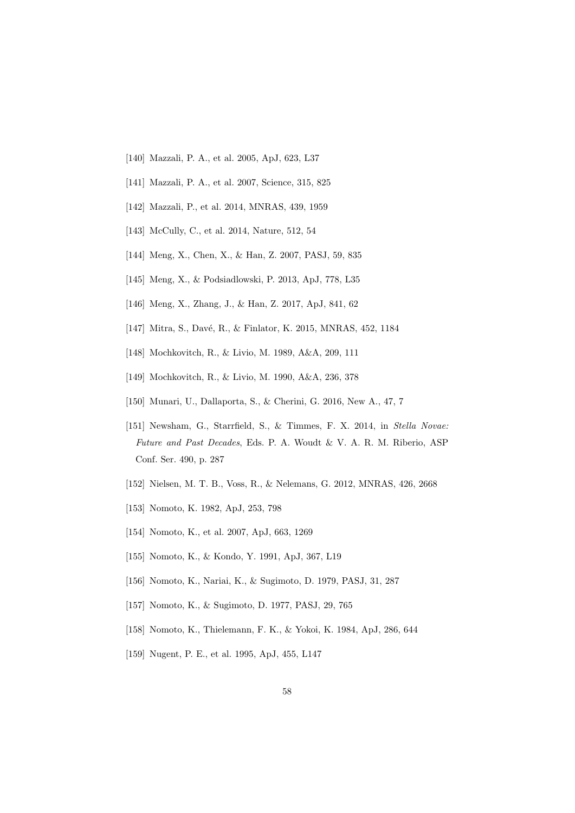- [140] Mazzali, P. A., et al. 2005, ApJ, 623, L37
- [141] Mazzali, P. A., et al. 2007, Science, 315, 825
- [142] Mazzali, P., et al. 2014, MNRAS, 439, 1959
- [143] McCully, C., et al. 2014, Nature, 512, 54
- [144] Meng, X., Chen, X., & Han, Z. 2007, PASJ, 59, 835
- [145] Meng, X., & Podsiadlowski, P. 2013, ApJ, 778, L35
- [146] Meng, X., Zhang, J., & Han, Z. 2017, ApJ, 841, 62
- [147] Mitra, S., Davé, R., & Finlator, K. 2015, MNRAS, 452, 1184
- [148] Mochkovitch, R., & Livio, M. 1989, A&A, 209, 111
- [149] Mochkovitch, R., & Livio, M. 1990, A&A, 236, 378
- [150] Munari, U., Dallaporta, S., & Cherini, G. 2016, New A., 47, 7
- [151] Newsham, G., Starrfield, S., & Timmes, F. X. 2014, in Stella Novae: Future and Past Decades, Eds. P. A. Woudt & V. A. R. M. Riberio, ASP Conf. Ser. 490, p. 287
- [152] Nielsen, M. T. B., Voss, R., & Nelemans, G. 2012, MNRAS, 426, 2668
- [153] Nomoto, K. 1982, ApJ, 253, 798
- [154] Nomoto, K., et al. 2007, ApJ, 663, 1269
- [155] Nomoto, K., & Kondo, Y. 1991, ApJ, 367, L19
- [156] Nomoto, K., Nariai, K., & Sugimoto, D. 1979, PASJ, 31, 287
- [157] Nomoto, K., & Sugimoto, D. 1977, PASJ, 29, 765
- [158] Nomoto, K., Thielemann, F. K., & Yokoi, K. 1984, ApJ, 286, 644
- [159] Nugent, P. E., et al. 1995, ApJ, 455, L147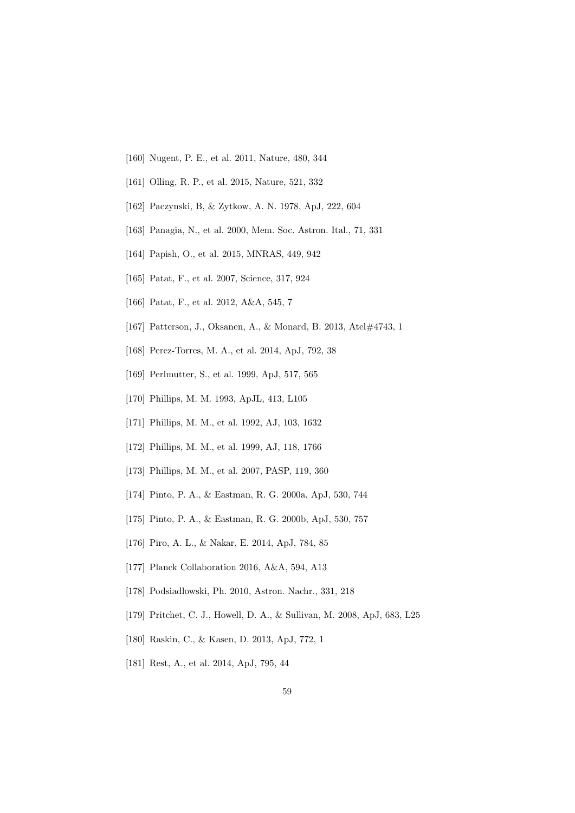- [160] Nugent, P. E., et al. 2011, Nature, 480, 344
- [161] Olling, R. P., et al. 2015, Nature, 521, 332
- [162] Paczynski, B, & Zytkow, A. N. 1978, ApJ, 222, 604
- [163] Panagia, N., et al. 2000, Mem. Soc. Astron. Ital., 71, 331
- [164] Papish, O., et al. 2015, MNRAS, 449, 942
- [165] Patat, F., et al. 2007, Science, 317, 924
- [166] Patat, F., et al. 2012, A&A, 545, 7
- [167] Patterson, J., Oksanen, A., & Monard, B. 2013, Atel#4743, 1
- [168] Perez-Torres, M. A., et al. 2014, ApJ, 792, 38
- [169] Perlmutter, S., et al. 1999, ApJ, 517, 565
- [170] Phillips, M. M. 1993, ApJL, 413, L105
- [171] Phillips, M. M., et al. 1992, AJ, 103, 1632
- [172] Phillips, M. M., et al. 1999, AJ, 118, 1766
- [173] Phillips, M. M., et al. 2007, PASP, 119, 360
- [174] Pinto, P. A., & Eastman, R. G. 2000a, ApJ, 530, 744
- [175] Pinto, P. A., & Eastman, R. G. 2000b, ApJ, 530, 757
- [176] Piro, A. L., & Nakar, E. 2014, ApJ, 784, 85
- [177] Planck Collaboration 2016, A&A, 594, A13
- [178] Podsiadlowski, Ph. 2010, Astron. Nachr., 331, 218
- [179] Pritchet, C. J., Howell, D. A., & Sullivan, M. 2008, ApJ, 683, L25
- [180] Raskin, C., & Kasen, D. 2013, ApJ, 772, 1
- [181] Rest, A., et al. 2014, ApJ, 795, 44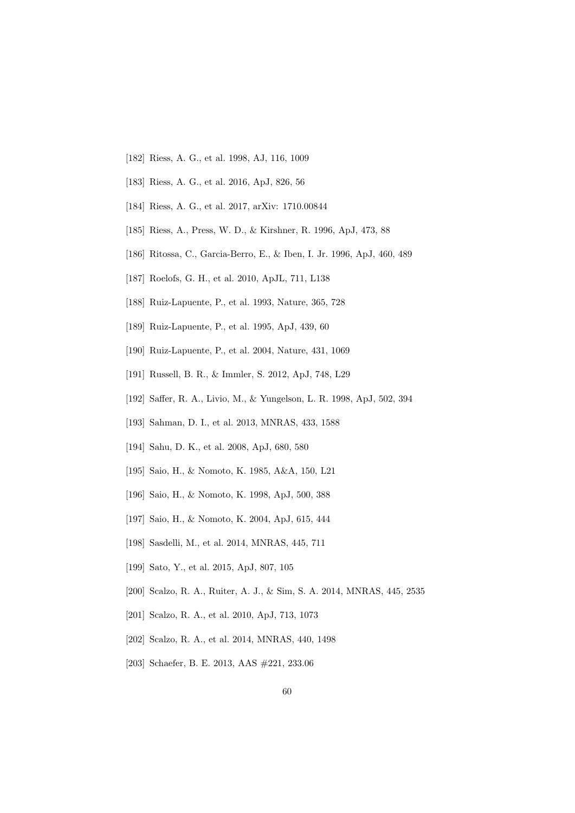- [182] Riess, A. G., et al. 1998, AJ, 116, 1009
- [183] Riess, A. G., et al. 2016, ApJ, 826, 56
- [184] Riess, A. G., et al. 2017, arXiv: 1710.00844
- [185] Riess, A., Press, W. D., & Kirshner, R. 1996, ApJ, 473, 88
- [186] Ritossa, C., Garcia-Berro, E., & Iben, I. Jr. 1996, ApJ, 460, 489
- [187] Roelofs, G. H., et al. 2010, ApJL, 711, L138
- [188] Ruiz-Lapuente, P., et al. 1993, Nature, 365, 728
- [189] Ruiz-Lapuente, P., et al. 1995, ApJ, 439, 60
- [190] Ruiz-Lapuente, P., et al. 2004, Nature, 431, 1069
- [191] Russell, B. R., & Immler, S. 2012, ApJ, 748, L29
- [192] Saffer, R. A., Livio, M., & Yungelson, L. R. 1998, ApJ, 502, 394
- [193] Sahman, D. I., et al. 2013, MNRAS, 433, 1588
- [194] Sahu, D. K., et al. 2008, ApJ, 680, 580
- [195] Saio, H., & Nomoto, K. 1985, A&A, 150, L21
- [196] Saio, H., & Nomoto, K. 1998, ApJ, 500, 388
- [197] Saio, H., & Nomoto, K. 2004, ApJ, 615, 444
- [198] Sasdelli, M., et al. 2014, MNRAS, 445, 711
- [199] Sato, Y., et al. 2015, ApJ, 807, 105
- [200] Scalzo, R. A., Ruiter, A. J., & Sim, S. A. 2014, MNRAS, 445, 2535
- [201] Scalzo, R. A., et al. 2010, ApJ, 713, 1073
- [202] Scalzo, R. A., et al. 2014, MNRAS, 440, 1498
- [203] Schaefer, B. E. 2013, AAS #221, 233.06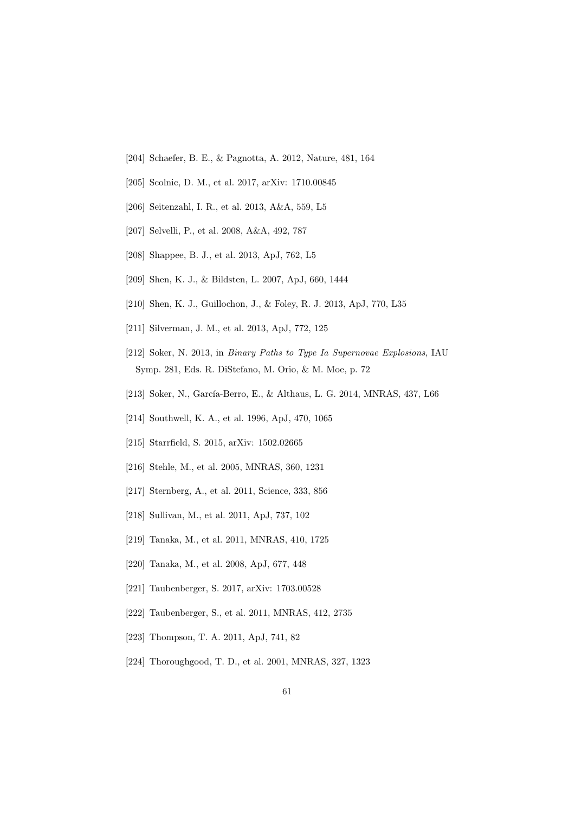- [204] Schaefer, B. E., & Pagnotta, A. 2012, Nature, 481, 164
- [205] Scolnic, D. M., et al. 2017, arXiv: 1710.00845
- [206] Seitenzahl, I. R., et al. 2013, A&A, 559, L5
- [207] Selvelli, P., et al. 2008, A&A, 492, 787
- [208] Shappee, B. J., et al. 2013, ApJ, 762, L5
- [209] Shen, K. J., & Bildsten, L. 2007, ApJ, 660, 1444
- [210] Shen, K. J., Guillochon, J., & Foley, R. J. 2013, ApJ, 770, L35
- [211] Silverman, J. M., et al. 2013, ApJ, 772, 125
- [212] Soker, N. 2013, in Binary Paths to Type Ia Supernovae Explosions, IAU Symp. 281, Eds. R. DiStefano, M. Orio, & M. Moe, p. 72
- [213] Soker, N., García-Berro, E., & Althaus, L. G. 2014, MNRAS, 437, L66
- [214] Southwell, K. A., et al. 1996, ApJ, 470, 1065
- [215] Starrfield, S. 2015, arXiv: 1502.02665
- [216] Stehle, M., et al. 2005, MNRAS, 360, 1231
- [217] Sternberg, A., et al. 2011, Science, 333, 856
- [218] Sullivan, M., et al. 2011, ApJ, 737, 102
- [219] Tanaka, M., et al. 2011, MNRAS, 410, 1725
- [220] Tanaka, M., et al. 2008, ApJ, 677, 448
- [221] Taubenberger, S. 2017, arXiv: 1703.00528
- [222] Taubenberger, S., et al. 2011, MNRAS, 412, 2735
- [223] Thompson, T. A. 2011, ApJ, 741, 82
- [224] Thoroughgood, T. D., et al. 2001, MNRAS, 327, 1323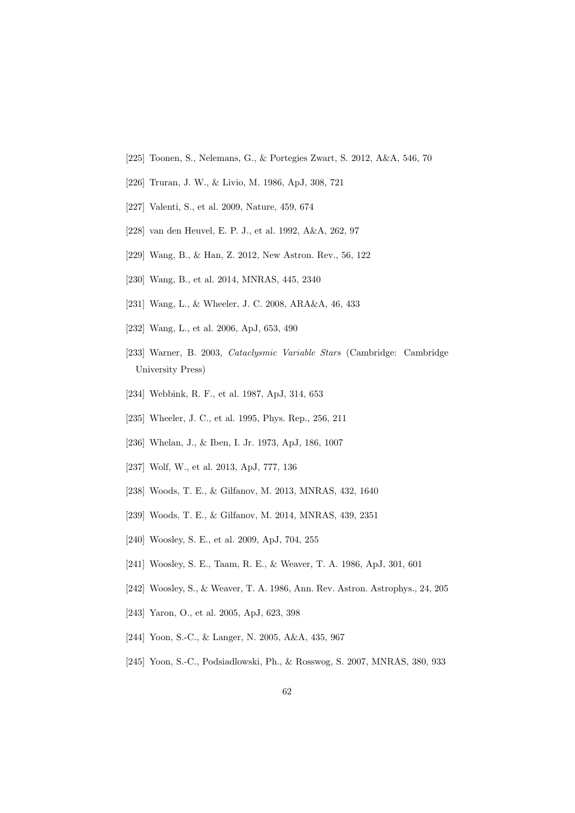- [225] Toonen, S., Nelemans, G., & Portegies Zwart, S. 2012, A&A, 546, 70
- [226] Truran, J. W., & Livio, M. 1986, ApJ, 308, 721
- [227] Valenti, S., et al. 2009, Nature, 459, 674
- [228] van den Heuvel, E. P. J., et al. 1992, A&A, 262, 97
- [229] Wang, B., & Han, Z. 2012, New Astron. Rev., 56, 122
- [230] Wang, B., et al. 2014, MNRAS, 445, 2340
- [231] Wang, L., & Wheeler, J. C. 2008, ARA&A, 46, 433
- [232] Wang, L., et al. 2006, ApJ, 653, 490
- [233] Warner, B. 2003, Cataclysmic Variable Stars (Cambridge: Cambridge University Press)
- [234] Webbink, R. F., et al. 1987, ApJ, 314, 653
- [235] Wheeler, J. C., et al. 1995, Phys. Rep., 256, 211
- [236] Whelan, J., & Iben, I. Jr. 1973, ApJ, 186, 1007
- [237] Wolf, W., et al. 2013, ApJ, 777, 136
- [238] Woods, T. E., & Gilfanov, M. 2013, MNRAS, 432, 1640
- [239] Woods, T. E., & Gilfanov, M. 2014, MNRAS, 439, 2351
- [240] Woosley, S. E., et al. 2009, ApJ, 704, 255
- [241] Woosley, S. E., Taam, R. E., & Weaver, T. A. 1986, ApJ, 301, 601
- [242] Woosley, S., & Weaver, T. A. 1986, Ann. Rev. Astron. Astrophys., 24, 205
- [243] Yaron, O., et al. 2005, ApJ, 623, 398
- [244] Yoon, S.-C., & Langer, N. 2005, A&A, 435, 967
- [245] Yoon, S.-C., Podsiadlowski, Ph., & Rosswog, S. 2007, MNRAS, 380, 933